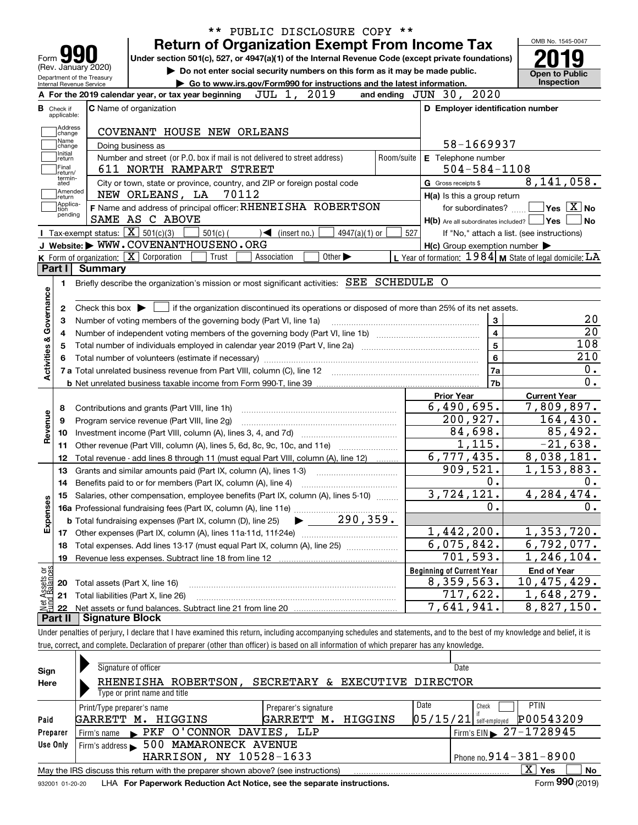|                                                      | Form 99<br>(Rev. January 2020)<br>Department of the Treasury<br>Internal Revenue Service | <b>Return of Organization Exempt From Income Tax</b><br>Under section 501(c), 527, or 4947(a)(1) of the Internal Revenue Code (except private foundations)<br>Do not enter social security numbers on this form as it may be made public. |       |                                   | Go to www.irs.gov/Form990 for instructions and the latest information. |                 |            |                                                             | OMB No. 1545-0047<br><b>Open to Public</b><br><b>Inspection</b> |
|------------------------------------------------------|------------------------------------------------------------------------------------------|-------------------------------------------------------------------------------------------------------------------------------------------------------------------------------------------------------------------------------------------|-------|-----------------------------------|------------------------------------------------------------------------|-----------------|------------|-------------------------------------------------------------|-----------------------------------------------------------------|
|                                                      |                                                                                          | A For the 2019 calendar year, or tax year beginning                                                                                                                                                                                       |       | JUL 1,                            | 2019                                                                   |                 |            | and ending JUN 30, 2020                                     |                                                                 |
| <b>B</b> Check if                                    |                                                                                          | <b>C</b> Name of organization                                                                                                                                                                                                             |       |                                   |                                                                        |                 |            | D Employer identification number                            |                                                                 |
| applicable:                                          |                                                                                          |                                                                                                                                                                                                                                           |       |                                   |                                                                        |                 |            |                                                             |                                                                 |
| Address<br>change                                    |                                                                                          | COVENANT HOUSE NEW ORLEANS                                                                                                                                                                                                                |       |                                   |                                                                        |                 |            |                                                             |                                                                 |
| Name<br>change                                       |                                                                                          | Doing business as                                                                                                                                                                                                                         |       |                                   |                                                                        |                 |            | 58-1669937                                                  |                                                                 |
| Initial<br>return                                    |                                                                                          | Number and street (or P.O. box if mail is not delivered to street address)                                                                                                                                                                |       |                                   |                                                                        |                 | Room/suite | E Telephone number                                          |                                                                 |
| Final<br>Ireturn/                                    |                                                                                          | 611 NORTH RAMPART STREET                                                                                                                                                                                                                  |       |                                   |                                                                        |                 |            | $504 - 584 - 1108$                                          |                                                                 |
| termin-<br>ated                                      |                                                                                          | City or town, state or province, country, and ZIP or foreign postal code                                                                                                                                                                  |       |                                   |                                                                        |                 |            | G Gross receipts \$                                         | 8, 141, 058.                                                    |
| Amended<br>∣return                                   |                                                                                          | NEW ORLEANS, LA                                                                                                                                                                                                                           | 70112 |                                   |                                                                        |                 |            | H(a) Is this a group return                                 |                                                                 |
| Applica-<br>tion                                     |                                                                                          | F Name and address of principal officer: RHENEISHA ROBERTSON                                                                                                                                                                              |       |                                   |                                                                        |                 |            | for subordinates?                                           | $\Box$ Yes $[\overline{\mathrm{X}}]$ No                         |
| pending                                              |                                                                                          | SAME AS C ABOVE                                                                                                                                                                                                                           |       |                                   |                                                                        |                 |            | H(b) Are all subordinates included?   Yes                   |                                                                 |
|                                                      | Tax-exempt status: $\boxed{\mathbf{X}}$ 501(c)(3)                                        | $501(c)$ (                                                                                                                                                                                                                                |       | $\sqrt{\frac{1}{1}}$ (insert no.) |                                                                        | $4947(a)(1)$ or | 527        | If "No," attach a list. (see instructions)                  |                                                                 |
|                                                      |                                                                                          | J Website: WWW.COVENANTHOUSENO.ORG                                                                                                                                                                                                        |       |                                   |                                                                        |                 |            | $H(c)$ Group exemption number $\blacktriangleright$         |                                                                 |
|                                                      |                                                                                          | K Form of organization: X Corporation                                                                                                                                                                                                     | Trust | Association                       | Other $\blacktriangleright$                                            |                 |            | L Year of formation: $1984$ M State of legal domicile: $LA$ |                                                                 |
| Part I                                               | Summarv                                                                                  | Briefly describe the organization's mission or most significant activities: SEE SCHEDULE O                                                                                                                                                |       |                                   |                                                                        |                 |            |                                                             |                                                                 |
| 2<br>з                                               |                                                                                          | Check this box $\blacktriangleright$ $\blacksquare$ if the organization discontinued its operations or disposed of more than 25% of its net assets.<br>Number of voting members of the governing body (Part VI, line 1a)                  |       |                                   |                                                                        |                 |            | 3                                                           |                                                                 |
|                                                      |                                                                                          |                                                                                                                                                                                                                                           |       |                                   |                                                                        |                 |            |                                                             |                                                                 |
| 4                                                    |                                                                                          |                                                                                                                                                                                                                                           |       |                                   |                                                                        |                 |            | 4                                                           |                                                                 |
| 5                                                    |                                                                                          |                                                                                                                                                                                                                                           |       |                                   |                                                                        |                 |            | $\overline{5}$                                              | 108                                                             |
|                                                      |                                                                                          |                                                                                                                                                                                                                                           |       |                                   |                                                                        |                 |            | $\bf 6$                                                     | 210                                                             |
|                                                      |                                                                                          |                                                                                                                                                                                                                                           |       |                                   |                                                                        |                 |            | 7a                                                          |                                                                 |
|                                                      |                                                                                          |                                                                                                                                                                                                                                           |       |                                   |                                                                        |                 |            | 7b                                                          |                                                                 |
|                                                      |                                                                                          |                                                                                                                                                                                                                                           |       |                                   |                                                                        |                 |            | <b>Prior Year</b>                                           | <b>Current Year</b>                                             |
| 8                                                    |                                                                                          | Contributions and grants (Part VIII, line 1h)                                                                                                                                                                                             |       |                                   |                                                                        |                 |            | 6,490,695.                                                  | 7,809,897.                                                      |
| 9                                                    |                                                                                          | Program service revenue (Part VIII, line 2g)                                                                                                                                                                                              |       |                                   |                                                                        |                 |            | 200, 927.                                                   | 164,430.                                                        |
| 10                                                   |                                                                                          |                                                                                                                                                                                                                                           |       |                                   |                                                                        |                 |            | 84,698.                                                     | 85,492.                                                         |
| 11                                                   |                                                                                          | Other revenue (Part VIII, column (A), lines 5, 6d, 8c, 9c, 10c, and 11e)                                                                                                                                                                  |       |                                   |                                                                        |                 |            | 1,115.                                                      | $-21,638.$                                                      |
| 12                                                   |                                                                                          | Total revenue - add lines 8 through 11 (must equal Part VIII, column (A), line 12)                                                                                                                                                        |       |                                   |                                                                        |                 |            | 6,777,435.                                                  | 8,038,181.                                                      |
| 13                                                   |                                                                                          | Grants and similar amounts paid (Part IX, column (A), lines 1-3)                                                                                                                                                                          |       |                                   |                                                                        |                 |            | 909,521.                                                    | 1, 153, 883.                                                    |
| 14                                                   |                                                                                          |                                                                                                                                                                                                                                           |       |                                   |                                                                        |                 |            | $0$ .                                                       |                                                                 |
|                                                      |                                                                                          | 15 Salaries, other compensation, employee benefits (Part IX, column (A), lines 5-10)                                                                                                                                                      |       |                                   |                                                                        |                 |            | 3,724,121.                                                  | 4, 284, 474.                                                    |
|                                                      |                                                                                          |                                                                                                                                                                                                                                           |       |                                   |                                                                        |                 |            | 0.                                                          |                                                                 |
|                                                      |                                                                                          | <b>b</b> Total fundraising expenses (Part IX, column (D), line 25)                                                                                                                                                                        |       |                                   |                                                                        | 290, 359.       |            |                                                             |                                                                 |
| Activities & Governance<br>Revenue<br>Expenses<br>17 |                                                                                          |                                                                                                                                                                                                                                           |       |                                   |                                                                        |                 |            | 1,442,200.                                                  | 1,353,720.                                                      |
| 18                                                   |                                                                                          | Total expenses. Add lines 13-17 (must equal Part IX, column (A), line 25)                                                                                                                                                                 |       |                                   |                                                                        |                 |            | 6,075,842.                                                  | 6,792,077.                                                      |
| 19                                                   |                                                                                          | Revenue less expenses. Subtract line 18 from line 12                                                                                                                                                                                      |       |                                   |                                                                        |                 |            | 701,593.                                                    | 1,246,104.                                                      |
|                                                      |                                                                                          |                                                                                                                                                                                                                                           |       |                                   |                                                                        |                 |            | <b>Beginning of Current Year</b>                            | <b>End of Year</b>                                              |
| 20                                                   | Total assets (Part X, line 16)                                                           |                                                                                                                                                                                                                                           |       |                                   |                                                                        |                 |            | 8,359,563.                                                  | 10,475,429.                                                     |
| t Assets or<br>d Balances<br>21                      |                                                                                          | Total liabilities (Part X, line 26)                                                                                                                                                                                                       |       |                                   |                                                                        |                 |            | 717,622.<br>7,641,941.                                      | 1,648,279.<br>8,827,150.                                        |

| Sign     | Signature of officer                 |                          |                                                                                   |  |      | Date                                   |                  |                 |
|----------|--------------------------------------|--------------------------|-----------------------------------------------------------------------------------|--|------|----------------------------------------|------------------|-----------------|
| Here     | Type or print name and title         | RHENEISHA ROBERTSON,     | SECRETARY & EXECUTIVE DIRECTOR                                                    |  |      |                                        |                  |                 |
|          | Print/Type preparer's name           |                          | Preparer's signature                                                              |  | Date | Check                                  | <b>PTIN</b>      |                 |
| Paid     | GARRETT M.                           | HIGGINS                  | GARRETT M. HIGGINS                                                                |  |      | $05/15/21$ self-employed               | P00543209        |                 |
| Preparer | Firm's name                          | PKF O'CONNOR DAVIES, LLP |                                                                                   |  |      | Firm's EIN $\triangleright$ 27-1728945 |                  |                 |
| Use Only | Firm's address $\blacktriangleright$ | 500 MAMARONECK AVENUE    |                                                                                   |  |      |                                        |                  |                 |
|          |                                      | HARRISON, NY 10528-1633  |                                                                                   |  |      | Phone no. $914 - 381 - 8900$           |                  |                 |
|          |                                      |                          | May the IRS discuss this return with the preparer shown above? (see instructions) |  |      |                                        | X.<br><b>Yes</b> | No              |
|          |                                      |                          |                                                                                   |  |      |                                        |                  | $000 \div 0.00$ |

932001 01-20-20 **For Paperwork Reduction Act Notice, see the separate instructions.** LHA Form (2019)

**990**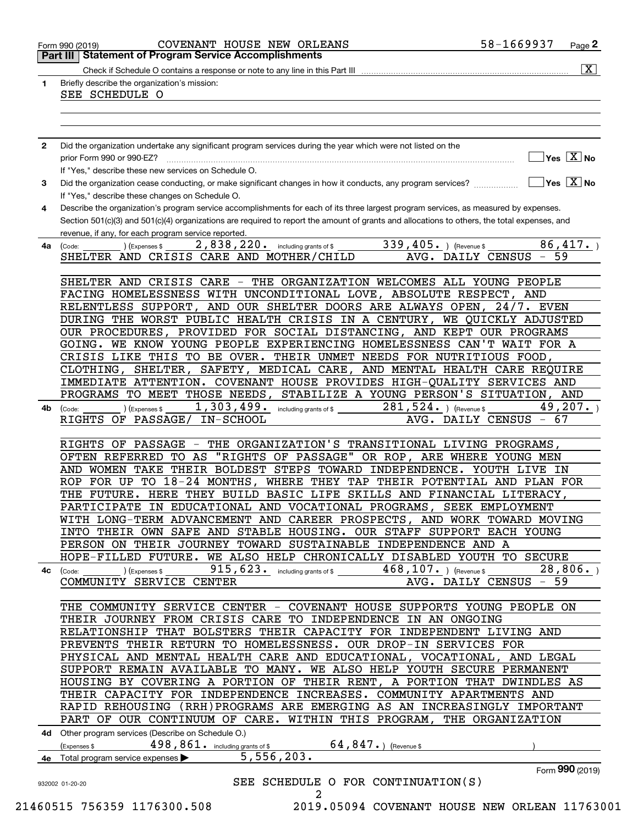| $\mathbf{1}$ | Briefly describe the organization's mission:                                                                                                                               |
|--------------|----------------------------------------------------------------------------------------------------------------------------------------------------------------------------|
|              | SEE SCHEDULE O                                                                                                                                                             |
|              |                                                                                                                                                                            |
|              |                                                                                                                                                                            |
| $\mathbf{2}$ | Did the organization undertake any significant program services during the year which were not listed on the                                                               |
|              | $]$ Yes $[\overline{\mathrm{X}}]$ No                                                                                                                                       |
|              | If "Yes," describe these new services on Schedule O.                                                                                                                       |
| 3            | $\sqrt{}$ Yes $\sqrt{}$ X $\sqrt{}$ No<br>Did the organization cease conducting, or make significant changes in how it conducts, any program services?                     |
|              | If "Yes," describe these changes on Schedule O.                                                                                                                            |
| 4            | Describe the organization's program service accomplishments for each of its three largest program services, as measured by expenses.                                       |
|              | Section 501(c)(3) and 501(c)(4) organizations are required to report the amount of grants and allocations to others, the total expenses, and                               |
|              | revenue, if any, for each program service reported.                                                                                                                        |
| 4a           | 2,838,220. including grants of \$<br>339, 405. ) (Revenue \$<br>86,417.<br>) (Expenses \$<br>(Code:<br>59<br>SHELTER AND CRISIS CARE AND MOTHER/CHILD<br>AVG. DAILY CENSUS |
|              |                                                                                                                                                                            |
|              | SHELTER AND CRISIS CARE - THE ORGANIZATION WELCOMES ALL YOUNG PEOPLE                                                                                                       |
|              | FACING HOMELESSNESS WITH UNCONDITIONAL LOVE, ABSOLUTE RESPECT, AND                                                                                                         |
|              | RELENTLESS SUPPORT, AND OUR SHELTER DOORS ARE ALWAYS OPEN, 24/7. EVEN                                                                                                      |
|              | DURING THE WORST PUBLIC HEALTH CRISIS IN A CENTURY, WE QUICKLY ADJUSTED                                                                                                    |
|              | OUR PROCEDURES, PROVIDED FOR SOCIAL DISTANCING, AND KEPT OUR PROGRAMS                                                                                                      |
|              | GOING. WE KNOW YOUNG PEOPLE EXPERIENCING HOMELESSNESS CAN'T WAIT FOR A                                                                                                     |
|              | CRISIS LIKE THIS TO BE OVER. THEIR UNMET NEEDS FOR NUTRITIOUS FOOD,                                                                                                        |
|              | CLOTHING, SHELTER, SAFETY, MEDICAL CARE, AND MENTAL HEALTH CARE REQUIRE<br>IMMEDIATE ATTENTION. COVENANT HOUSE PROVIDES HIGH-QUALITY SERVICES AND                          |
|              | PROGRAMS TO MEET THOSE NEEDS, STABILIZE A YOUNG PERSON'S SITUATION, AND                                                                                                    |
| 4b           | 1,303,499. including grants of \$<br>49,207.<br>$281,524.$ ) (Revenue \$<br>(Expenses \$<br>(Code:                                                                         |
|              | AVG. DAILY CENSUS - 67<br>RIGHTS OF PASSAGE/ IN-SCHOOL                                                                                                                     |
|              | RIGHTS OF PASSAGE - THE ORGANIZATION'S TRANSITIONAL LIVING PROGRAMS,                                                                                                       |
|              | OFTEN REFERRED TO AS "RIGHTS OF PASSAGE" OR ROP, ARE WHERE YOUNG MEN                                                                                                       |
|              | AND WOMEN TAKE THEIR BOLDEST STEPS TOWARD INDEPENDENCE. YOUTH LIVE IN                                                                                                      |
|              | ROP FOR UP TO 18-24 MONTHS, WHERE THEY TAP THEIR POTENTIAL AND PLAN FOR                                                                                                    |
|              | THE FUTURE. HERE THEY BUILD BASIC LIFE SKILLS AND FINANCIAL LITERACY,                                                                                                      |
|              | PARTICIPATE IN EDUCATIONAL AND VOCATIONAL PROGRAMS, SEEK EMPLOYMENT                                                                                                        |
|              | WITH LONG-TERM ADVANCEMENT AND CAREER PROSPECTS, AND WORK TOWARD MOVING                                                                                                    |
|              | INTO THEIR OWN SAFE AND STABLE HOUSING. OUR STAFF SUPPORT EACH YOUNG<br>PERSON ON THEIR JOURNEY TOWARD SUSTAINABLE INDEPENDENCE AND A                                      |
|              | HOPE-FILLED FUTURE. WE ALSO HELP CHRONICALLY DISABLED YOUTH TO SECURE                                                                                                      |
|              | 915, 623. including grants of \$<br>28,806.<br>$468, 107.$ ) (Revenue \$<br>(Expenses \$<br>4c (Code:                                                                      |
|              | AVG. DAILY CENSUS - 59<br>COMMUNITY SERVICE CENTER                                                                                                                         |
|              | THE COMMUNITY SERVICE CENTER - COVENANT HOUSE SUPPORTS YOUNG PEOPLE ON                                                                                                     |
|              | THEIR JOURNEY FROM CRISIS CARE TO INDEPENDENCE IN AN ONGOING                                                                                                               |
|              | RELATIONSHIP THAT BOLSTERS THEIR CAPACITY FOR INDEPENDENT LIVING AND                                                                                                       |
|              | PREVENTS THEIR RETURN TO HOMELESSNESS. OUR DROP-IN SERVICES FOR                                                                                                            |
|              | PHYSICAL AND MENTAL HEALTH CARE AND EDUCATIONAL, VOCATIONAL, AND LEGAL                                                                                                     |
|              | SUPPORT REMAIN AVAILABLE TO MANY. WE ALSO HELP YOUTH SECURE PERMANENT                                                                                                      |
|              | HOUSING BY COVERING A PORTION OF THEIR RENT, A PORTION THAT DWINDLES AS<br>THEIR CAPACITY FOR INDEPENDENCE INCREASES. COMMUNITY APARTMENTS AND                             |
|              | RAPID REHOUSING (RRH)PROGRAMS ARE EMERGING AS AN INCREASINGLY IMPORTANT                                                                                                    |
|              | PART OF OUR CONTINUUM OF CARE. WITHIN THIS PROGRAM, THE ORGANIZATION                                                                                                       |
|              | 4d Other program services (Describe on Schedule O.)                                                                                                                        |
|              | $64, 847.$ (Revenue \$<br>498, 861. including grants of \$<br>(Expenses \$                                                                                                 |
|              | 5,556,203.<br>4e Total program service expenses                                                                                                                            |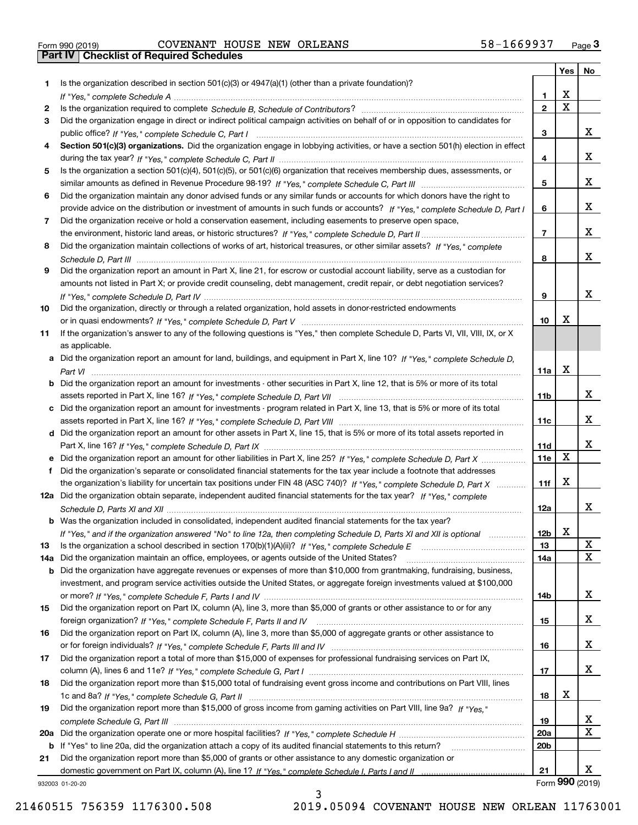| Form 990 (2019) |  |  |
|-----------------|--|--|

# Form 990 (2019) Page **3Part IV Checklist of Required Schedules** COVENANT HOUSE NEW ORLEANS 58-1669937

|     |                                                                                                                                                 |                 | Yes                     | No                   |
|-----|-------------------------------------------------------------------------------------------------------------------------------------------------|-----------------|-------------------------|----------------------|
| 1   | Is the organization described in section $501(c)(3)$ or $4947(a)(1)$ (other than a private foundation)?                                         |                 |                         |                      |
|     |                                                                                                                                                 | 1.              | X                       |                      |
| 2   |                                                                                                                                                 | $\overline{2}$  | $\overline{\mathbf{x}}$ |                      |
| 3   | Did the organization engage in direct or indirect political campaign activities on behalf of or in opposition to candidates for                 |                 |                         |                      |
|     |                                                                                                                                                 | 3               |                         | x                    |
| 4   | Section 501(c)(3) organizations. Did the organization engage in lobbying activities, or have a section 501(h) election in effect                |                 |                         |                      |
|     |                                                                                                                                                 | 4               |                         | х                    |
| 5   | Is the organization a section 501(c)(4), 501(c)(5), or 501(c)(6) organization that receives membership dues, assessments, or                    |                 |                         |                      |
|     |                                                                                                                                                 | 5               |                         | x                    |
| 6   | Did the organization maintain any donor advised funds or any similar funds or accounts for which donors have the right to                       |                 |                         |                      |
|     | provide advice on the distribution or investment of amounts in such funds or accounts? If "Yes," complete Schedule D, Part I                    | 6               |                         | x                    |
| 7   | Did the organization receive or hold a conservation easement, including easements to preserve open space,                                       |                 |                         |                      |
|     |                                                                                                                                                 | $\overline{7}$  |                         | x                    |
| 8   | Did the organization maintain collections of works of art, historical treasures, or other similar assets? If "Yes," complete                    |                 |                         |                      |
|     |                                                                                                                                                 | 8               |                         | X.                   |
| 9   | Did the organization report an amount in Part X, line 21, for escrow or custodial account liability, serve as a custodian for                   |                 |                         |                      |
|     | amounts not listed in Part X; or provide credit counseling, debt management, credit repair, or debt negotiation services?                       |                 |                         | x                    |
|     |                                                                                                                                                 | 9               |                         |                      |
| 10  | Did the organization, directly or through a related organization, hold assets in donor-restricted endowments                                    | 10              | x                       |                      |
| 11  | If the organization's answer to any of the following questions is "Yes," then complete Schedule D, Parts VI, VII, VIII, IX, or X                |                 |                         |                      |
|     |                                                                                                                                                 |                 |                         |                      |
|     | as applicable.<br>a Did the organization report an amount for land, buildings, and equipment in Part X, line 10? If "Yes," complete Schedule D, |                 |                         |                      |
|     |                                                                                                                                                 | 11a             | X                       |                      |
| b   | Did the organization report an amount for investments - other securities in Part X, line 12, that is 5% or more of its total                    |                 |                         |                      |
|     |                                                                                                                                                 | 11b             |                         | x                    |
| c   | Did the organization report an amount for investments - program related in Part X, line 13, that is 5% or more of its total                     |                 |                         |                      |
|     |                                                                                                                                                 | 11c             |                         | X.                   |
|     | d Did the organization report an amount for other assets in Part X, line 15, that is 5% or more of its total assets reported in                 |                 |                         |                      |
|     |                                                                                                                                                 | 11d             |                         | x                    |
|     |                                                                                                                                                 | 11e             | X                       |                      |
| f   | Did the organization's separate or consolidated financial statements for the tax year include a footnote that addresses                         |                 |                         |                      |
|     | the organization's liability for uncertain tax positions under FIN 48 (ASC 740)? If "Yes," complete Schedule D, Part X                          | 11f             | Х                       |                      |
|     | 12a Did the organization obtain separate, independent audited financial statements for the tax year? If "Yes," complete                         |                 |                         |                      |
|     |                                                                                                                                                 | 12a             |                         | X.                   |
|     | <b>b</b> Was the organization included in consolidated, independent audited financial statements for the tax year?                              |                 |                         |                      |
|     | If "Yes," and if the organization answered "No" to line 12a, then completing Schedule D, Parts XI and XII is optional                           | 12b             | X                       |                      |
| 13  |                                                                                                                                                 | 13              |                         | X                    |
| 14a | Did the organization maintain an office, employees, or agents outside of the United States?                                                     | 14a             |                         | X                    |
| b   | Did the organization have aggregate revenues or expenses of more than \$10,000 from grantmaking, fundraising, business,                         |                 |                         |                      |
|     | investment, and program service activities outside the United States, or aggregate foreign investments valued at \$100,000                      |                 |                         |                      |
|     |                                                                                                                                                 | 14b             |                         | x                    |
| 15  | Did the organization report on Part IX, column (A), line 3, more than \$5,000 of grants or other assistance to or for any                       |                 |                         |                      |
|     |                                                                                                                                                 | 15              |                         | x                    |
| 16  | Did the organization report on Part IX, column (A), line 3, more than \$5,000 of aggregate grants or other assistance to                        |                 |                         |                      |
|     |                                                                                                                                                 | 16              |                         | x                    |
| 17  | Did the organization report a total of more than \$15,000 of expenses for professional fundraising services on Part IX,                         |                 |                         |                      |
|     |                                                                                                                                                 | 17              |                         | x                    |
| 18  | Did the organization report more than \$15,000 total of fundraising event gross income and contributions on Part VIII, lines                    |                 |                         |                      |
|     |                                                                                                                                                 | 18              | х                       |                      |
| 19  | Did the organization report more than \$15,000 of gross income from gaming activities on Part VIII, line 9a? If "Yes."                          |                 |                         |                      |
|     |                                                                                                                                                 | 19              |                         | X                    |
| 20a |                                                                                                                                                 | 20a             |                         | х                    |
| b   | If "Yes" to line 20a, did the organization attach a copy of its audited financial statements to this return?                                    | 20 <sub>b</sub> |                         |                      |
| 21  | Did the organization report more than \$5,000 of grants or other assistance to any domestic organization or                                     |                 |                         |                      |
|     |                                                                                                                                                 | 21              |                         | x<br>Form 990 (2019) |
|     | 932003 01-20-20                                                                                                                                 |                 |                         |                      |

932003 01-20-20

3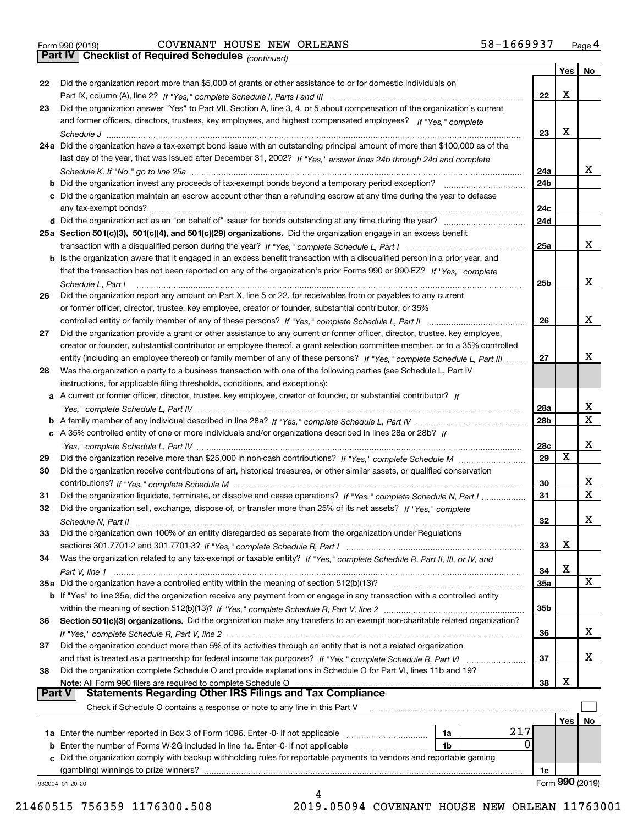|  | Form 990 (2019) |  |
|--|-----------------|--|

## Form 990 (2019) Page **4Part IV Checklist of Required Schedules** COVENANT HOUSE NEW ORLEANS 58-1669937

*(continued)*

|               |                                                                                                                                                                                                                                        |                 | Yes | No              |
|---------------|----------------------------------------------------------------------------------------------------------------------------------------------------------------------------------------------------------------------------------------|-----------------|-----|-----------------|
| 22            | Did the organization report more than \$5,000 of grants or other assistance to or for domestic individuals on                                                                                                                          |                 |     |                 |
|               |                                                                                                                                                                                                                                        | 22              | х   |                 |
| 23            | Did the organization answer "Yes" to Part VII, Section A, line 3, 4, or 5 about compensation of the organization's current                                                                                                             |                 |     |                 |
|               | and former officers, directors, trustees, key employees, and highest compensated employees? If "Yes," complete                                                                                                                         |                 |     |                 |
|               |                                                                                                                                                                                                                                        | 23              | х   |                 |
|               | 24a Did the organization have a tax-exempt bond issue with an outstanding principal amount of more than \$100,000 as of the                                                                                                            |                 |     |                 |
|               | last day of the year, that was issued after December 31, 2002? If "Yes," answer lines 24b through 24d and complete                                                                                                                     |                 |     |                 |
|               |                                                                                                                                                                                                                                        | 24a             |     | x               |
|               |                                                                                                                                                                                                                                        | 24b             |     |                 |
|               | c Did the organization maintain an escrow account other than a refunding escrow at any time during the year to defease                                                                                                                 |                 |     |                 |
|               |                                                                                                                                                                                                                                        | 24c             |     |                 |
|               |                                                                                                                                                                                                                                        | 24d             |     |                 |
|               | 25a Section 501(c)(3), 501(c)(4), and 501(c)(29) organizations. Did the organization engage in an excess benefit                                                                                                                       |                 |     |                 |
|               |                                                                                                                                                                                                                                        | 25a             |     | x               |
|               | b Is the organization aware that it engaged in an excess benefit transaction with a disqualified person in a prior year, and                                                                                                           |                 |     |                 |
|               | that the transaction has not been reported on any of the organization's prior Forms 990 or 990-EZ? If "Yes," complete                                                                                                                  |                 |     |                 |
|               | Schedule L, Part I                                                                                                                                                                                                                     | 25 <sub>b</sub> |     | x               |
| 26            | Did the organization report any amount on Part X, line 5 or 22, for receivables from or payables to any current                                                                                                                        |                 |     |                 |
|               | or former officer, director, trustee, key employee, creator or founder, substantial contributor, or 35%                                                                                                                                |                 |     |                 |
|               |                                                                                                                                                                                                                                        | 26              |     | x               |
| 27            | Did the organization provide a grant or other assistance to any current or former officer, director, trustee, key employee,                                                                                                            |                 |     |                 |
|               | creator or founder, substantial contributor or employee thereof, a grant selection committee member, or to a 35% controlled                                                                                                            |                 |     |                 |
|               | entity (including an employee thereof) or family member of any of these persons? If "Yes," complete Schedule L, Part III                                                                                                               | 27              |     | х               |
| 28            | Was the organization a party to a business transaction with one of the following parties (see Schedule L, Part IV                                                                                                                      |                 |     |                 |
|               | instructions, for applicable filing thresholds, conditions, and exceptions):                                                                                                                                                           |                 |     |                 |
|               | a A current or former officer, director, trustee, key employee, creator or founder, or substantial contributor? If                                                                                                                     |                 |     |                 |
|               |                                                                                                                                                                                                                                        | <b>28a</b>      |     | х               |
|               |                                                                                                                                                                                                                                        | 28b             |     | X               |
|               | c A 35% controlled entity of one or more individuals and/or organizations described in lines 28a or 28b? If                                                                                                                            |                 |     |                 |
|               |                                                                                                                                                                                                                                        | 28c             |     | х               |
|               |                                                                                                                                                                                                                                        | 29              | X   |                 |
| 29            |                                                                                                                                                                                                                                        |                 |     |                 |
| 30            | Did the organization receive contributions of art, historical treasures, or other similar assets, or qualified conservation                                                                                                            | 30              |     | х               |
|               |                                                                                                                                                                                                                                        | 31              |     | X.              |
| 31            | Did the organization liquidate, terminate, or dissolve and cease operations? If "Yes," complete Schedule N, Part I<br>Did the organization sell, exchange, dispose of, or transfer more than 25% of its net assets? If "Yes," complete |                 |     |                 |
| 32            |                                                                                                                                                                                                                                        | 32              |     | х               |
|               | Schedule N, Part II                                                                                                                                                                                                                    |                 |     |                 |
| 33            | Did the organization own 100% of an entity disregarded as separate from the organization under Regulations                                                                                                                             |                 | х   |                 |
|               |                                                                                                                                                                                                                                        | 33              |     |                 |
| 34            | Was the organization related to any tax-exempt or taxable entity? If "Yes," complete Schedule R, Part II, III, or IV, and                                                                                                              |                 | х   |                 |
|               |                                                                                                                                                                                                                                        | 34              |     | x               |
|               | 35a Did the organization have a controlled entity within the meaning of section 512(b)(13)?                                                                                                                                            | 35a             |     |                 |
|               | b If "Yes" to line 35a, did the organization receive any payment from or engage in any transaction with a controlled entity                                                                                                            |                 |     |                 |
|               |                                                                                                                                                                                                                                        | 35b             |     |                 |
| 36            | Section 501(c)(3) organizations. Did the organization make any transfers to an exempt non-charitable related organization?                                                                                                             |                 |     | x               |
|               |                                                                                                                                                                                                                                        | 36              |     |                 |
| 37            | Did the organization conduct more than 5% of its activities through an entity that is not a related organization                                                                                                                       |                 |     | X.              |
|               |                                                                                                                                                                                                                                        | 37              |     |                 |
| 38            | Did the organization complete Schedule O and provide explanations in Schedule O for Part VI, lines 11b and 19?                                                                                                                         |                 | х   |                 |
| <b>Part V</b> | Note: All Form 990 filers are required to complete Schedule O<br><b>Statements Regarding Other IRS Filings and Tax Compliance</b>                                                                                                      | 38              |     |                 |
|               |                                                                                                                                                                                                                                        |                 |     |                 |
|               | Check if Schedule O contains a response or note to any line in this Part V                                                                                                                                                             |                 |     |                 |
|               | 217                                                                                                                                                                                                                                    |                 | Yes | No              |
|               | <b>1a</b> Enter the number reported in Box 3 of Form 1096. Enter -0- if not applicable <i>mummumumum</i><br>1a<br>0                                                                                                                    |                 |     |                 |
| b             | Enter the number of Forms W-2G included in line 1a. Enter -0- if not applicable www.communities.<br>1b<br>c Did the organization comply with backup withholding rules for reportable payments to vendors and reportable gaming         |                 |     |                 |
|               | (gambling) winnings to prize winners?                                                                                                                                                                                                  |                 |     |                 |
|               |                                                                                                                                                                                                                                        | 1c              |     | Form 990 (2019) |
|               | 932004 01-20-20<br>Δ                                                                                                                                                                                                                   |                 |     |                 |

 <sup>21460515 756359 1176300.508 2019.05094</sup> COVENANT HOUSE NEW ORLEAN 11763001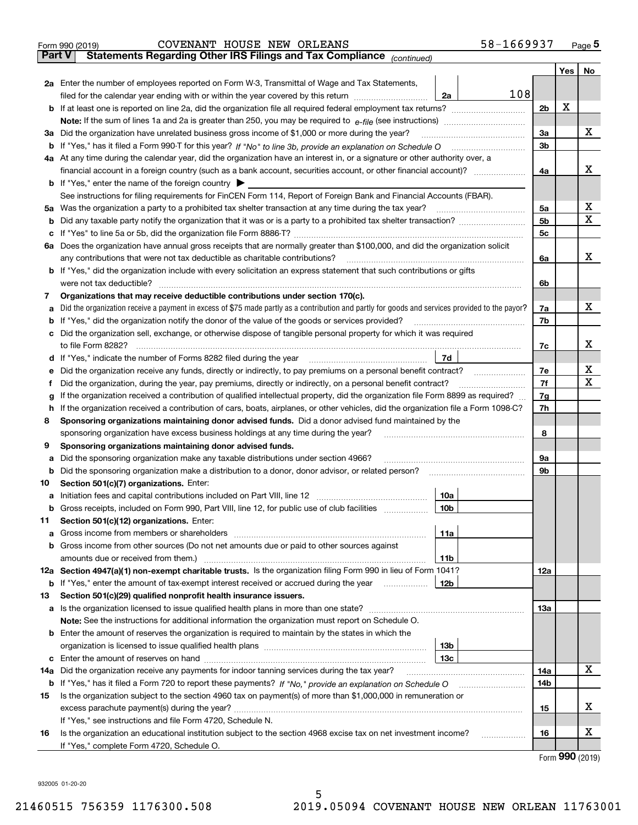|               | 58-1669937<br>COVENANT HOUSE NEW ORLEANS<br>Form 990 (2019)                                                                                                                                |                |     | Page $5$ |  |  |  |  |  |
|---------------|--------------------------------------------------------------------------------------------------------------------------------------------------------------------------------------------|----------------|-----|----------|--|--|--|--|--|
| <b>Part V</b> | Statements Regarding Other IRS Filings and Tax Compliance (continued)                                                                                                                      |                |     |          |  |  |  |  |  |
|               |                                                                                                                                                                                            |                | Yes | No       |  |  |  |  |  |
|               | 2a Enter the number of employees reported on Form W-3, Transmittal of Wage and Tax Statements,                                                                                             |                |     |          |  |  |  |  |  |
|               | 108<br>filed for the calendar year ending with or within the year covered by this return [11] [11] filed for the calendar year ending with or within the year covered by this return<br>2a |                |     |          |  |  |  |  |  |
|               |                                                                                                                                                                                            | 2 <sub>b</sub> | X   |          |  |  |  |  |  |
|               |                                                                                                                                                                                            |                |     |          |  |  |  |  |  |
|               | 3a Did the organization have unrelated business gross income of \$1,000 or more during the year?                                                                                           | 3a             |     | x        |  |  |  |  |  |
|               | b If "Yes," has it filed a Form 990-T for this year? If "No" to line 3b, provide an explanation on Schedule O                                                                              | 3 <sub>b</sub> |     |          |  |  |  |  |  |
|               | 4a At any time during the calendar year, did the organization have an interest in, or a signature or other authority over, a                                                               |                |     |          |  |  |  |  |  |
|               | financial account in a foreign country (such as a bank account, securities account, or other financial account)?                                                                           | 4a             |     | x        |  |  |  |  |  |
|               | <b>b</b> If "Yes," enter the name of the foreign country $\triangleright$                                                                                                                  |                |     |          |  |  |  |  |  |
|               | See instructions for filing requirements for FinCEN Form 114, Report of Foreign Bank and Financial Accounts (FBAR).                                                                        |                |     |          |  |  |  |  |  |
| 5а            | Was the organization a party to a prohibited tax shelter transaction at any time during the tax year?                                                                                      | 5a             |     | x        |  |  |  |  |  |
| b             |                                                                                                                                                                                            | 5 <sub>b</sub> |     | х        |  |  |  |  |  |
| с             |                                                                                                                                                                                            | 5c             |     |          |  |  |  |  |  |
| 6a            | Does the organization have annual gross receipts that are normally greater than \$100,000, and did the organization solicit                                                                |                |     |          |  |  |  |  |  |
|               | any contributions that were not tax deductible as charitable contributions?                                                                                                                | 6a             |     | x        |  |  |  |  |  |
|               | <b>b</b> If "Yes," did the organization include with every solicitation an express statement that such contributions or gifts                                                              |                |     |          |  |  |  |  |  |
|               | were not tax deductible?                                                                                                                                                                   | 6b             |     |          |  |  |  |  |  |
| 7             | Organizations that may receive deductible contributions under section 170(c).                                                                                                              |                |     |          |  |  |  |  |  |
| а             | Did the organization receive a payment in excess of \$75 made partly as a contribution and partly for goods and services provided to the payor?                                            | 7a             |     | x        |  |  |  |  |  |
| b             | If "Yes," did the organization notify the donor of the value of the goods or services provided?                                                                                            | 7b             |     |          |  |  |  |  |  |
| с             | Did the organization sell, exchange, or otherwise dispose of tangible personal property for which it was required                                                                          |                |     |          |  |  |  |  |  |
|               | to file Form 8282?                                                                                                                                                                         | 7c             |     | x        |  |  |  |  |  |
| d             | 7d<br>If "Yes," indicate the number of Forms 8282 filed during the year                                                                                                                    |                |     |          |  |  |  |  |  |
| е             | Did the organization receive any funds, directly or indirectly, to pay premiums on a personal benefit contract?                                                                            | 7e             |     | х        |  |  |  |  |  |
| f             | Did the organization, during the year, pay premiums, directly or indirectly, on a personal benefit contract?                                                                               | 7f             |     | X        |  |  |  |  |  |
| g             | If the organization received a contribution of qualified intellectual property, did the organization file Form 8899 as required?                                                           |                |     |          |  |  |  |  |  |
| h             | If the organization received a contribution of cars, boats, airplanes, or other vehicles, did the organization file a Form 1098-C?                                                         | 7h             |     |          |  |  |  |  |  |
| 8             | Sponsoring organizations maintaining donor advised funds. Did a donor advised fund maintained by the                                                                                       |                |     |          |  |  |  |  |  |
|               | sponsoring organization have excess business holdings at any time during the year?                                                                                                         | 8              |     |          |  |  |  |  |  |
| 9             | Sponsoring organizations maintaining donor advised funds.                                                                                                                                  |                |     |          |  |  |  |  |  |
| а             | Did the sponsoring organization make any taxable distributions under section 4966?                                                                                                         | 9a             |     |          |  |  |  |  |  |
| b             | Did the sponsoring organization make a distribution to a donor, donor advisor, or related person?                                                                                          | 9b             |     |          |  |  |  |  |  |
| 10            | Section 501(c)(7) organizations. Enter:                                                                                                                                                    |                |     |          |  |  |  |  |  |
| а             | Initiation fees and capital contributions included on Part VIII, line 12<br>10a                                                                                                            |                |     |          |  |  |  |  |  |
| b             | Gross receipts, included on Form 990, Part VIII, line 12, for public use of club facilities<br>10 <sub>b</sub>                                                                             |                |     |          |  |  |  |  |  |
| 11            | Section 501(c)(12) organizations. Enter:                                                                                                                                                   |                |     |          |  |  |  |  |  |
| а             | 11a<br>Gross income from members or shareholders                                                                                                                                           |                |     |          |  |  |  |  |  |
| b             | Gross income from other sources (Do not net amounts due or paid to other sources against                                                                                                   |                |     |          |  |  |  |  |  |
|               | amounts due or received from them.)<br>11b                                                                                                                                                 |                |     |          |  |  |  |  |  |
| 12a           | Section 4947(a)(1) non-exempt charitable trusts. Is the organization filing Form 990 in lieu of Form 1041?                                                                                 | 12a            |     |          |  |  |  |  |  |
| b             | If "Yes," enter the amount of tax-exempt interest received or accrued during the year<br>12 <sub>b</sub>                                                                                   |                |     |          |  |  |  |  |  |
| 13            | Section 501(c)(29) qualified nonprofit health insurance issuers.                                                                                                                           |                |     |          |  |  |  |  |  |
| а             |                                                                                                                                                                                            | 13a            |     |          |  |  |  |  |  |
|               | Note: See the instructions for additional information the organization must report on Schedule O.                                                                                          |                |     |          |  |  |  |  |  |
| b             | Enter the amount of reserves the organization is required to maintain by the states in which the                                                                                           |                |     |          |  |  |  |  |  |
|               | 13 <sub>b</sub>                                                                                                                                                                            |                |     |          |  |  |  |  |  |
| с             | 13с                                                                                                                                                                                        |                |     |          |  |  |  |  |  |
| 14a           | Did the organization receive any payments for indoor tanning services during the tax year?                                                                                                 | 14a            |     | x        |  |  |  |  |  |
| b             |                                                                                                                                                                                            | 14b            |     |          |  |  |  |  |  |
| 15            | Is the organization subject to the section 4960 tax on payment(s) of more than \$1,000,000 in remuneration or                                                                              |                |     |          |  |  |  |  |  |
|               |                                                                                                                                                                                            | 15             |     | х        |  |  |  |  |  |
|               | If "Yes," see instructions and file Form 4720, Schedule N.                                                                                                                                 |                |     |          |  |  |  |  |  |
| 16            | Is the organization an educational institution subject to the section 4968 excise tax on net investment income?                                                                            | 16             |     | x        |  |  |  |  |  |
|               |                                                                                                                                                                                            |                |     |          |  |  |  |  |  |

Form (2019) **990**

932005 01-20-20

If "Yes," complete Form 4720, Schedule O.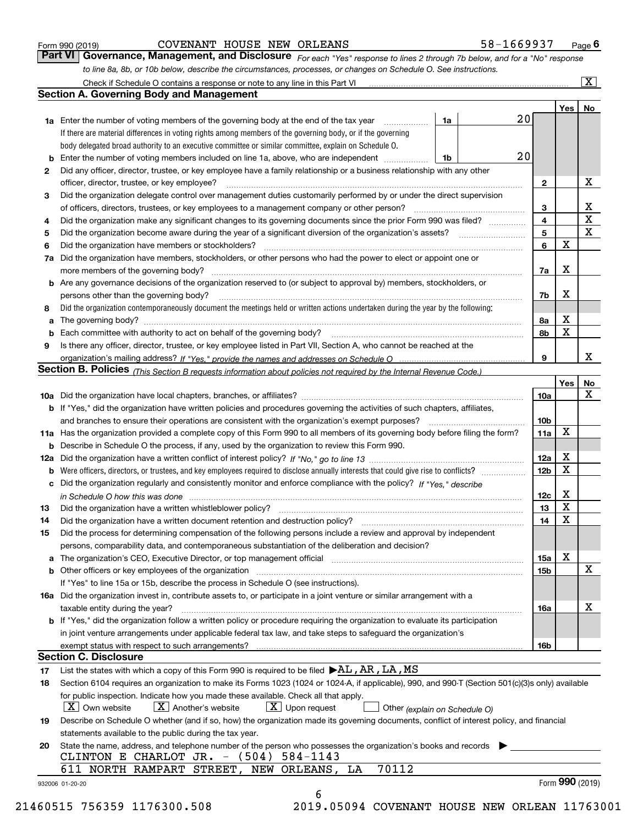| Form 990 (2019) |  |  |
|-----------------|--|--|
|                 |  |  |

#### COVENANT HOUSE NEW ORLEANS 58-1669937

*For each "Yes" response to lines 2 through 7b below, and for a "No" response to line 8a, 8b, or 10b below, describe the circumstances, processes, or changes on Schedule O. See instructions.* Form 990 (2019) **COVENANT HOUSE NEW ORLEANS** 58-1669937 Page 6<br>**Part VI Governance, Management, and Disclosure** For each "Yes" response to lines 2 through 7b below, and for a "No" response

|     |                                                                                                                                                                                                                                |    |                         | Yes <sub>1</sub> | No              |
|-----|--------------------------------------------------------------------------------------------------------------------------------------------------------------------------------------------------------------------------------|----|-------------------------|------------------|-----------------|
|     | <b>1a</b> Enter the number of voting members of the governing body at the end of the tax year <i>manumum</i>                                                                                                                   | 1a | 20                      |                  |                 |
|     | If there are material differences in voting rights among members of the governing body, or if the governing                                                                                                                    |    |                         |                  |                 |
|     | body delegated broad authority to an executive committee or similar committee, explain on Schedule O.                                                                                                                          |    |                         |                  |                 |
|     | Enter the number of voting members included on line 1a, above, who are independent                                                                                                                                             | 1b | 20                      |                  |                 |
| 2   | Did any officer, director, trustee, or key employee have a family relationship or a business relationship with any other                                                                                                       |    |                         |                  |                 |
|     | officer, director, trustee, or key employee?                                                                                                                                                                                   |    | $\mathbf{2}$            |                  | х               |
| 3   | Did the organization delegate control over management duties customarily performed by or under the direct supervision                                                                                                          |    |                         |                  |                 |
|     |                                                                                                                                                                                                                                |    | 3                       |                  | х               |
| 4   | Did the organization make any significant changes to its governing documents since the prior Form 990 was filed?                                                                                                               |    | $\overline{\mathbf{4}}$ |                  | $\mathbf X$     |
| 5   |                                                                                                                                                                                                                                |    | 5                       |                  | X               |
| 6   | Did the organization have members or stockholders?                                                                                                                                                                             |    | 6                       | X                |                 |
| 7a  | Did the organization have members, stockholders, or other persons who had the power to elect or appoint one or                                                                                                                 |    |                         |                  |                 |
|     |                                                                                                                                                                                                                                |    | 7a                      | х                |                 |
|     | <b>b</b> Are any governance decisions of the organization reserved to (or subject to approval by) members, stockholders, or                                                                                                    |    |                         |                  |                 |
|     | persons other than the governing body?                                                                                                                                                                                         |    | 7b                      | X                |                 |
| 8   | Did the organization contemporaneously document the meetings held or written actions undertaken during the year by the following:                                                                                              |    |                         |                  |                 |
| a   |                                                                                                                                                                                                                                |    | 8a                      | х                |                 |
|     |                                                                                                                                                                                                                                |    | 8b                      | X                |                 |
| 9   | Is there any officer, director, trustee, or key employee listed in Part VII, Section A, who cannot be reached at the                                                                                                           |    |                         |                  |                 |
|     |                                                                                                                                                                                                                                |    | 9                       |                  | х               |
|     | Section B. Policies (This Section B requests information about policies not required by the Internal Revenue Code.)                                                                                                            |    |                         |                  |                 |
|     |                                                                                                                                                                                                                                |    |                         | Yes              | No              |
|     |                                                                                                                                                                                                                                |    | 10a                     |                  | X               |
|     | <b>b</b> If "Yes," did the organization have written policies and procedures governing the activities of such chapters, affiliates,                                                                                            |    |                         |                  |                 |
|     |                                                                                                                                                                                                                                |    | 10 <sub>b</sub>         |                  |                 |
|     | 11a Has the organization provided a complete copy of this Form 990 to all members of its governing body before filing the form?                                                                                                |    | 11a                     | X                |                 |
|     | <b>b</b> Describe in Schedule O the process, if any, used by the organization to review this Form 990.                                                                                                                         |    |                         |                  |                 |
| 12a |                                                                                                                                                                                                                                |    | <b>12a</b>              | х                |                 |
| b   |                                                                                                                                                                                                                                |    | 12b                     | X                |                 |
|     | c Did the organization regularly and consistently monitor and enforce compliance with the policy? If "Yes," describe                                                                                                           |    |                         |                  |                 |
|     | in Schedule O how this was done measured and contain an account of the state of the state of the state of the                                                                                                                  |    | 12c                     | х                |                 |
| 13  | Did the organization have a written whistleblower policy?                                                                                                                                                                      |    | 13                      | X                |                 |
| 14  | Did the organization have a written document retention and destruction policy? manufactured and the organization have a written document retention and destruction policy?                                                     |    | 14                      | X                |                 |
| 15  | Did the process for determining compensation of the following persons include a review and approval by independent                                                                                                             |    |                         |                  |                 |
|     | persons, comparability data, and contemporaneous substantiation of the deliberation and decision?                                                                                                                              |    |                         |                  |                 |
|     | a The organization's CEO, Executive Director, or top management official [11] [12] The organization's CEO, Executive Director, or top management official [12] [12] [12] [12] The organization's CEO, Executive Director, or t |    | 15a                     | х                |                 |
|     |                                                                                                                                                                                                                                |    | 15 <sub>b</sub>         |                  | х               |
|     | If "Yes" to line 15a or 15b, describe the process in Schedule O (see instructions).                                                                                                                                            |    |                         |                  |                 |
|     | 16a Did the organization invest in, contribute assets to, or participate in a joint venture or similar arrangement with a                                                                                                      |    |                         |                  |                 |
|     | taxable entity during the year?                                                                                                                                                                                                |    | 16a                     |                  | х               |
|     | <b>b</b> If "Yes," did the organization follow a written policy or procedure requiring the organization to evaluate its participation                                                                                          |    |                         |                  |                 |
|     | in joint venture arrangements under applicable federal tax law, and take steps to safeguard the organization's                                                                                                                 |    |                         |                  |                 |
|     |                                                                                                                                                                                                                                |    | 16b                     |                  |                 |
|     | <b>Section C. Disclosure</b>                                                                                                                                                                                                   |    |                         |                  |                 |
| 17  | List the states with which a copy of this Form 990 is required to be filed $\blacktriangleright$ AL, AR, LA, MS                                                                                                                |    |                         |                  |                 |
| 18  | Section 6104 requires an organization to make its Forms 1023 (1024 or 1024-A, if applicable), 990, and 990-T (Section 501(c)(3)s only) available                                                                               |    |                         |                  |                 |
|     | for public inspection. Indicate how you made these available. Check all that apply.                                                                                                                                            |    |                         |                  |                 |
|     | $ X $ Own website<br>$X$ Another's website<br>$\boxed{\text{X}}$ Upon request<br>Other (explain on Schedule O)                                                                                                                 |    |                         |                  |                 |
| 19  | Describe on Schedule O whether (and if so, how) the organization made its governing documents, conflict of interest policy, and financial                                                                                      |    |                         |                  |                 |
|     | statements available to the public during the tax year.                                                                                                                                                                        |    |                         |                  |                 |
| 20  | State the name, address, and telephone number of the person who possesses the organization's books and records                                                                                                                 |    |                         |                  |                 |
|     | CLINTON E CHARLOT JR. - (504) 584-1143                                                                                                                                                                                         |    |                         |                  |                 |
|     | 70112<br>611 NORTH RAMPART STREET, NEW ORLEANS, LA                                                                                                                                                                             |    |                         |                  |                 |
|     |                                                                                                                                                                                                                                |    |                         |                  | Form 990 (2019) |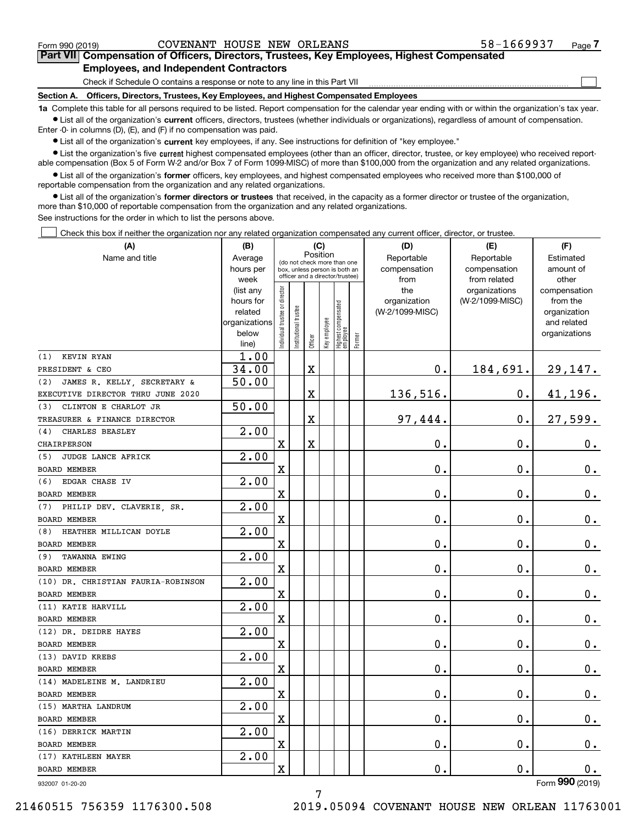$\mathcal{L}^{\text{max}}$ 

### **7Part VII Compensation of Officers, Directors, Trustees, Key Employees, Highest Compensated Employees, and Independent Contractors**

Check if Schedule O contains a response or note to any line in this Part VII

**Section A. Officers, Directors, Trustees, Key Employees, and Highest Compensated Employees**

**1a**  Complete this table for all persons required to be listed. Report compensation for the calendar year ending with or within the organization's tax year. **•** List all of the organization's current officers, directors, trustees (whether individuals or organizations), regardless of amount of compensation.

Enter -0- in columns (D), (E), and (F) if no compensation was paid.

 $\bullet$  List all of the organization's  $\,$ current key employees, if any. See instructions for definition of "key employee."

**•** List the organization's five current highest compensated employees (other than an officer, director, trustee, or key employee) who received reportable compensation (Box 5 of Form W-2 and/or Box 7 of Form 1099-MISC) of more than \$100,000 from the organization and any related organizations.

**•** List all of the organization's former officers, key employees, and highest compensated employees who received more than \$100,000 of reportable compensation from the organization and any related organizations.

**former directors or trustees**  ¥ List all of the organization's that received, in the capacity as a former director or trustee of the organization, more than \$10,000 of reportable compensation from the organization and any related organizations.

See instructions for the order in which to list the persons above.

Check this box if neither the organization nor any related organization compensated any current officer, director, or trustee.  $\mathcal{L}^{\text{max}}$ 

| (A)                                | (B)                      |                                         |                                                                  |         | (C)          |                                           |  | (D)                | (E)             | (F)                         |
|------------------------------------|--------------------------|-----------------------------------------|------------------------------------------------------------------|---------|--------------|-------------------------------------------|--|--------------------|-----------------|-----------------------------|
| Name and title                     | Average                  | Position<br>(do not check more than one |                                                                  |         |              |                                           |  | Reportable         | Reportable      | Estimated                   |
|                                    | hours per                |                                         | box, unless person is both an<br>officer and a director/trustee) |         |              |                                           |  | compensation       | compensation    | amount of                   |
|                                    | week                     |                                         |                                                                  |         |              |                                           |  | from               | from related    | other                       |
|                                    | (list any                |                                         |                                                                  |         |              |                                           |  | the                | organizations   | compensation                |
|                                    | hours for                |                                         |                                                                  |         |              |                                           |  | organization       | (W-2/1099-MISC) | from the                    |
|                                    | related<br>organizations |                                         |                                                                  |         |              |                                           |  | (W-2/1099-MISC)    |                 | organization<br>and related |
|                                    | below                    |                                         |                                                                  |         |              |                                           |  |                    |                 | organizations               |
|                                    | line)                    | Individual trustee or director          | Institutional trustee                                            | Officer | Key employee | Highest compensated<br>employee<br>Former |  |                    |                 |                             |
| KEVIN RYAN<br>(1)                  | 1.00                     |                                         |                                                                  |         |              |                                           |  |                    |                 |                             |
| PRESIDENT & CEO                    | 34.00                    |                                         |                                                                  | X       |              |                                           |  | $\mathbf 0$ .      | 184,691.        | 29,147.                     |
| JAMES R. KELLY, SECRETARY &<br>(2) | 50.00                    |                                         |                                                                  |         |              |                                           |  |                    |                 |                             |
| EXECUTIVE DIRECTOR THRU JUNE 2020  |                          |                                         |                                                                  | X       |              |                                           |  | 136,516.           | $0$ .           | 41, 196.                    |
| CLINTON E CHARLOT JR<br>(3)        | 50.00                    |                                         |                                                                  |         |              |                                           |  |                    |                 |                             |
| TREASURER & FINANCE DIRECTOR       |                          |                                         |                                                                  | X       |              |                                           |  | 97,444.            | $\mathbf 0$ .   | 27,599.                     |
| CHARLES BEASLEY<br>(4)             | $\overline{2.00}$        |                                         |                                                                  |         |              |                                           |  |                    |                 |                             |
| <b>CHAIRPERSON</b>                 |                          | $\mathbf X$                             |                                                                  | Χ       |              |                                           |  | 0.                 | 0.              | 0.                          |
| JUDGE LANCE AFRICK<br>(5)          | 2.00                     |                                         |                                                                  |         |              |                                           |  |                    |                 |                             |
| <b>BOARD MEMBER</b>                |                          | $\mathbf X$                             |                                                                  |         |              |                                           |  | 0.                 | 0.              | 0.                          |
| EDGAR CHASE IV<br>(6)              | 2.00                     |                                         |                                                                  |         |              |                                           |  |                    |                 |                             |
| <b>BOARD MEMBER</b>                |                          | $\mathbf X$                             |                                                                  |         |              |                                           |  | 0.                 | 0.              | 0.                          |
| PHILIP DEV. CLAVERIE, SR.<br>(7)   | $\overline{2.00}$        |                                         |                                                                  |         |              |                                           |  |                    |                 |                             |
| <b>BOARD MEMBER</b>                |                          | $\mathbf X$                             |                                                                  |         |              |                                           |  | 0.                 | 0.              | 0.                          |
| HEATHER MILLICAN DOYLE<br>(8)      | $\overline{2.00}$        |                                         |                                                                  |         |              |                                           |  |                    |                 |                             |
| <b>BOARD MEMBER</b>                |                          | $\mathbf X$                             |                                                                  |         |              |                                           |  | 0.                 | 0.              | 0.                          |
| TAWANNA EWING<br>(9)               | $\overline{2.00}$        |                                         |                                                                  |         |              |                                           |  |                    |                 |                             |
| <b>BOARD MEMBER</b>                |                          | $\mathbf X$                             |                                                                  |         |              |                                           |  | 0.                 | 0.              | 0.                          |
| (10) DR. CHRISTIAN FAURIA-ROBINSON | $\overline{2.00}$        |                                         |                                                                  |         |              |                                           |  |                    |                 |                             |
| <b>BOARD MEMBER</b>                |                          | $\mathbf X$                             |                                                                  |         |              |                                           |  | 0.                 | 0.              | 0.                          |
| (11) KATIE HARVILL                 | $\overline{2.00}$        |                                         |                                                                  |         |              |                                           |  |                    |                 |                             |
| <b>BOARD MEMBER</b>                |                          | $\mathbf X$                             |                                                                  |         |              |                                           |  | 0.                 | 0.              | 0.                          |
| (12) DR. DEIDRE HAYES              | $\overline{2.00}$        |                                         |                                                                  |         |              |                                           |  |                    |                 |                             |
| <b>BOARD MEMBER</b>                |                          | $\mathbf X$                             |                                                                  |         |              |                                           |  | 0.                 | 0.              | 0.                          |
| (13) DAVID KREBS                   | $\overline{2.00}$        |                                         |                                                                  |         |              |                                           |  |                    |                 |                             |
| <b>BOARD MEMBER</b>                |                          | $\mathbf X$                             |                                                                  |         |              |                                           |  | 0.                 | 0.              | 0.                          |
| (14) MADELEINE M. LANDRIEU         | 2.00                     |                                         |                                                                  |         |              |                                           |  |                    |                 |                             |
| BOARD MEMBER                       |                          | X                                       |                                                                  |         |              |                                           |  | 0.                 | 0.              | 0.                          |
| (15) MARTHA LANDRUM                | 2.00                     |                                         |                                                                  |         |              |                                           |  |                    |                 |                             |
| BOARD MEMBER                       |                          | X                                       |                                                                  |         |              |                                           |  | $\boldsymbol{0}$ . | $\mathbf 0$ .   | 0.                          |
| (16) DERRICK MARTIN                | 2.00                     |                                         |                                                                  |         |              |                                           |  |                    |                 |                             |
| BOARD MEMBER                       |                          | $\mathbf X$                             |                                                                  |         |              |                                           |  | $\mathbf 0$ .      | 0.              | $\mathbf{0}$ .              |
| (17) KATHLEEN MAYER                | 2.00                     |                                         |                                                                  |         |              |                                           |  |                    |                 |                             |
| BOARD MEMBER                       |                          | $\mathbf X$                             |                                                                  |         |              |                                           |  | $\mathbf 0$ .      | $\mathbf 0$ .   | 0.                          |
| 932007 01-20-20                    |                          |                                         |                                                                  |         |              |                                           |  |                    |                 | Form 990 (2019)             |

932007 01-20-20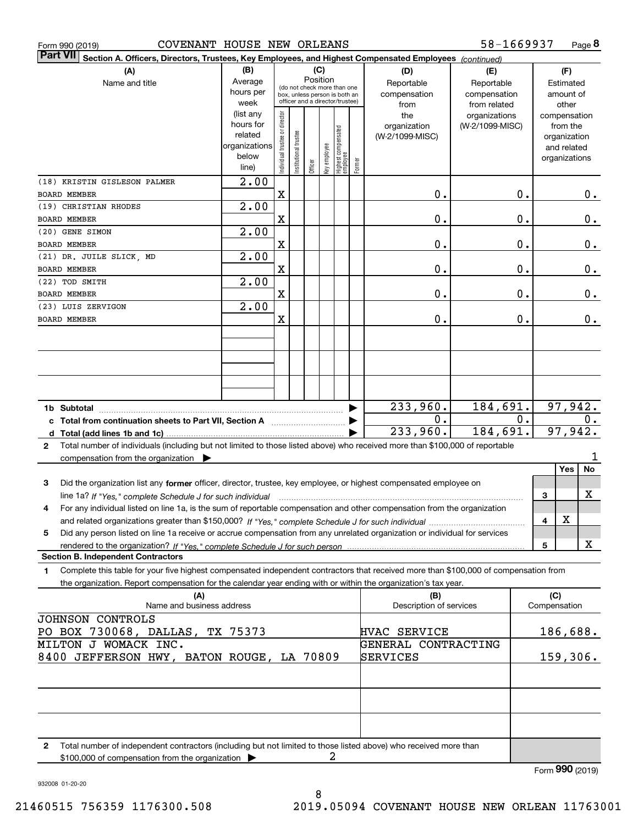| Form 990 (2019)                           | COVENANT HOUSE NEW ORLEANS                                                                                                                      |                   |                                |                       |          |     |                                                              |        |                         | 58-1669937      |    |              |               | Page 8   |
|-------------------------------------------|-------------------------------------------------------------------------------------------------------------------------------------------------|-------------------|--------------------------------|-----------------------|----------|-----|--------------------------------------------------------------|--------|-------------------------|-----------------|----|--------------|---------------|----------|
| <b>Part VII</b>                           | Section A. Officers, Directors, Trustees, Key Employees, and Highest Compensated Employees (continued)                                          |                   |                                |                       |          |     |                                                              |        |                         |                 |    |              |               |          |
|                                           | (A)                                                                                                                                             | (B)               |                                |                       |          | (C) |                                                              |        | (D)                     | (E)             |    |              | (F)           |          |
|                                           | Name and title                                                                                                                                  | Average           |                                |                       | Position |     |                                                              |        | Reportable              | Reportable      |    |              | Estimated     |          |
|                                           |                                                                                                                                                 | hours per         |                                |                       |          |     | (do not check more than one<br>box, unless person is both an |        | compensation            | compensation    |    |              | amount of     |          |
|                                           |                                                                                                                                                 | week              |                                |                       |          |     | officer and a director/trustee)                              |        | from                    | from related    |    |              | other         |          |
|                                           |                                                                                                                                                 | (list any         |                                |                       |          |     |                                                              |        | the                     | organizations   |    |              | compensation  |          |
|                                           |                                                                                                                                                 | hours for         |                                |                       |          |     |                                                              |        | organization            | (W-2/1099-MISC) |    |              | from the      |          |
|                                           |                                                                                                                                                 | related           |                                |                       |          |     |                                                              |        | (W-2/1099-MISC)         |                 |    |              | organization  |          |
|                                           |                                                                                                                                                 | organizations     |                                |                       |          |     |                                                              |        |                         |                 |    |              | and related   |          |
|                                           |                                                                                                                                                 | below             | Individual trustee or director | Institutional trustee | Officer  |     | key employee<br>Highest compensated<br>employee              | Former |                         |                 |    |              | organizations |          |
|                                           |                                                                                                                                                 | line)             |                                |                       |          |     |                                                              |        |                         |                 |    |              |               |          |
| (18) KRISTIN GISLESON PALMER              |                                                                                                                                                 | $\overline{2.00}$ |                                |                       |          |     |                                                              |        |                         |                 |    |              |               |          |
| <b>BOARD MEMBER</b>                       |                                                                                                                                                 |                   | X                              |                       |          |     |                                                              |        | 0.                      |                 | 0. |              |               | О.       |
| (19) CHRISTIAN RHODES                     |                                                                                                                                                 | $\overline{2.00}$ |                                |                       |          |     |                                                              |        |                         |                 |    |              |               |          |
| BOARD MEMBER                              |                                                                                                                                                 |                   | X                              |                       |          |     |                                                              |        | 0.                      |                 | 0. |              |               | $0$ .    |
| (20) GENE SIMON                           |                                                                                                                                                 | $\overline{2.00}$ |                                |                       |          |     |                                                              |        |                         |                 |    |              |               |          |
| BOARD MEMBER                              |                                                                                                                                                 |                   | X                              |                       |          |     |                                                              |        | 0.                      |                 | 0. |              |               | $0$ .    |
| (21) DR. JUILE SLICK, MD                  |                                                                                                                                                 | $\overline{2.00}$ |                                |                       |          |     |                                                              |        |                         |                 |    |              |               |          |
| BOARD MEMBER                              |                                                                                                                                                 |                   | X                              |                       |          |     |                                                              |        | 0.                      |                 | 0. |              |               | $0$ .    |
| (22) TOD SMITH                            |                                                                                                                                                 | $\overline{2.00}$ |                                |                       |          |     |                                                              |        |                         |                 |    |              |               |          |
| BOARD MEMBER                              |                                                                                                                                                 |                   | X                              |                       |          |     |                                                              |        | 0.                      |                 | 0. |              |               | 0.       |
| (23) LUIS ZERVIGON                        |                                                                                                                                                 | $\overline{2.00}$ |                                |                       |          |     |                                                              |        |                         |                 |    |              |               |          |
| <b>BOARD MEMBER</b>                       |                                                                                                                                                 |                   | X                              |                       |          |     |                                                              |        | 0.                      |                 | 0. |              |               | 0.       |
|                                           |                                                                                                                                                 |                   |                                |                       |          |     |                                                              |        |                         |                 |    |              |               |          |
|                                           |                                                                                                                                                 |                   |                                |                       |          |     |                                                              |        |                         |                 |    |              |               |          |
|                                           |                                                                                                                                                 |                   |                                |                       |          |     |                                                              |        |                         |                 |    |              |               |          |
|                                           |                                                                                                                                                 |                   |                                |                       |          |     |                                                              |        |                         |                 |    |              |               |          |
|                                           |                                                                                                                                                 |                   |                                |                       |          |     |                                                              |        |                         |                 |    |              |               |          |
|                                           |                                                                                                                                                 |                   |                                |                       |          |     |                                                              |        |                         |                 |    |              |               |          |
|                                           |                                                                                                                                                 |                   |                                |                       |          |     |                                                              |        | 233,960.                | 184,691.        |    |              |               | 97,942.  |
|                                           | c Total from continuation sheets to Part VII, Section A                                                                                         |                   |                                |                       |          |     |                                                              |        | 0.                      |                 | 0. |              |               | $0$ .    |
|                                           |                                                                                                                                                 |                   |                                |                       |          |     |                                                              |        | 233,960.                | 184,691.        |    |              |               | 97,942.  |
|                                           |                                                                                                                                                 |                   |                                |                       |          |     |                                                              |        |                         |                 |    |              |               |          |
| $\mathbf{2}$                              | Total number of individuals (including but not limited to those listed above) who received more than \$100,000 of reportable                    |                   |                                |                       |          |     |                                                              |        |                         |                 |    |              |               | 1        |
|                                           | compensation from the organization $\blacktriangleright$                                                                                        |                   |                                |                       |          |     |                                                              |        |                         |                 |    |              | Yes           | No       |
|                                           |                                                                                                                                                 |                   |                                |                       |          |     |                                                              |        |                         |                 |    |              |               |          |
| 3                                         | Did the organization list any former officer, director, trustee, key employee, or highest compensated employee on                               |                   |                                |                       |          |     |                                                              |        |                         |                 |    |              |               |          |
|                                           | line 1a? If "Yes," complete Schedule J for such individual manufactured contained and the 1a? If "Yes," complete Schedule J for such individual |                   |                                |                       |          |     |                                                              |        |                         |                 |    | 3            |               | X        |
|                                           | For any individual listed on line 1a, is the sum of reportable compensation and other compensation from the organization                        |                   |                                |                       |          |     |                                                              |        |                         |                 |    |              |               |          |
|                                           |                                                                                                                                                 |                   |                                |                       |          |     |                                                              |        |                         |                 |    | 4            | X             |          |
| 5                                         | Did any person listed on line 1a receive or accrue compensation from any unrelated organization or individual for services                      |                   |                                |                       |          |     |                                                              |        |                         |                 |    |              |               |          |
|                                           | rendered to the organization? If "Yes." complete Schedule J for such person                                                                     |                   |                                |                       |          |     |                                                              |        |                         |                 |    | 5            |               | x        |
| <b>Section B. Independent Contractors</b> |                                                                                                                                                 |                   |                                |                       |          |     |                                                              |        |                         |                 |    |              |               |          |
| 1.                                        | Complete this table for your five highest compensated independent contractors that received more than \$100,000 of compensation from            |                   |                                |                       |          |     |                                                              |        |                         |                 |    |              |               |          |
|                                           | the organization. Report compensation for the calendar year ending with or within the organization's tax year.                                  |                   |                                |                       |          |     |                                                              |        |                         |                 |    |              |               |          |
|                                           | (A)                                                                                                                                             |                   |                                |                       |          |     |                                                              |        | (B)                     |                 |    | (C)          |               |          |
|                                           | Name and business address                                                                                                                       |                   |                                |                       |          |     |                                                              |        | Description of services |                 |    | Compensation |               |          |
| JOHNSON CONTROLS                          |                                                                                                                                                 |                   |                                |                       |          |     |                                                              |        |                         |                 |    |              |               |          |
|                                           | PO BOX 730068, DALLAS,                                                                                                                          | TX 75373          |                                |                       |          |     |                                                              |        | HVAC SERVICE            |                 |    |              |               | 186,688. |
| MILTON J WOMACK INC.                      |                                                                                                                                                 |                   |                                |                       |          |     |                                                              |        | GENERAL CONTRACTING     |                 |    |              |               |          |
|                                           | 8400 JEFFERSON HWY, BATON ROUGE, LA 70809                                                                                                       |                   |                                |                       |          |     |                                                              |        | SERVICES                |                 |    |              |               | 159,306. |
|                                           |                                                                                                                                                 |                   |                                |                       |          |     |                                                              |        |                         |                 |    |              |               |          |
|                                           |                                                                                                                                                 |                   |                                |                       |          |     |                                                              |        |                         |                 |    |              |               |          |
|                                           |                                                                                                                                                 |                   |                                |                       |          |     |                                                              |        |                         |                 |    |              |               |          |
|                                           |                                                                                                                                                 |                   |                                |                       |          |     |                                                              |        |                         |                 |    |              |               |          |
|                                           |                                                                                                                                                 |                   |                                |                       |          |     |                                                              |        |                         |                 |    |              |               |          |
|                                           |                                                                                                                                                 |                   |                                |                       |          |     |                                                              |        |                         |                 |    |              |               |          |
| 2                                         | Total number of independent contractors (including but not limited to those listed above) who received more than                                |                   |                                |                       |          |     |                                                              |        |                         |                 |    |              |               |          |
|                                           |                                                                                                                                                 |                   |                                |                       |          |     |                                                              |        |                         |                 |    |              |               |          |

2

\$100,000 of compensation from the organization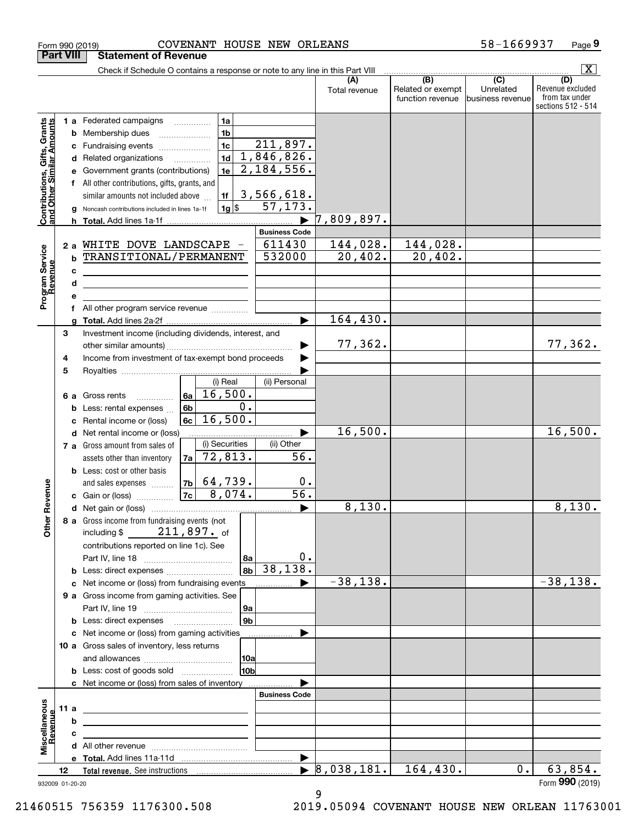|                                                                  | Form 990 (2019)  |                                                                                           | COVENANT HOUSE NEW ORLEANS     |                         |                      |                                       | 58-1669937                    | Page 9                                                   |
|------------------------------------------------------------------|------------------|-------------------------------------------------------------------------------------------|--------------------------------|-------------------------|----------------------|---------------------------------------|-------------------------------|----------------------------------------------------------|
|                                                                  | <b>Part VIII</b> | <b>Statement of Revenue</b>                                                               |                                |                         |                      |                                       |                               |                                                          |
|                                                                  |                  | Check if Schedule O contains a response or note to any line in this Part VIII             |                                |                         |                      | $\overline{(B)}$                      | $\overline{(C)}$              | $\overline{\mathbf{x}}$<br>(D)                           |
|                                                                  |                  |                                                                                           |                                |                         | (A)<br>Total revenue | Related or exempt<br>function revenue | Unrelated<br>business revenue | Revenue excluded<br>from tax under<br>sections 512 - 514 |
|                                                                  |                  | 1 a Federated campaigns                                                                   | 1a                             |                         |                      |                                       |                               |                                                          |
| <b>Contributions, Gifts, Grants</b><br>and Other Similar Amounts | b                | Membership dues                                                                           | 1 <sub>b</sub>                 |                         |                      |                                       |                               |                                                          |
|                                                                  | с                | Fundraising events                                                                        | 1 <sub>c</sub>                 | 211,897.                |                      |                                       |                               |                                                          |
|                                                                  | d                | Related organizations                                                                     | 1 <sub>d</sub>                 | 1,846,826.              |                      |                                       |                               |                                                          |
|                                                                  |                  | Government grants (contributions)                                                         | 1e                             | 2, 184, 556.            |                      |                                       |                               |                                                          |
|                                                                  |                  | All other contributions, gifts, grants, and                                               |                                |                         |                      |                                       |                               |                                                          |
|                                                                  |                  | similar amounts not included above                                                        | 1f<br>l 1g  \$                 | 3,566,618.<br>57, 173.  |                      |                                       |                               |                                                          |
|                                                                  |                  | Noncash contributions included in lines 1a-1f                                             |                                |                         | ,809,897.            |                                       |                               |                                                          |
|                                                                  |                  |                                                                                           |                                | <b>Business Code</b>    |                      |                                       |                               |                                                          |
|                                                                  | 2a               | WHITE DOVE LANDSCAPE -                                                                    |                                | 611430                  | 144,028.             | 144,028.                              |                               |                                                          |
|                                                                  | b                | TRANSITIONAL/PERMANENT                                                                    |                                | 532000                  | 20,402.              | 20,402.                               |                               |                                                          |
|                                                                  | c                | the contract of the contract of the contract of the contract of the contract of           |                                |                         |                      |                                       |                               |                                                          |
|                                                                  | d                | <u> 1989 - Johann Barbara, martin amerikan basar da</u>                                   |                                |                         |                      |                                       |                               |                                                          |
| Program Service<br>Revenue                                       |                  |                                                                                           |                                |                         |                      |                                       |                               |                                                          |
|                                                                  |                  | All other program service revenue                                                         |                                |                         |                      |                                       |                               |                                                          |
|                                                                  |                  |                                                                                           |                                | $\blacktriangleright$   | 164, 430.            |                                       |                               |                                                          |
|                                                                  | 3                | Investment income (including dividends, interest, and                                     |                                |                         |                      |                                       |                               |                                                          |
|                                                                  |                  | Income from investment of tax-exempt bond proceeds                                        |                                |                         | 77,362.              |                                       |                               | 77,362.                                                  |
|                                                                  | 4<br>5           |                                                                                           |                                |                         |                      |                                       |                               |                                                          |
|                                                                  |                  |                                                                                           | (i) Real                       | (ii) Personal           |                      |                                       |                               |                                                          |
|                                                                  | 6а               | Gross rents                                                                               | 16,500.<br>6a                  |                         |                      |                                       |                               |                                                          |
|                                                                  | b                | Less: rental expenses                                                                     | 0.<br>6 <sub>b</sub>           |                         |                      |                                       |                               |                                                          |
|                                                                  | c                | Rental income or (loss)                                                                   | 16,500.<br>6c                  |                         |                      |                                       |                               |                                                          |
|                                                                  | d                | Net rental income or (loss)                                                               |                                |                         | 16,500.              |                                       |                               | 16,500.                                                  |
|                                                                  |                  | 7 a Gross amount from sales of                                                            | (i) Securities                 | (ii) Other              |                      |                                       |                               |                                                          |
|                                                                  |                  | assets other than inventory                                                               | 72,813.<br>7a                  | 56.                     |                      |                                       |                               |                                                          |
|                                                                  |                  | <b>b</b> Less: cost or other basis                                                        |                                |                         |                      |                                       |                               |                                                          |
| evenue                                                           |                  | and sales expenses                                                                        | $ 7b $ 64,739.<br>8,074.<br>7c | 0.<br>$\overline{56}$ . |                      |                                       |                               |                                                          |
|                                                                  |                  | c Gain or (loss)                                                                          |                                |                         | 8,130.               |                                       |                               | 8,130.                                                   |
| Other Re                                                         |                  | 8 a Gross income from fundraising events (not                                             |                                |                         |                      |                                       |                               |                                                          |
|                                                                  |                  | including $$211,897.$ of                                                                  |                                |                         |                      |                                       |                               |                                                          |
|                                                                  |                  | contributions reported on line 1c). See                                                   |                                |                         |                      |                                       |                               |                                                          |
|                                                                  |                  |                                                                                           | 8a                             | 0.                      |                      |                                       |                               |                                                          |
|                                                                  |                  |                                                                                           | 8 <sub>b</sub>                 | 38, 138.                |                      |                                       |                               |                                                          |
|                                                                  | c                | Net income or (loss) from fundraising events                                              |                                |                         | $-38,138.$           |                                       |                               | $-38,138.$                                               |
|                                                                  |                  | 9 a Gross income from gaming activities. See                                              |                                |                         |                      |                                       |                               |                                                          |
|                                                                  |                  |                                                                                           | 9a                             |                         |                      |                                       |                               |                                                          |
|                                                                  |                  | <b>b</b> Less: direct expenses <b>manually</b>                                            | 9 <sub>b</sub>                 |                         |                      |                                       |                               |                                                          |
|                                                                  |                  | c Net income or (loss) from gaming activities                                             |                                |                         |                      |                                       |                               |                                                          |
|                                                                  |                  | 10 a Gross sales of inventory, less returns                                               |                                |                         |                      |                                       |                               |                                                          |
|                                                                  |                  | <b>b</b> Less: cost of goods sold                                                         | 10a<br>10bl                    |                         |                      |                                       |                               |                                                          |
|                                                                  |                  | c Net income or (loss) from sales of inventory                                            |                                |                         |                      |                                       |                               |                                                          |
|                                                                  |                  |                                                                                           |                                | <b>Business Code</b>    |                      |                                       |                               |                                                          |
|                                                                  | 11 a             | <u> 1989 - Johann Stein, mars an deutscher Stein († 1958)</u>                             |                                |                         |                      |                                       |                               |                                                          |
| evenue                                                           | b                | the control of the control of the control of the control of the control of the control of |                                |                         |                      |                                       |                               |                                                          |
| Miscellaneous                                                    | c                |                                                                                           |                                |                         |                      |                                       |                               |                                                          |
|                                                                  |                  |                                                                                           |                                |                         |                      |                                       |                               |                                                          |
|                                                                  |                  |                                                                                           |                                | $\blacktriangleright$   |                      |                                       |                               |                                                          |
|                                                                  | 12               |                                                                                           |                                | $\blacktriangleright$   | 8,038,181.           | 164, 430.                             | $0$ .                         | 63,854.<br>Form 990 (2019)                               |
|                                                                  | 932009 01-20-20  |                                                                                           |                                |                         |                      |                                       |                               |                                                          |

#### 932009 01-20-20

9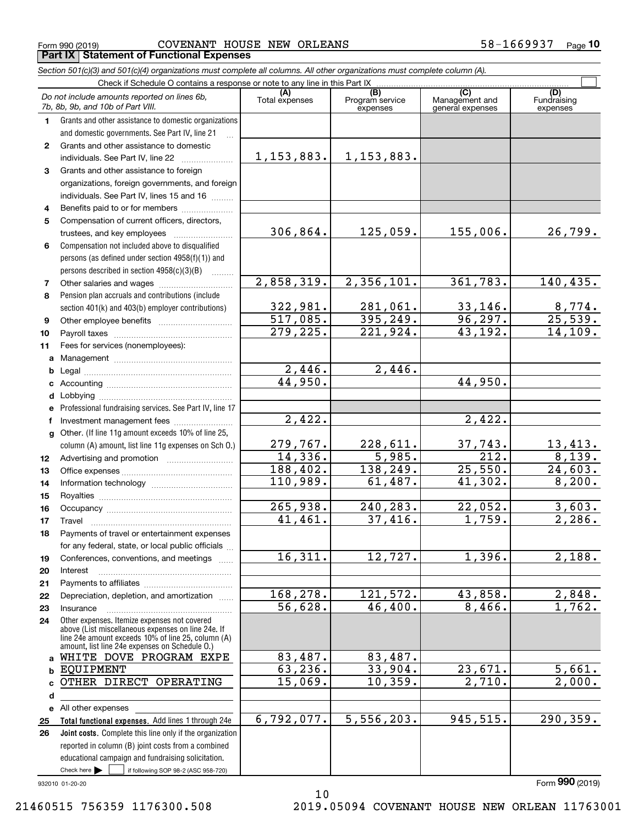$_{\rm Form}$   $_{990}$  (2019) COVENANT HOUSE NEW ORLEANS 58-1669937  $_{\rm Page}$ **Part IX Statement of Functional Expenses**

*Section 501(c)(3) and 501(c)(4) organizations must complete all columns. All other organizations must complete column (A).*

| Check if Schedule O contains a response or note to any line in this Part IX |                                                                                                                                                                                                            |                       |                                    |                                           |                                |  |  |  |
|-----------------------------------------------------------------------------|------------------------------------------------------------------------------------------------------------------------------------------------------------------------------------------------------------|-----------------------|------------------------------------|-------------------------------------------|--------------------------------|--|--|--|
|                                                                             | Do not include amounts reported on lines 6b,<br>7b, 8b, 9b, and 10b of Part VIII.                                                                                                                          | (A)<br>Total expenses | (B)<br>Program service<br>expenses | (C)<br>Management and<br>general expenses | (D)<br>Fundraising<br>expenses |  |  |  |
| 1.                                                                          | Grants and other assistance to domestic organizations                                                                                                                                                      |                       |                                    |                                           |                                |  |  |  |
|                                                                             | and domestic governments. See Part IV, line 21                                                                                                                                                             |                       |                                    |                                           |                                |  |  |  |
| $\mathbf{2}^{\circ}$                                                        | Grants and other assistance to domestic                                                                                                                                                                    |                       |                                    |                                           |                                |  |  |  |
|                                                                             | individuals. See Part IV, line 22                                                                                                                                                                          | 1, 153, 883.          | 1, 153, 883.                       |                                           |                                |  |  |  |
| 3                                                                           | Grants and other assistance to foreign                                                                                                                                                                     |                       |                                    |                                           |                                |  |  |  |
|                                                                             | organizations, foreign governments, and foreign                                                                                                                                                            |                       |                                    |                                           |                                |  |  |  |
|                                                                             | individuals. See Part IV, lines 15 and 16                                                                                                                                                                  |                       |                                    |                                           |                                |  |  |  |
| 4                                                                           | Benefits paid to or for members                                                                                                                                                                            |                       |                                    |                                           |                                |  |  |  |
| 5                                                                           | Compensation of current officers, directors,                                                                                                                                                               |                       |                                    |                                           |                                |  |  |  |
|                                                                             | trustees, and key employees                                                                                                                                                                                | 306,864.              | 125,059.                           | 155,006.                                  | 26,799.                        |  |  |  |
| 6                                                                           | Compensation not included above to disqualified                                                                                                                                                            |                       |                                    |                                           |                                |  |  |  |
|                                                                             | persons (as defined under section 4958(f)(1)) and                                                                                                                                                          |                       |                                    |                                           |                                |  |  |  |
|                                                                             | persons described in section $4958(c)(3)(B)$                                                                                                                                                               |                       |                                    |                                           |                                |  |  |  |
| 7                                                                           | Other salaries and wages                                                                                                                                                                                   | 2,858,319.            | 2,356,101.                         | 361,783.                                  | 140, 435.                      |  |  |  |
| 8                                                                           | Pension plan accruals and contributions (include                                                                                                                                                           |                       |                                    |                                           |                                |  |  |  |
|                                                                             | section 401(k) and 403(b) employer contributions)                                                                                                                                                          | 322,981.              | 281,061.                           | 33,146.                                   | $\frac{8,774}{25,539}$ .       |  |  |  |
| 9                                                                           |                                                                                                                                                                                                            | 517,085.              | 395, 249.                          | 96, 297.                                  |                                |  |  |  |
| 10                                                                          |                                                                                                                                                                                                            | 279, 225.             | 221,924.                           | $\overline{43,192}$ .                     | 14, 109.                       |  |  |  |
| 11                                                                          | Fees for services (nonemployees):                                                                                                                                                                          |                       |                                    |                                           |                                |  |  |  |
|                                                                             |                                                                                                                                                                                                            |                       |                                    |                                           |                                |  |  |  |
|                                                                             |                                                                                                                                                                                                            | 2,446.                | 2,446.                             |                                           |                                |  |  |  |
|                                                                             |                                                                                                                                                                                                            | 44,950.               |                                    | 44,950.                                   |                                |  |  |  |
| d                                                                           |                                                                                                                                                                                                            |                       |                                    |                                           |                                |  |  |  |
|                                                                             | e Professional fundraising services. See Part IV, line 17                                                                                                                                                  |                       |                                    |                                           |                                |  |  |  |
| f                                                                           | Investment management fees                                                                                                                                                                                 | 2,422.                |                                    | 2,422.                                    |                                |  |  |  |
|                                                                             | g Other. (If line 11g amount exceeds 10% of line 25,                                                                                                                                                       |                       |                                    |                                           |                                |  |  |  |
|                                                                             | column (A) amount, list line 11g expenses on Sch O.)                                                                                                                                                       | 279,767.              | 228,611.                           | 37,743.                                   | $\frac{13,413.}{8,139.}$       |  |  |  |
| 12                                                                          |                                                                                                                                                                                                            | 14,336.               | 5,985.                             | $\overline{212}$ .                        |                                |  |  |  |
| 13                                                                          |                                                                                                                                                                                                            | 188,402.              | 138,249.                           | 25,550.                                   | 24,603.                        |  |  |  |
| 14                                                                          |                                                                                                                                                                                                            | 110,989.              | 61,487.                            | 41,302.                                   | $\sqrt{8,200}$ .               |  |  |  |
| 15                                                                          |                                                                                                                                                                                                            |                       |                                    |                                           |                                |  |  |  |
| 16                                                                          |                                                                                                                                                                                                            | 265,938.              | 240,283.                           | 22,052.                                   | 3,603.                         |  |  |  |
| 17                                                                          |                                                                                                                                                                                                            | 41,461.               | 37,416.                            | 1,759.                                    | 2,286.                         |  |  |  |
| 18                                                                          | Payments of travel or entertainment expenses                                                                                                                                                               |                       |                                    |                                           |                                |  |  |  |
|                                                                             | for any federal, state, or local public officials                                                                                                                                                          |                       |                                    |                                           |                                |  |  |  |
| 19                                                                          | Conferences, conventions, and meetings                                                                                                                                                                     | 16,311.               | 12,727.                            | 1,396.                                    | 2,188.                         |  |  |  |
| 20                                                                          | Interest                                                                                                                                                                                                   |                       |                                    |                                           |                                |  |  |  |
| 21                                                                          |                                                                                                                                                                                                            |                       |                                    |                                           |                                |  |  |  |
| 22                                                                          | Depreciation, depletion, and amortization                                                                                                                                                                  | 168,278.              | 121,572.                           | 43,858.                                   | 2,848.                         |  |  |  |
| 23                                                                          | Insurance                                                                                                                                                                                                  | 56,628.               | 46,400.                            | 8,466.                                    | 1,762.                         |  |  |  |
| 24                                                                          | Other expenses. Itemize expenses not covered<br>above (List miscellaneous expenses on line 24e. If<br>line 24e amount exceeds 10% of line 25, column (A)<br>amount, list line 24e expenses on Schedule 0.) |                       |                                    |                                           |                                |  |  |  |
|                                                                             | a WHITE DOVE PROGRAM EXPE                                                                                                                                                                                  | 83,487.               | 83,487.                            |                                           |                                |  |  |  |
|                                                                             | <b>b EQUIPMENT</b>                                                                                                                                                                                         | 63, 236.              | 33,904.                            | 23,671.                                   | 5,661.                         |  |  |  |
| c                                                                           | OTHER DIRECT OPERATING                                                                                                                                                                                     | 15,069.               | 10, 359.                           | $\overline{2,710}$ .                      | 2,000.                         |  |  |  |
| d                                                                           |                                                                                                                                                                                                            |                       |                                    |                                           |                                |  |  |  |
|                                                                             | e All other expenses                                                                                                                                                                                       |                       |                                    |                                           |                                |  |  |  |
| 25                                                                          | Total functional expenses. Add lines 1 through 24e                                                                                                                                                         | 6,792,077.            | 5,556,203.                         | 945, 515.                                 | 290, 359.                      |  |  |  |
| 26                                                                          | Joint costs. Complete this line only if the organization                                                                                                                                                   |                       |                                    |                                           |                                |  |  |  |
|                                                                             | reported in column (B) joint costs from a combined                                                                                                                                                         |                       |                                    |                                           |                                |  |  |  |
|                                                                             | educational campaign and fundraising solicitation.                                                                                                                                                         |                       |                                    |                                           |                                |  |  |  |
|                                                                             | Check here $\blacktriangleright$<br>if following SOP 98-2 (ASC 958-720)                                                                                                                                    |                       |                                    |                                           |                                |  |  |  |

10

932010 01-20-20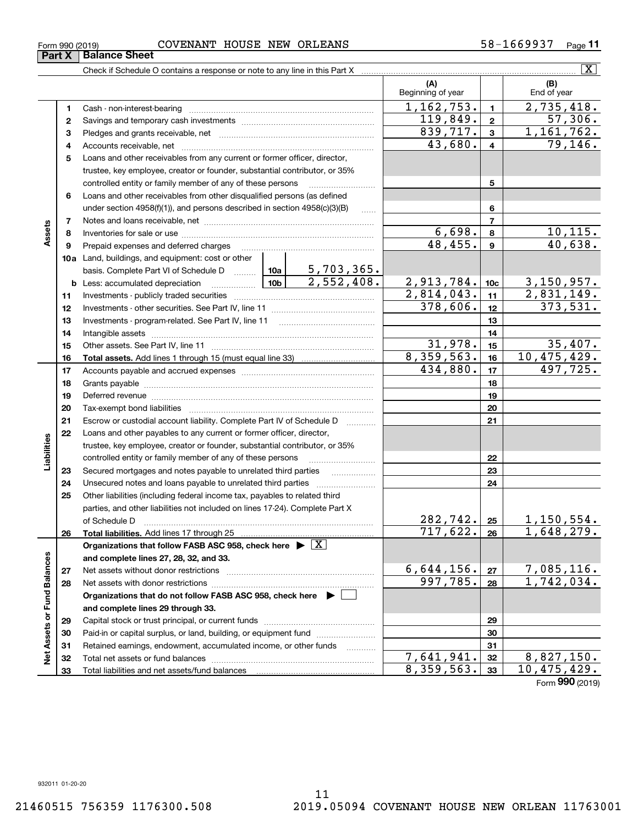**3233**

Total liabilities and net assets/fund balances

**Net Assets or Fund Balances**

 $\frac{1}{2}$ 

Assets or Fund Balances

**33**

| Form 990 (2019) |                 | <b>COVENANT</b> |  | HOUSE NEW ORLEANS | 58-1669937 | Page |
|-----------------|-----------------|-----------------|--|-------------------|------------|------|
| <b>Part X</b>   | ( Balance Sheet |                 |  |                   |            |      |

Check if Schedule O contains a response or note to any line in this Part X

**(A) (B) 123** Pledges and grants receivable, net  $\ldots$  **multimes contained and grants receivable**, net **multimes contained and grants receivable**, net **multimes contained and grants receivable 45678910a**Land, buildings, and equipment: cost or other **111213 14151617181920212223242526272829303112345678910c11121314151617181920212223242526b** Less: accumulated depreciation  $\ldots$  **10b** basis. Complete Part VI of Schedule D will aller **Total assets.**  Add lines 1 through 15 (must equal line 33) **Total liabilities.**  Add lines 17 through 25 **Organizations that follow FASB ASC 958, check here** | X **and complete lines 27, 28, 32, and 33. 2728Organizations that do not follow FASB ASC 958, check here** | **and complete lines 29 through 33. 29303132**Beginning of year  $\vert$  | End of year Cash - non-interest-bearing ~~~~~~~~~~~~~~~~~~~~~~~~~ Savings and temporary cash investments ~~~~~~~~~~~~~~~~~~Accounts receivable, net ~~~~~~~~~~~~~~~~~~~~~~~~~~ Loans and other receivables from any current or former officer, director, trustee, key employee, creator or founder, substantial contributor, or 35% controlled entity or family member of any of these persons ............................ Loans and other receivables from other disqualified persons (as defined under section  $4958(f)(1)$ , and persons described in section  $4958(c)(3)(B)$ Notes and loans receivable, net ~~~~~~~~~~~~~~~~~~~~~~~Inventories for sale or use ~~~~~~~~~~~~~~~~~~~~~~~~~~ Prepaid expenses and deferred charges ~~~~~~~~~~~~~~~~~~ Investments - publicly traded securities ~~~~~~~~~~~~~~~~~~~ Investments - other securities. See Part IV, line 11 ~~~~~~~~~~~~~~ Investments - program-related. See Part IV, line 11 [2010] [2010] [2010] [2010] [2010] [2010] [2010] [2010] [2 Intangible assets ~~~~~~~~~~~~~~~~~~~~~~~~~~~~~~ Other assets. See Part IV, line 11 ~~~~~~~~~~~~~~~~~~~~~~ Accounts payable and accrued expenses ~~~~~~~~~~~~~~~~~~ Grants payable ~~~~~~~~~~~~~~~~~~~~~~~~~~~~~~~ Deferred revenue ~~~~~~~~~~~~~~~~~~~~~~~~~~~~~~ Tax-exempt bond liabilities …………………………………………………………… Escrow or custodial account liability. Complete Part IV of Schedule D Loans and other payables to any current or former officer, director, trustee, key employee, creator or founder, substantial contributor, or 35% controlled entity or family member of any of these persons ~~~~~~~~~Secured mortgages and notes payable to unrelated third parties Unsecured notes and loans payable to unrelated third parties Other liabilities (including federal income tax, payables to related third parties, and other liabilities not included on lines 17-24). Complete Part X of Schedule D ~~~~~~~~~~~~~~~~~~~~~~~~~~~~~~~ Net assets without donor restrictions <sub>…………………………………………………</sub>…… Net assets with donor restrictions ~~~~~~~~~~~~~~~~~~~~~~Capital stock or trust principal, or current funds ~~~~~~~~~~~~~~~ Paid-in or capital surplus, or land, building, or equipment fund www.commun.com Retained earnings, endowment, accumulated income, or other funds Total net assets or fund balances ~~~~~~~~~~~~~~~~~~~~~~  $1,162,753.$   $1 \mid 2,735,418.$ 43,680. 79,146.  $839,717.$   $3$  1,161,762.  $6,698. | 8 | 10,115.$ 48,455. 40,638.  $2,814,043.$   $|11|$   $2,831,149.$ 5,703,365.  $2,552,408.$  2,913,784. 10c 3,150,957.  $31,978.$   $15$  35,407. 8,359,563. 10,475,429. 119,849. 57,306.  $434,880.$   $\boxed{17}$   $497,725.$  $282, 742. |25 | 1, 150, 554.$  $717,622. |26 | 1,648,279.$  $6,644,156. |z_7|$  7,085,116.  $997,785. |28 | 1,742,034.$  $7,641,941.$   $32$  | 8,827,150.  $378,606.$   $12$  373,531.

Form (2019) **990**8,359,563. 33 10,475,429.

 $\boxed{\text{X}}$ 

**Assets**

**Liabilities**

iabilities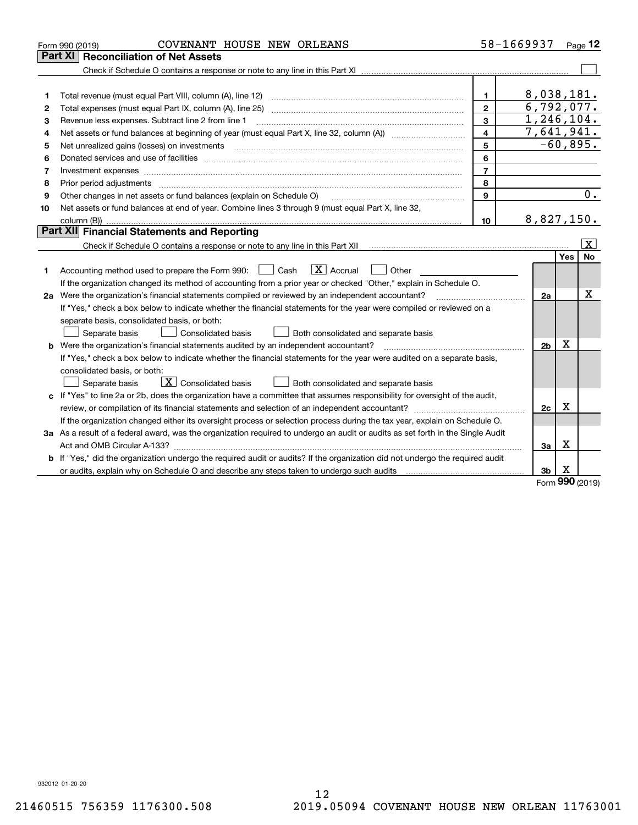|    | COVENANT HOUSE NEW ORLEANS<br>Form 990 (2019)                                                                                   |                         | 58-1669937 Page 12 |          |                         |
|----|---------------------------------------------------------------------------------------------------------------------------------|-------------------------|--------------------|----------|-------------------------|
|    | <b>Reconciliation of Net Assets</b><br>Part XI                                                                                  |                         |                    |          |                         |
|    |                                                                                                                                 |                         |                    |          |                         |
|    |                                                                                                                                 |                         |                    |          |                         |
| 1  | Total revenue (must equal Part VIII, column (A), line 12)                                                                       | $\mathbf{1}$            | 8,038,181.         |          |                         |
| 2  | Total expenses (must equal Part IX, column (A), line 25)                                                                        | $\mathbf{2}$            | 6,792,077.         |          |                         |
| з  | Revenue less expenses. Subtract line 2 from line 1                                                                              | 3                       | 1,246,104.         |          |                         |
| 4  |                                                                                                                                 | $\overline{\mathbf{4}}$ | 7,641,941.         |          |                         |
| 5  | Net unrealized gains (losses) on investments                                                                                    | 5                       | $-60,895.$         |          |                         |
| 6  |                                                                                                                                 | 6                       |                    |          |                         |
| 7  | Investment expenses www.communication.communication.com/www.communication.com/www.communication.com                             | $\overline{7}$          |                    |          |                         |
| 8  | Prior period adjustments                                                                                                        | 8                       |                    |          |                         |
| 9  | Other changes in net assets or fund balances (explain on Schedule O)                                                            | 9                       |                    |          | 0.                      |
| 10 | Net assets or fund balances at end of year. Combine lines 3 through 9 (must equal Part X, line 32,                              |                         |                    |          |                         |
|    |                                                                                                                                 | 10                      | 8,827,150.         |          |                         |
|    | Part XII Financial Statements and Reporting                                                                                     |                         |                    |          |                         |
|    |                                                                                                                                 |                         |                    |          | $\overline{\mathbf{X}}$ |
|    |                                                                                                                                 |                         |                    | Yes      | No                      |
| 1. | $ X $ Accrual<br>Accounting method used to prepare the Form 990: <u>I</u> Cash<br>Other                                         |                         |                    |          |                         |
|    | If the organization changed its method of accounting from a prior year or checked "Other," explain in Schedule O.               |                         |                    |          |                         |
|    | 2a Were the organization's financial statements compiled or reviewed by an independent accountant?                              |                         | 2a                 |          | Х                       |
|    | If "Yes," check a box below to indicate whether the financial statements for the year were compiled or reviewed on a            |                         |                    |          |                         |
|    | separate basis, consolidated basis, or both:                                                                                    |                         |                    |          |                         |
|    | Separate basis<br><b>Consolidated basis</b><br>Both consolidated and separate basis                                             |                         |                    |          |                         |
|    | <b>b</b> Were the organization's financial statements audited by an independent accountant?                                     |                         | 2 <sub>b</sub>     | х        |                         |
|    | If "Yes," check a box below to indicate whether the financial statements for the year were audited on a separate basis,         |                         |                    |          |                         |
|    | consolidated basis, or both:                                                                                                    |                         |                    |          |                         |
|    | $\overline{X}$ Consolidated basis<br>Both consolidated and separate basis<br>Separate basis                                     |                         |                    |          |                         |
|    | c If "Yes" to line 2a or 2b, does the organization have a committee that assumes responsibility for oversight of the audit,     |                         |                    |          |                         |
|    |                                                                                                                                 |                         | 2c                 | х        |                         |
|    | If the organization changed either its oversight process or selection process during the tax year, explain on Schedule O.       |                         |                    |          |                         |
|    | 3a As a result of a federal award, was the organization required to undergo an audit or audits as set forth in the Single Audit |                         |                    |          |                         |
|    |                                                                                                                                 |                         | 3a                 | х        |                         |
|    | b If "Yes," did the organization undergo the required audit or audits? If the organization did not undergo the required audit   |                         |                    |          |                         |
|    | or audits, explain why on Schedule O and describe any steps taken to undergo such audits                                        |                         | 3b                 | X<br>nnn |                         |

Form (2019) **990**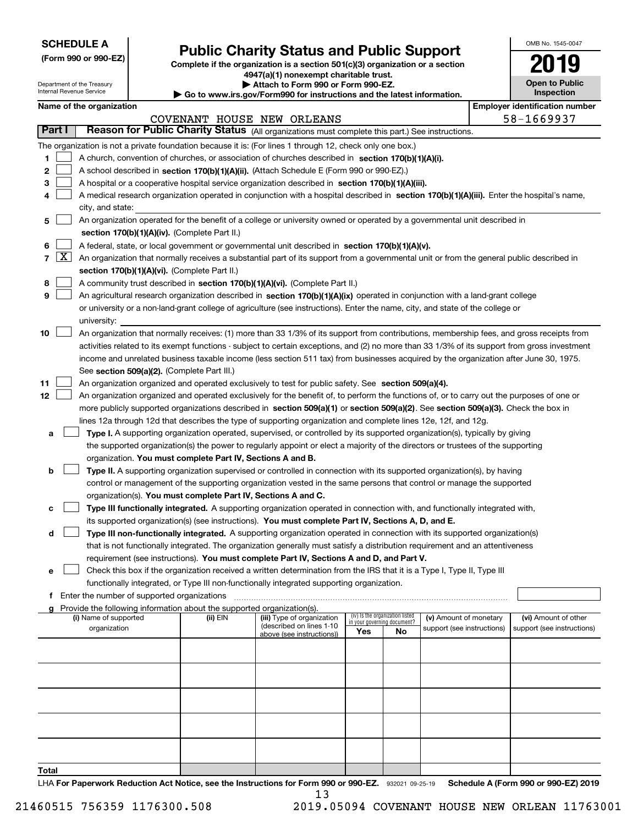| <b>SCHEDULE A</b> |
|-------------------|
|-------------------|

**(Form 990 or 990-EZ)**

### **Public Charity Status and Public Support**

**Complete if the organization is a section 501(c)(3) organization or a section 4947(a)(1) nonexempt charitable trust.**

| Attach to Form 990 or Form 990-EZ.                                               |
|----------------------------------------------------------------------------------|
| $\ldots$ is not (Found) $\Omega$ for included in a snall that about information. |

| OMB No. 1545-0047                   |
|-------------------------------------|
| 2019                                |
| <b>Open to Public</b><br>Inspection |

| Department of the Treasury<br>Internal Revenue Service |                     |                                                                                                                           |                                             | Attach to Form 990 or Form 990-EZ.<br>Go to www.irs.gov/Form990 for instructions and the latest information. |                                                                                                                                               |     |                                                                |                            |  |                                       |  |  |
|--------------------------------------------------------|---------------------|---------------------------------------------------------------------------------------------------------------------------|---------------------------------------------|--------------------------------------------------------------------------------------------------------------|-----------------------------------------------------------------------------------------------------------------------------------------------|-----|----------------------------------------------------------------|----------------------------|--|---------------------------------------|--|--|
|                                                        |                     | Name of the organization                                                                                                  |                                             |                                                                                                              |                                                                                                                                               |     |                                                                |                            |  | <b>Employer identification number</b> |  |  |
|                                                        |                     |                                                                                                                           |                                             |                                                                                                              | COVENANT HOUSE NEW ORLEANS                                                                                                                    |     |                                                                |                            |  | 58-1669937                            |  |  |
| <b>Part I</b>                                          |                     |                                                                                                                           |                                             |                                                                                                              | Reason for Public Charity Status (All organizations must complete this part.) See instructions.                                               |     |                                                                |                            |  |                                       |  |  |
|                                                        |                     |                                                                                                                           |                                             |                                                                                                              | The organization is not a private foundation because it is: (For lines 1 through 12, check only one box.)                                     |     |                                                                |                            |  |                                       |  |  |
| 1                                                      |                     |                                                                                                                           |                                             |                                                                                                              | A church, convention of churches, or association of churches described in section 170(b)(1)(A)(i).                                            |     |                                                                |                            |  |                                       |  |  |
| 2                                                      |                     | A school described in section 170(b)(1)(A)(ii). (Attach Schedule E (Form 990 or 990-EZ).)                                 |                                             |                                                                                                              |                                                                                                                                               |     |                                                                |                            |  |                                       |  |  |
| з                                                      |                     |                                                                                                                           |                                             |                                                                                                              | A hospital or a cooperative hospital service organization described in section 170(b)(1)(A)(iii).                                             |     |                                                                |                            |  |                                       |  |  |
| 4                                                      |                     |                                                                                                                           |                                             |                                                                                                              | A medical research organization operated in conjunction with a hospital described in section 170(b)(1)(A)(iii). Enter the hospital's name,    |     |                                                                |                            |  |                                       |  |  |
|                                                        |                     | city, and state:                                                                                                          |                                             |                                                                                                              |                                                                                                                                               |     |                                                                |                            |  |                                       |  |  |
| 5                                                      |                     | An organization operated for the benefit of a college or university owned or operated by a governmental unit described in |                                             |                                                                                                              |                                                                                                                                               |     |                                                                |                            |  |                                       |  |  |
|                                                        |                     | section 170(b)(1)(A)(iv). (Complete Part II.)                                                                             |                                             |                                                                                                              |                                                                                                                                               |     |                                                                |                            |  |                                       |  |  |
| 6                                                      |                     |                                                                                                                           |                                             |                                                                                                              | A federal, state, or local government or governmental unit described in section 170(b)(1)(A)(v).                                              |     |                                                                |                            |  |                                       |  |  |
| $\overline{7}$                                         | $\lfloor x \rfloor$ |                                                                                                                           |                                             |                                                                                                              | An organization that normally receives a substantial part of its support from a governmental unit or from the general public described in     |     |                                                                |                            |  |                                       |  |  |
|                                                        |                     |                                                                                                                           |                                             | section 170(b)(1)(A)(vi). (Complete Part II.)                                                                |                                                                                                                                               |     |                                                                |                            |  |                                       |  |  |
| 8                                                      |                     |                                                                                                                           |                                             |                                                                                                              | A community trust described in section 170(b)(1)(A)(vi). (Complete Part II.)                                                                  |     |                                                                |                            |  |                                       |  |  |
| 9                                                      |                     |                                                                                                                           |                                             |                                                                                                              | An agricultural research organization described in section 170(b)(1)(A)(ix) operated in conjunction with a land-grant college                 |     |                                                                |                            |  |                                       |  |  |
|                                                        |                     |                                                                                                                           |                                             |                                                                                                              | or university or a non-land-grant college of agriculture (see instructions). Enter the name, city, and state of the college or                |     |                                                                |                            |  |                                       |  |  |
|                                                        |                     | university:                                                                                                               |                                             |                                                                                                              |                                                                                                                                               |     |                                                                |                            |  |                                       |  |  |
| 10                                                     |                     |                                                                                                                           |                                             |                                                                                                              | An organization that normally receives: (1) more than 33 1/3% of its support from contributions, membership fees, and gross receipts from     |     |                                                                |                            |  |                                       |  |  |
|                                                        |                     |                                                                                                                           |                                             |                                                                                                              | activities related to its exempt functions - subject to certain exceptions, and (2) no more than 33 1/3% of its support from gross investment |     |                                                                |                            |  |                                       |  |  |
|                                                        |                     |                                                                                                                           |                                             |                                                                                                              | income and unrelated business taxable income (less section 511 tax) from businesses acquired by the organization after June 30, 1975.         |     |                                                                |                            |  |                                       |  |  |
|                                                        |                     |                                                                                                                           |                                             | See section 509(a)(2). (Complete Part III.)                                                                  |                                                                                                                                               |     |                                                                |                            |  |                                       |  |  |
| 11                                                     |                     |                                                                                                                           |                                             |                                                                                                              | An organization organized and operated exclusively to test for public safety. See section 509(a)(4).                                          |     |                                                                |                            |  |                                       |  |  |
| 12                                                     |                     |                                                                                                                           |                                             |                                                                                                              | An organization organized and operated exclusively for the benefit of, to perform the functions of, or to carry out the purposes of one or    |     |                                                                |                            |  |                                       |  |  |
|                                                        |                     |                                                                                                                           |                                             |                                                                                                              | more publicly supported organizations described in section 509(a)(1) or section 509(a)(2). See section 509(a)(3). Check the box in            |     |                                                                |                            |  |                                       |  |  |
|                                                        |                     |                                                                                                                           |                                             |                                                                                                              | lines 12a through 12d that describes the type of supporting organization and complete lines 12e, 12f, and 12g.                                |     |                                                                |                            |  |                                       |  |  |
| а                                                      |                     |                                                                                                                           |                                             |                                                                                                              | Type I. A supporting organization operated, supervised, or controlled by its supported organization(s), typically by giving                   |     |                                                                |                            |  |                                       |  |  |
|                                                        |                     |                                                                                                                           |                                             |                                                                                                              | the supported organization(s) the power to regularly appoint or elect a majority of the directors or trustees of the supporting               |     |                                                                |                            |  |                                       |  |  |
|                                                        |                     |                                                                                                                           |                                             | organization. You must complete Part IV, Sections A and B.                                                   |                                                                                                                                               |     |                                                                |                            |  |                                       |  |  |
| b                                                      |                     |                                                                                                                           |                                             |                                                                                                              | Type II. A supporting organization supervised or controlled in connection with its supported organization(s), by having                       |     |                                                                |                            |  |                                       |  |  |
|                                                        |                     |                                                                                                                           |                                             |                                                                                                              | control or management of the supporting organization vested in the same persons that control or manage the supported                          |     |                                                                |                            |  |                                       |  |  |
|                                                        |                     |                                                                                                                           |                                             | organization(s). You must complete Part IV, Sections A and C.                                                |                                                                                                                                               |     |                                                                |                            |  |                                       |  |  |
| с                                                      |                     |                                                                                                                           |                                             |                                                                                                              | Type III functionally integrated. A supporting organization operated in connection with, and functionally integrated with,                    |     |                                                                |                            |  |                                       |  |  |
|                                                        |                     |                                                                                                                           |                                             |                                                                                                              | its supported organization(s) (see instructions). You must complete Part IV, Sections A, D, and E.                                            |     |                                                                |                            |  |                                       |  |  |
| d                                                      |                     |                                                                                                                           |                                             |                                                                                                              | Type III non-functionally integrated. A supporting organization operated in connection with its supported organization(s)                     |     |                                                                |                            |  |                                       |  |  |
|                                                        |                     |                                                                                                                           |                                             |                                                                                                              | that is not functionally integrated. The organization generally must satisfy a distribution requirement and an attentiveness                  |     |                                                                |                            |  |                                       |  |  |
|                                                        |                     |                                                                                                                           |                                             |                                                                                                              | requirement (see instructions). You must complete Part IV, Sections A and D, and Part V.                                                      |     |                                                                |                            |  |                                       |  |  |
| е                                                      |                     |                                                                                                                           |                                             |                                                                                                              | Check this box if the organization received a written determination from the IRS that it is a Type I, Type II, Type III                       |     |                                                                |                            |  |                                       |  |  |
|                                                        |                     |                                                                                                                           |                                             |                                                                                                              | functionally integrated, or Type III non-functionally integrated supporting organization.                                                     |     |                                                                |                            |  |                                       |  |  |
| f                                                      |                     |                                                                                                                           | Enter the number of supported organizations |                                                                                                              |                                                                                                                                               |     |                                                                |                            |  |                                       |  |  |
| a                                                      |                     |                                                                                                                           |                                             | Provide the following information about the supported organization(s).                                       |                                                                                                                                               |     |                                                                |                            |  |                                       |  |  |
|                                                        |                     | (i) Name of supported                                                                                                     |                                             | (ii) EIN                                                                                                     | (iii) Type of organization                                                                                                                    |     | (iv) Is the organization listed<br>in your governing document? | (v) Amount of monetary     |  | (vi) Amount of other                  |  |  |
|                                                        |                     | organization                                                                                                              |                                             |                                                                                                              | (described on lines 1-10<br>above (see instructions))                                                                                         | Yes | No                                                             | support (see instructions) |  | support (see instructions)            |  |  |
|                                                        |                     |                                                                                                                           |                                             |                                                                                                              |                                                                                                                                               |     |                                                                |                            |  |                                       |  |  |
|                                                        |                     |                                                                                                                           |                                             |                                                                                                              |                                                                                                                                               |     |                                                                |                            |  |                                       |  |  |
|                                                        |                     |                                                                                                                           |                                             |                                                                                                              |                                                                                                                                               |     |                                                                |                            |  |                                       |  |  |
|                                                        |                     |                                                                                                                           |                                             |                                                                                                              |                                                                                                                                               |     |                                                                |                            |  |                                       |  |  |
|                                                        |                     |                                                                                                                           |                                             |                                                                                                              |                                                                                                                                               |     |                                                                |                            |  |                                       |  |  |
|                                                        |                     |                                                                                                                           |                                             |                                                                                                              |                                                                                                                                               |     |                                                                |                            |  |                                       |  |  |
|                                                        |                     |                                                                                                                           |                                             |                                                                                                              |                                                                                                                                               |     |                                                                |                            |  |                                       |  |  |
|                                                        |                     |                                                                                                                           |                                             |                                                                                                              |                                                                                                                                               |     |                                                                |                            |  |                                       |  |  |
|                                                        |                     |                                                                                                                           |                                             |                                                                                                              |                                                                                                                                               |     |                                                                |                            |  |                                       |  |  |
|                                                        |                     |                                                                                                                           |                                             |                                                                                                              |                                                                                                                                               |     |                                                                |                            |  |                                       |  |  |

LHA For Paperwork Reduction Act Notice, see the Instructions for Form 990 or 990-EZ. 932021 09-25-19 Schedule A (Form 990 or 990-EZ) 2019 13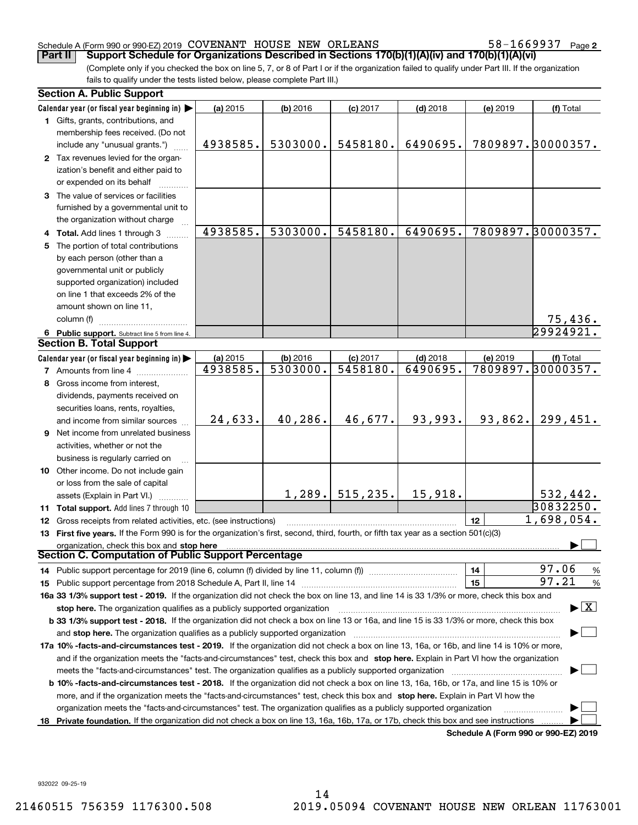#### Schedule A (Form 990 or 990-EZ) 2019 Page COVENANT HOUSE NEW ORLEANS 58-1669937

**2**

(Complete only if you checked the box on line 5, 7, or 8 of Part I or if the organization failed to qualify under Part III. If the organization fails to qualify under the tests listed below, please complete Part III.) **Part II Support Schedule for Organizations Described in Sections 170(b)(1)(A)(iv) and 170(b)(1)(A)(vi)**

|    | <b>Section A. Public Support</b>                                                                                                               |          |            |            |            |          |                                         |  |  |
|----|------------------------------------------------------------------------------------------------------------------------------------------------|----------|------------|------------|------------|----------|-----------------------------------------|--|--|
|    | Calendar year (or fiscal year beginning in) $\blacktriangleright$                                                                              | (a) 2015 | $(b)$ 2016 | $(c)$ 2017 | $(d)$ 2018 | (e) 2019 | (f) Total                               |  |  |
|    | 1 Gifts, grants, contributions, and                                                                                                            |          |            |            |            |          |                                         |  |  |
|    | membership fees received. (Do not                                                                                                              |          |            |            |            |          |                                         |  |  |
|    | include any "unusual grants.")                                                                                                                 | 4938585. | 5303000.   | 5458180.   | 6490695.   |          | 7809897.30000357.                       |  |  |
|    | 2 Tax revenues levied for the organ-                                                                                                           |          |            |            |            |          |                                         |  |  |
|    | ization's benefit and either paid to                                                                                                           |          |            |            |            |          |                                         |  |  |
|    | or expended on its behalf                                                                                                                      |          |            |            |            |          |                                         |  |  |
|    | 3 The value of services or facilities                                                                                                          |          |            |            |            |          |                                         |  |  |
|    | furnished by a governmental unit to                                                                                                            |          |            |            |            |          |                                         |  |  |
|    | the organization without charge                                                                                                                |          |            |            |            |          |                                         |  |  |
|    | 4 Total. Add lines 1 through 3                                                                                                                 | 4938585. | 5303000.   | 5458180.   | 6490695.   |          | 7809897.30000357.                       |  |  |
|    | 5 The portion of total contributions                                                                                                           |          |            |            |            |          |                                         |  |  |
|    | by each person (other than a                                                                                                                   |          |            |            |            |          |                                         |  |  |
|    | governmental unit or publicly                                                                                                                  |          |            |            |            |          |                                         |  |  |
|    | supported organization) included                                                                                                               |          |            |            |            |          |                                         |  |  |
|    | on line 1 that exceeds 2% of the                                                                                                               |          |            |            |            |          |                                         |  |  |
|    | amount shown on line 11,                                                                                                                       |          |            |            |            |          |                                         |  |  |
|    | column (f)                                                                                                                                     |          |            |            |            |          | <u>75,436.</u>                          |  |  |
|    | 6 Public support. Subtract line 5 from line 4.                                                                                                 |          |            |            |            |          | 29924921.                               |  |  |
|    | <b>Section B. Total Support</b>                                                                                                                |          |            |            |            |          |                                         |  |  |
|    | Calendar year (or fiscal year beginning in)                                                                                                    | (a) 2015 | (b) 2016   | $(c)$ 2017 | $(d)$ 2018 | (e) 2019 | (f) Total                               |  |  |
|    | <b>7</b> Amounts from line 4                                                                                                                   | 4938585. | 5303000.   | 5458180.   | 6490695.   |          | 7809897.30000357.                       |  |  |
| 8  | Gross income from interest,                                                                                                                    |          |            |            |            |          |                                         |  |  |
|    | dividends, payments received on                                                                                                                |          |            |            |            |          |                                         |  |  |
|    | securities loans, rents, royalties,                                                                                                            |          |            |            |            |          |                                         |  |  |
|    | and income from similar sources                                                                                                                | 24,633.  | 40,286.    | 46,677.    | 93,993.    | 93,862.  | 299,451.                                |  |  |
|    | 9 Net income from unrelated business                                                                                                           |          |            |            |            |          |                                         |  |  |
|    | activities, whether or not the                                                                                                                 |          |            |            |            |          |                                         |  |  |
|    | business is regularly carried on                                                                                                               |          |            |            |            |          |                                         |  |  |
|    | 10 Other income. Do not include gain                                                                                                           |          |            |            |            |          |                                         |  |  |
|    | or loss from the sale of capital                                                                                                               |          |            |            |            |          |                                         |  |  |
|    | assets (Explain in Part VI.)                                                                                                                   |          | 1,289.     | 515, 235.  | 15,918.    |          | 532,442.                                |  |  |
|    | 11 Total support. Add lines 7 through 10                                                                                                       |          |            |            |            |          | 30832250.                               |  |  |
|    | 12 Gross receipts from related activities, etc. (see instructions)                                                                             |          |            |            |            | 12       | 1,698,054.                              |  |  |
|    | 13 First five years. If the Form 990 is for the organization's first, second, third, fourth, or fifth tax year as a section 501(c)(3)          |          |            |            |            |          |                                         |  |  |
|    | organization, check this box and stop here                                                                                                     |          |            |            |            |          |                                         |  |  |
|    | Section C. Computation of Public Support Percentage                                                                                            |          |            |            |            |          |                                         |  |  |
|    | 14 Public support percentage for 2019 (line 6, column (f) divided by line 11, column (f) <i>mummumumum</i>                                     |          |            |            |            | 14       | 97.06<br>$\frac{9}{6}$                  |  |  |
|    |                                                                                                                                                |          |            |            |            | 15       | 97.21<br>%                              |  |  |
|    | 16a 33 1/3% support test - 2019. If the organization did not check the box on line 13, and line 14 is 33 1/3% or more, check this box and      |          |            |            |            |          |                                         |  |  |
|    | stop here. The organization qualifies as a publicly supported organization                                                                     |          |            |            |            |          | $\blacktriangleright$ $\vert$ X $\vert$ |  |  |
|    | b 33 1/3% support test - 2018. If the organization did not check a box on line 13 or 16a, and line 15 is 33 1/3% or more, check this box       |          |            |            |            |          |                                         |  |  |
|    |                                                                                                                                                |          |            |            |            |          |                                         |  |  |
|    | 17a 10% -facts-and-circumstances test - 2019. If the organization did not check a box on line 13, 16a, or 16b, and line 14 is 10% or more,     |          |            |            |            |          |                                         |  |  |
|    | and if the organization meets the "facts-and-circumstances" test, check this box and stop here. Explain in Part VI how the organization        |          |            |            |            |          |                                         |  |  |
|    | meets the "facts-and-circumstances" test. The organization qualifies as a publicly supported organization <i>manumumumumum</i>                 |          |            |            |            |          |                                         |  |  |
|    | <b>b 10% -facts-and-circumstances test - 2018.</b> If the organization did not check a box on line 13, 16a, 16b, or 17a, and line 15 is 10% or |          |            |            |            |          |                                         |  |  |
|    | more, and if the organization meets the "facts-and-circumstances" test, check this box and stop here. Explain in Part VI how the               |          |            |            |            |          |                                         |  |  |
|    | organization meets the "facts-and-circumstances" test. The organization qualifies as a publicly supported organization                         |          |            |            |            |          |                                         |  |  |
| 18 | Private foundation. If the organization did not check a box on line 13, 16a, 16b, 17a, or 17b, check this box and see instructions             |          |            |            |            |          | Schedule A (Form 990 or 990-EZ) 2019    |  |  |

**Schedule A (Form 990 or 990-EZ) 2019**

932022 09-25-19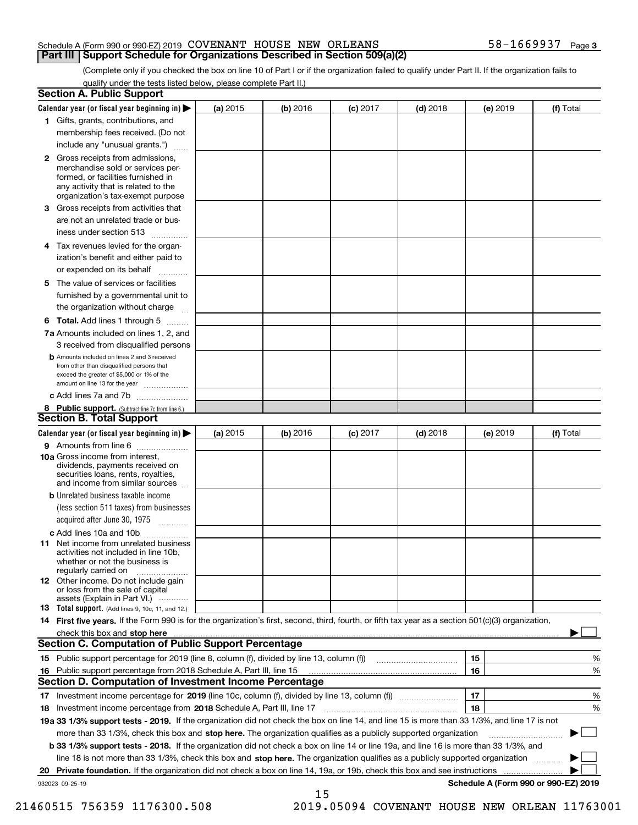#### Schedule A (Form 990 or 990-EZ) 2019 Page COVENANT HOUSE NEW ORLEANS 58-1669937 **Part III Support Schedule for Organizations Described in Section 509(a)(2)**

(Complete only if you checked the box on line 10 of Part I or if the organization failed to qualify under Part II. If the organization fails to qualify under the tests listed below, please complete Part II.)

|    | <b>Section A. Public Support</b>                                                                                                                                                                                               |          |            |            |            |          |                                      |
|----|--------------------------------------------------------------------------------------------------------------------------------------------------------------------------------------------------------------------------------|----------|------------|------------|------------|----------|--------------------------------------|
|    | Calendar year (or fiscal year beginning in) $\blacktriangleright$                                                                                                                                                              | (a) 2015 | $(b)$ 2016 | $(c)$ 2017 | $(d)$ 2018 | (e) 2019 | (f) Total                            |
|    | 1 Gifts, grants, contributions, and                                                                                                                                                                                            |          |            |            |            |          |                                      |
|    | membership fees received. (Do not                                                                                                                                                                                              |          |            |            |            |          |                                      |
|    | include any "unusual grants.")                                                                                                                                                                                                 |          |            |            |            |          |                                      |
|    | 2 Gross receipts from admissions,<br>merchandise sold or services per-<br>formed, or facilities furnished in<br>any activity that is related to the<br>organization's tax-exempt purpose                                       |          |            |            |            |          |                                      |
|    | 3 Gross receipts from activities that<br>are not an unrelated trade or bus-                                                                                                                                                    |          |            |            |            |          |                                      |
|    | iness under section 513                                                                                                                                                                                                        |          |            |            |            |          |                                      |
|    | 4 Tax revenues levied for the organ-                                                                                                                                                                                           |          |            |            |            |          |                                      |
|    | ization's benefit and either paid to<br>or expended on its behalf<br>.                                                                                                                                                         |          |            |            |            |          |                                      |
|    | 5 The value of services or facilities                                                                                                                                                                                          |          |            |            |            |          |                                      |
|    | furnished by a governmental unit to                                                                                                                                                                                            |          |            |            |            |          |                                      |
|    | the organization without charge                                                                                                                                                                                                |          |            |            |            |          |                                      |
|    | <b>6 Total.</b> Add lines 1 through 5                                                                                                                                                                                          |          |            |            |            |          |                                      |
|    | 7a Amounts included on lines 1, 2, and                                                                                                                                                                                         |          |            |            |            |          |                                      |
|    | 3 received from disqualified persons<br><b>b</b> Amounts included on lines 2 and 3 received                                                                                                                                    |          |            |            |            |          |                                      |
|    | from other than disqualified persons that<br>exceed the greater of \$5,000 or 1% of the<br>amount on line 13 for the year                                                                                                      |          |            |            |            |          |                                      |
|    | c Add lines 7a and 7b                                                                                                                                                                                                          |          |            |            |            |          |                                      |
|    | 8 Public support. (Subtract line 7c from line 6.)<br><b>Section B. Total Support</b>                                                                                                                                           |          |            |            |            |          |                                      |
|    | Calendar year (or fiscal year beginning in) $\blacktriangleright$                                                                                                                                                              | (a) 2015 | (b) 2016   | $(c)$ 2017 | $(d)$ 2018 | (e) 2019 | (f) Total                            |
|    | 9 Amounts from line 6                                                                                                                                                                                                          |          |            |            |            |          |                                      |
|    | 10a Gross income from interest,<br>dividends, payments received on<br>securities loans, rents, royalties,<br>and income from similar sources                                                                                   |          |            |            |            |          |                                      |
|    | <b>b</b> Unrelated business taxable income<br>(less section 511 taxes) from businesses                                                                                                                                         |          |            |            |            |          |                                      |
|    | acquired after June 30, 1975                                                                                                                                                                                                   |          |            |            |            |          |                                      |
|    | c Add lines 10a and 10b<br>11 Net income from unrelated business<br>activities not included in line 10b,<br>whether or not the business is<br>regularly carried on                                                             |          |            |            |            |          |                                      |
|    | 12 Other income. Do not include gain<br>or loss from the sale of capital<br>assets (Explain in Part VI.)                                                                                                                       |          |            |            |            |          |                                      |
|    | <b>13</b> Total support. (Add lines 9, 10c, 11, and 12.)                                                                                                                                                                       |          |            |            |            |          |                                      |
|    | 14 First five years. If the Form 990 is for the organization's first, second, third, fourth, or fifth tax year as a section 501(c)(3) organization,                                                                            |          |            |            |            |          |                                      |
|    | check this box and stop here measurements are all the state of the state of the state of the state of the state of the state of the state of the state of the state of the state of the state of the state of the state of the |          |            |            |            |          |                                      |
|    | <b>Section C. Computation of Public Support Percentage</b>                                                                                                                                                                     |          |            |            |            |          |                                      |
|    | 15 Public support percentage for 2019 (line 8, column (f), divided by line 13, column (f))                                                                                                                                     |          |            |            |            | 15       | %                                    |
|    | 16 Public support percentage from 2018 Schedule A, Part III, line 15                                                                                                                                                           |          |            |            |            | 16       | %                                    |
|    | <b>Section D. Computation of Investment Income Percentage</b>                                                                                                                                                                  |          |            |            |            |          |                                      |
|    | 17 Investment income percentage for 2019 (line 10c, column (f), divided by line 13, column (f))<br><b>18</b> Investment income percentage from <b>2018</b> Schedule A, Part III, line 17                                       |          |            |            |            | 17<br>18 | %<br>%                               |
|    | 19a 33 1/3% support tests - 2019. If the organization did not check the box on line 14, and line 15 is more than 33 1/3%, and line 17 is not                                                                                   |          |            |            |            |          |                                      |
|    | more than 33 1/3%, check this box and stop here. The organization qualifies as a publicly supported organization                                                                                                               |          |            |            |            |          | ▶                                    |
|    | b 33 1/3% support tests - 2018. If the organization did not check a box on line 14 or line 19a, and line 16 is more than 33 1/3%, and                                                                                          |          |            |            |            |          |                                      |
|    | line 18 is not more than 33 1/3%, check this box and stop here. The organization qualifies as a publicly supported organization                                                                                                |          |            |            |            |          |                                      |
| 20 | <b>Private foundation.</b> If the organization did not check a box on line 14, 19a, or 19b, check this box and see instructions                                                                                                |          |            |            |            |          |                                      |
|    | 932023 09-25-19                                                                                                                                                                                                                |          |            |            |            |          | Schedule A (Form 990 or 990-EZ) 2019 |
|    |                                                                                                                                                                                                                                |          | 15         |            |            |          |                                      |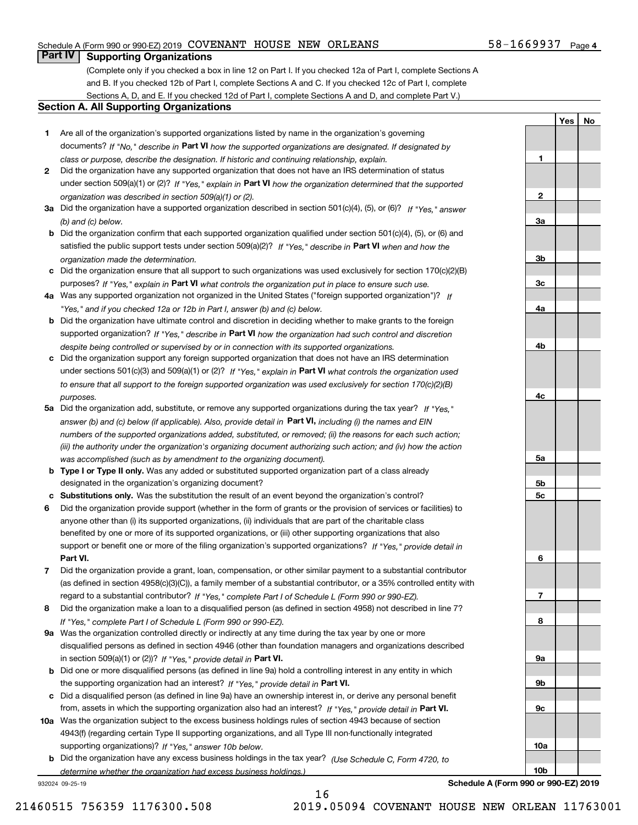#### Schedule A (Form 990 or 990-EZ) 2019 Page COVENANT HOUSE NEW ORLEANS 58-1669937

#### **Part IV Supporting Organizations**

(Complete only if you checked a box in line 12 on Part I. If you checked 12a of Part I, complete Sections A and B. If you checked 12b of Part I, complete Sections A and C. If you checked 12c of Part I, complete Sections A, D, and E. If you checked 12d of Part I, complete Sections A and D, and complete Part V.)

#### **Section A. All Supporting Organizations**

- **1** Are all of the organization's supported organizations listed by name in the organization's governing documents? If "No," describe in **Part VI** how the supported organizations are designated. If designated by *class or purpose, describe the designation. If historic and continuing relationship, explain.*
- **2** Did the organization have any supported organization that does not have an IRS determination of status under section 509(a)(1) or (2)? If "Yes," explain in Part VI how the organization determined that the supported *organization was described in section 509(a)(1) or (2).*
- **3a** Did the organization have a supported organization described in section 501(c)(4), (5), or (6)? If "Yes," answer *(b) and (c) below.*
- **b** Did the organization confirm that each supported organization qualified under section 501(c)(4), (5), or (6) and satisfied the public support tests under section 509(a)(2)? If "Yes," describe in **Part VI** when and how the *organization made the determination.*
- **c**Did the organization ensure that all support to such organizations was used exclusively for section 170(c)(2)(B) purposes? If "Yes," explain in **Part VI** what controls the organization put in place to ensure such use.
- **4a***If* Was any supported organization not organized in the United States ("foreign supported organization")? *"Yes," and if you checked 12a or 12b in Part I, answer (b) and (c) below.*
- **b** Did the organization have ultimate control and discretion in deciding whether to make grants to the foreign supported organization? If "Yes," describe in **Part VI** how the organization had such control and discretion *despite being controlled or supervised by or in connection with its supported organizations.*
- **c** Did the organization support any foreign supported organization that does not have an IRS determination under sections 501(c)(3) and 509(a)(1) or (2)? If "Yes," explain in **Part VI** what controls the organization used *to ensure that all support to the foreign supported organization was used exclusively for section 170(c)(2)(B) purposes.*
- **5a***If "Yes,"* Did the organization add, substitute, or remove any supported organizations during the tax year? answer (b) and (c) below (if applicable). Also, provide detail in **Part VI,** including (i) the names and EIN *numbers of the supported organizations added, substituted, or removed; (ii) the reasons for each such action; (iii) the authority under the organization's organizing document authorizing such action; and (iv) how the action was accomplished (such as by amendment to the organizing document).*
- **b** Type I or Type II only. Was any added or substituted supported organization part of a class already designated in the organization's organizing document?
- **cSubstitutions only.**  Was the substitution the result of an event beyond the organization's control?
- **6** Did the organization provide support (whether in the form of grants or the provision of services or facilities) to **Part VI.** *If "Yes," provide detail in* support or benefit one or more of the filing organization's supported organizations? anyone other than (i) its supported organizations, (ii) individuals that are part of the charitable class benefited by one or more of its supported organizations, or (iii) other supporting organizations that also
- **7**Did the organization provide a grant, loan, compensation, or other similar payment to a substantial contributor *If "Yes," complete Part I of Schedule L (Form 990 or 990-EZ).* regard to a substantial contributor? (as defined in section 4958(c)(3)(C)), a family member of a substantial contributor, or a 35% controlled entity with
- **8** Did the organization make a loan to a disqualified person (as defined in section 4958) not described in line 7? *If "Yes," complete Part I of Schedule L (Form 990 or 990-EZ).*
- **9a** Was the organization controlled directly or indirectly at any time during the tax year by one or more in section 509(a)(1) or (2))? If "Yes," *provide detail in* <code>Part VI.</code> disqualified persons as defined in section 4946 (other than foundation managers and organizations described
- **b**the supporting organization had an interest? If "Yes," provide detail in P**art VI**. Did one or more disqualified persons (as defined in line 9a) hold a controlling interest in any entity in which
- **c**Did a disqualified person (as defined in line 9a) have an ownership interest in, or derive any personal benefit from, assets in which the supporting organization also had an interest? If "Yes," provide detail in P**art VI.**
- **10a** Was the organization subject to the excess business holdings rules of section 4943 because of section supporting organizations)? If "Yes," answer 10b below. 4943(f) (regarding certain Type II supporting organizations, and all Type III non-functionally integrated
- **b** Did the organization have any excess business holdings in the tax year? (Use Schedule C, Form 4720, to *determine whether the organization had excess business holdings.)*

932024 09-25-19

**Schedule A (Form 990 or 990-EZ) 2019**

58-1669937 Page 4

**YesNo**

| 1              |  |  |
|----------------|--|--|
|                |  |  |
|                |  |  |
|                |  |  |
|                |  |  |
| $\overline{2}$ |  |  |
|                |  |  |
| <u>3a</u>      |  |  |
|                |  |  |
|                |  |  |
|                |  |  |
|                |  |  |
| $\frac{3b}{2}$ |  |  |
|                |  |  |
| $\frac{3c}{2}$ |  |  |
|                |  |  |
|                |  |  |
| <u>4a</u>      |  |  |
|                |  |  |
|                |  |  |
|                |  |  |
| 4 <sub>b</sub> |  |  |
|                |  |  |
|                |  |  |
|                |  |  |
|                |  |  |
|                |  |  |
| 4c             |  |  |
|                |  |  |
|                |  |  |
|                |  |  |
|                |  |  |
|                |  |  |
|                |  |  |
| <u>5a</u>      |  |  |
|                |  |  |
|                |  |  |
| <u>5b</u>      |  |  |
| $\frac{5c}{2}$ |  |  |
|                |  |  |
|                |  |  |
|                |  |  |
|                |  |  |
|                |  |  |
|                |  |  |
| 6              |  |  |
|                |  |  |
|                |  |  |
|                |  |  |
|                |  |  |
| $\overline{1}$ |  |  |
|                |  |  |
| 8              |  |  |
|                |  |  |
|                |  |  |
|                |  |  |
| <u>9a</u>      |  |  |
|                |  |  |
|                |  |  |
| <u>9b</u>      |  |  |
|                |  |  |
|                |  |  |
| $\frac{9c}{2}$ |  |  |
|                |  |  |
|                |  |  |
|                |  |  |
| <u>10a</u>     |  |  |
|                |  |  |
|                |  |  |
| <u>10b</u>     |  |  |
|                |  |  |

16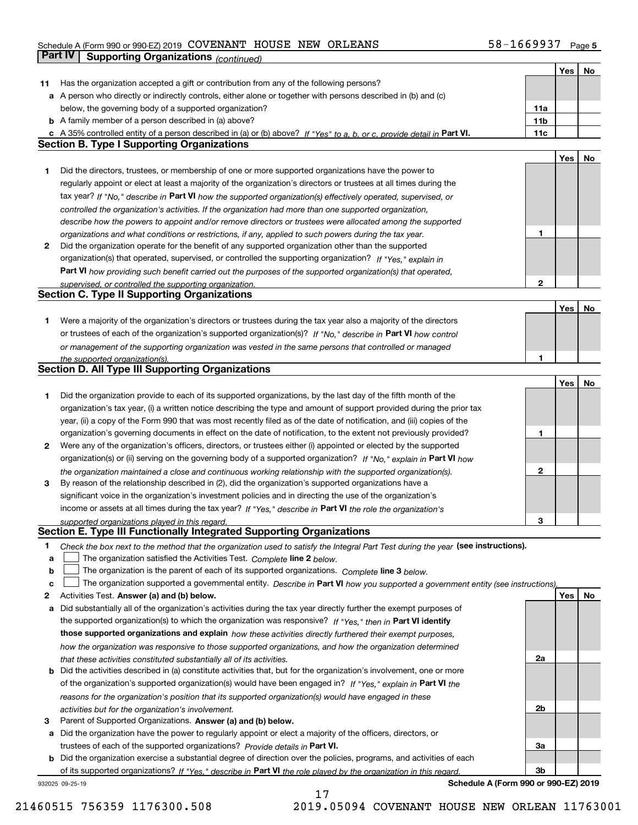### Schedule A (Form 990 or 990-EZ) 2019 Page COVENANT HOUSE NEW ORLEANS 58-1669937 **Part IV Supporting Organizations** *(continued)*

|    |                                                                                                                                                                                                                      |                 | Yes | No |
|----|----------------------------------------------------------------------------------------------------------------------------------------------------------------------------------------------------------------------|-----------------|-----|----|
| 11 | Has the organization accepted a gift or contribution from any of the following persons?                                                                                                                              |                 |     |    |
|    | a A person who directly or indirectly controls, either alone or together with persons described in (b) and (c)                                                                                                       |                 |     |    |
|    | below, the governing body of a supported organization?                                                                                                                                                               | 11a             |     |    |
|    | <b>b</b> A family member of a person described in (a) above?                                                                                                                                                         | 11 <sub>b</sub> |     |    |
|    | c A 35% controlled entity of a person described in (a) or (b) above? If "Yes" to a, b, or c, provide detail in Part VI.                                                                                              | 11c             |     |    |
|    | <b>Section B. Type I Supporting Organizations</b>                                                                                                                                                                    |                 |     |    |
|    |                                                                                                                                                                                                                      |                 | Yes | No |
| 1. | Did the directors, trustees, or membership of one or more supported organizations have the power to                                                                                                                  |                 |     |    |
|    | regularly appoint or elect at least a majority of the organization's directors or trustees at all times during the                                                                                                   |                 |     |    |
|    | tax year? If "No," describe in Part VI how the supported organization(s) effectively operated, supervised, or                                                                                                        |                 |     |    |
|    | controlled the organization's activities. If the organization had more than one supported organization,                                                                                                              |                 |     |    |
|    | describe how the powers to appoint and/or remove directors or trustees were allocated among the supported                                                                                                            |                 |     |    |
|    | organizations and what conditions or restrictions, if any, applied to such powers during the tax year.                                                                                                               | 1               |     |    |
| 2  | Did the organization operate for the benefit of any supported organization other than the supported                                                                                                                  |                 |     |    |
|    | organization(s) that operated, supervised, or controlled the supporting organization? If "Yes," explain in                                                                                                           |                 |     |    |
|    | Part VI how providing such benefit carried out the purposes of the supported organization(s) that operated,                                                                                                          |                 |     |    |
|    | supervised, or controlled the supporting organization.                                                                                                                                                               | $\mathbf{2}$    |     |    |
|    | <b>Section C. Type II Supporting Organizations</b>                                                                                                                                                                   |                 |     |    |
|    |                                                                                                                                                                                                                      |                 | Yes | No |
| 1. | Were a majority of the organization's directors or trustees during the tax year also a majority of the directors                                                                                                     |                 |     |    |
|    | or trustees of each of the organization's supported organization(s)? If "No," describe in Part VI how control                                                                                                        |                 |     |    |
|    | or management of the supporting organization was vested in the same persons that controlled or managed                                                                                                               |                 |     |    |
|    | the supported organization(s).                                                                                                                                                                                       |                 |     |    |
|    | Section D. All Type III Supporting Organizations                                                                                                                                                                     |                 |     |    |
|    |                                                                                                                                                                                                                      |                 | Yes | No |
| 1. | Did the organization provide to each of its supported organizations, by the last day of the fifth month of the                                                                                                       |                 |     |    |
|    | organization's tax year, (i) a written notice describing the type and amount of support provided during the prior tax                                                                                                |                 |     |    |
|    | year, (ii) a copy of the Form 990 that was most recently filed as of the date of notification, and (iii) copies of the                                                                                               |                 |     |    |
|    | organization's governing documents in effect on the date of notification, to the extent not previously provided?                                                                                                     | 1               |     |    |
| 2  | Were any of the organization's officers, directors, or trustees either (i) appointed or elected by the supported                                                                                                     |                 |     |    |
|    | organization(s) or (ii) serving on the governing body of a supported organization? If "No," explain in Part VI how                                                                                                   |                 |     |    |
|    |                                                                                                                                                                                                                      | 2               |     |    |
| 3  | the organization maintained a close and continuous working relationship with the supported organization(s).<br>By reason of the relationship described in (2), did the organization's supported organizations have a |                 |     |    |
|    | significant voice in the organization's investment policies and in directing the use of the organization's                                                                                                           |                 |     |    |
|    | income or assets at all times during the tax year? If "Yes," describe in Part VI the role the organization's                                                                                                         |                 |     |    |
|    |                                                                                                                                                                                                                      | з               |     |    |
|    | supported organizations played in this regard.<br>Section E. Type III Functionally Integrated Supporting Organizations                                                                                               |                 |     |    |
| 1  |                                                                                                                                                                                                                      |                 |     |    |
| a  | Check the box next to the method that the organization used to satisfy the Integral Part Test during the year (see instructions).<br>The organization satisfied the Activities Test. Complete line 2 below.          |                 |     |    |
| b  | The organization is the parent of each of its supported organizations. Complete line 3 below.                                                                                                                        |                 |     |    |
| c  | The organization supported a governmental entity. Describe in Part VI how you supported a government entity (see instructions),                                                                                      |                 |     |    |
| 2  | Activities Test. Answer (a) and (b) below.                                                                                                                                                                           |                 | Yes | No |
|    | Did substantially all of the organization's activities during the tax year directly further the exempt purposes of                                                                                                   |                 |     |    |
| a  | the supported organization(s) to which the organization was responsive? If "Yes," then in Part VI identify                                                                                                           |                 |     |    |
|    | those supported organizations and explain how these activities directly furthered their exempt purposes,                                                                                                             |                 |     |    |
|    |                                                                                                                                                                                                                      |                 |     |    |
|    | how the organization was responsive to those supported organizations, and how the organization determined                                                                                                            | 2a              |     |    |
|    | that these activities constituted substantially all of its activities.<br>Did the activities described in (a) constitute activities that, but for the organization's involvement, one or more                        |                 |     |    |
| b  |                                                                                                                                                                                                                      |                 |     |    |
|    | of the organization's supported organization(s) would have been engaged in? If "Yes," explain in Part VI the                                                                                                         |                 |     |    |
|    | reasons for the organization's position that its supported organization(s) would have engaged in these                                                                                                               |                 |     |    |
|    | activities but for the organization's involvement.                                                                                                                                                                   | 2b              |     |    |
| з  | Parent of Supported Organizations. Answer (a) and (b) below.                                                                                                                                                         |                 |     |    |
| а  | Did the organization have the power to regularly appoint or elect a majority of the officers, directors, or                                                                                                          |                 |     |    |
|    | trustees of each of the supported organizations? Provide details in Part VI.                                                                                                                                         | За              |     |    |
| b  | Did the organization exercise a substantial degree of direction over the policies, programs, and activities of each                                                                                                  |                 |     |    |
|    | of its supported organizations? If "Yes." describe in Part VI the role played by the organization in this regard.                                                                                                    | 3b              |     |    |

17

932025 09-25-19

**Schedule A (Form 990 or 990-EZ) 2019**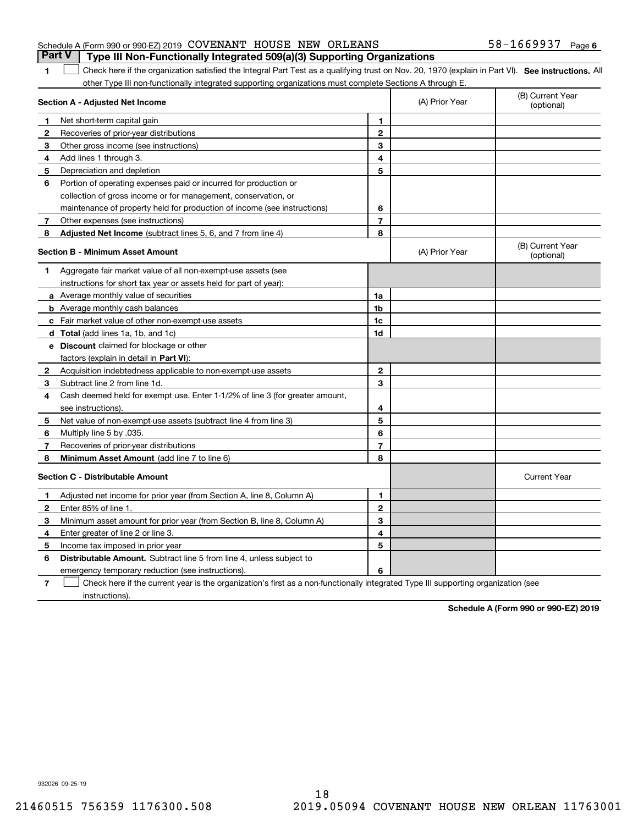#### Schedule A (Form 990 or 990-EZ) 2019 Page COVENANT HOUSE NEW ORLEANS 58-1669937 **Part V Type III Non-Functionally Integrated 509(a)(3) Supporting Organizations**

1 Check here if the organization satisfied the Integral Part Test as a qualifying trust on Nov. 20, 1970 (explain in Part VI). See instructions. All other Type III non-functionally integrated supporting organizations must complete Sections A through E.

|              | Section A - Adjusted Net Income                                              |                | (A) Prior Year | (B) Current Year<br>(optional) |
|--------------|------------------------------------------------------------------------------|----------------|----------------|--------------------------------|
| 1            | Net short-term capital gain                                                  | 1              |                |                                |
| 2            | Recoveries of prior-year distributions                                       | $\overline{2}$ |                |                                |
| 3            | Other gross income (see instructions)                                        | 3              |                |                                |
| 4            | Add lines 1 through 3.                                                       | 4              |                |                                |
| 5            | Depreciation and depletion                                                   | 5              |                |                                |
| 6            | Portion of operating expenses paid or incurred for production or             |                |                |                                |
|              | collection of gross income or for management, conservation, or               |                |                |                                |
|              | maintenance of property held for production of income (see instructions)     | 6              |                |                                |
| 7            | Other expenses (see instructions)                                            | $\overline{7}$ |                |                                |
| 8            | <b>Adjusted Net Income</b> (subtract lines 5, 6, and 7 from line 4)          | 8              |                |                                |
|              | <b>Section B - Minimum Asset Amount</b>                                      |                | (A) Prior Year | (B) Current Year<br>(optional) |
| 1.           | Aggregate fair market value of all non-exempt-use assets (see                |                |                |                                |
|              | instructions for short tax year or assets held for part of year):            |                |                |                                |
|              | a Average monthly value of securities                                        | 1a             |                |                                |
|              | <b>b</b> Average monthly cash balances                                       | 1 <sub>b</sub> |                |                                |
|              | c Fair market value of other non-exempt-use assets                           | 1c             |                |                                |
|              | <b>d</b> Total (add lines 1a, 1b, and 1c)                                    | 1d             |                |                                |
|              | e Discount claimed for blockage or other                                     |                |                |                                |
|              | factors (explain in detail in Part VI):                                      |                |                |                                |
| 2            | Acquisition indebtedness applicable to non-exempt-use assets                 | $\mathbf{2}$   |                |                                |
| 3            | Subtract line 2 from line 1d.                                                | 3              |                |                                |
| 4            | Cash deemed held for exempt use. Enter 1-1/2% of line 3 (for greater amount, |                |                |                                |
|              | see instructions).                                                           | 4              |                |                                |
| 5            | Net value of non-exempt-use assets (subtract line 4 from line 3)             | 5              |                |                                |
| 6            | Multiply line 5 by .035.                                                     | 6              |                |                                |
| 7            | Recoveries of prior-year distributions                                       | 7              |                |                                |
| 8            | Minimum Asset Amount (add line 7 to line 6)                                  | 8              |                |                                |
|              | <b>Section C - Distributable Amount</b>                                      |                |                | <b>Current Year</b>            |
| 1            | Adjusted net income for prior year (from Section A, line 8, Column A)        | 1              |                |                                |
| $\mathbf{2}$ | Enter 85% of line 1                                                          | $\overline{2}$ |                |                                |
| з            | Minimum asset amount for prior year (from Section B, line 8, Column A)       | 3              |                |                                |
| 4            | Enter greater of line 2 or line 3.                                           | 4              |                |                                |
| 5            | Income tax imposed in prior year                                             | 5              |                |                                |
| 6            | Distributable Amount. Subtract line 5 from line 4, unless subject to         |                |                |                                |
|              | emergency temporary reduction (see instructions).                            | 6              |                |                                |
|              |                                                                              |                |                |                                |

**7**Check here if the current year is the organization's first as a non-functionally integrated Type III supporting organization (see instructions).

**Schedule A (Form 990 or 990-EZ) 2019**

932026 09-25-19

**1**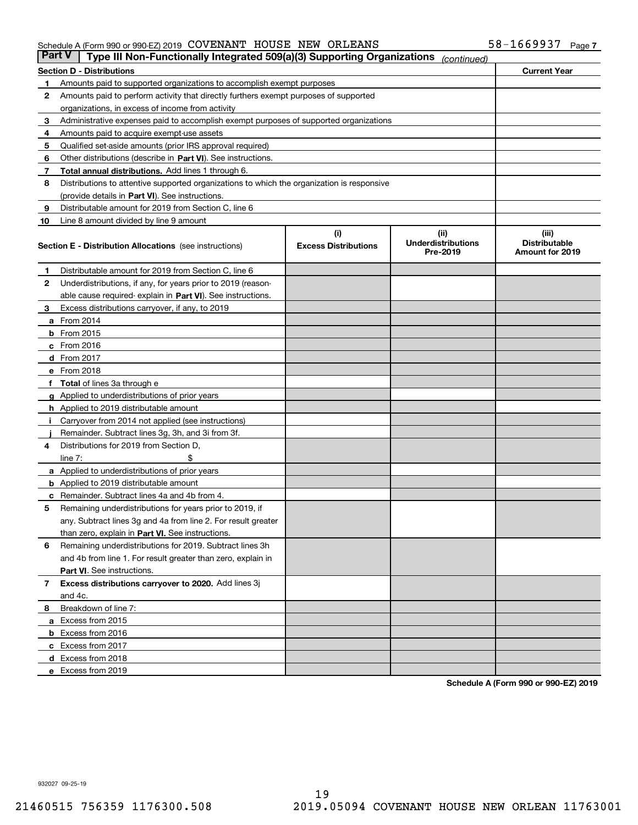#### Schedule A (Form 990 or 990-EZ) 2019 Page COVENANT HOUSE NEW ORLEANS 58-1669937

| <b>Part V</b> | Type III Non-Functionally Integrated 509(a)(3) Supporting Organizations                    |                             | (continued)                           |                                         |
|---------------|--------------------------------------------------------------------------------------------|-----------------------------|---------------------------------------|-----------------------------------------|
|               | <b>Section D - Distributions</b>                                                           |                             |                                       | <b>Current Year</b>                     |
| 1             | Amounts paid to supported organizations to accomplish exempt purposes                      |                             |                                       |                                         |
| 2             | Amounts paid to perform activity that directly furthers exempt purposes of supported       |                             |                                       |                                         |
|               | organizations, in excess of income from activity                                           |                             |                                       |                                         |
| з             | Administrative expenses paid to accomplish exempt purposes of supported organizations      |                             |                                       |                                         |
| 4             | Amounts paid to acquire exempt-use assets                                                  |                             |                                       |                                         |
| 5             | Qualified set-aside amounts (prior IRS approval required)                                  |                             |                                       |                                         |
| 6             | Other distributions (describe in Part VI). See instructions.                               |                             |                                       |                                         |
| 7             | Total annual distributions. Add lines 1 through 6.                                         |                             |                                       |                                         |
| 8             | Distributions to attentive supported organizations to which the organization is responsive |                             |                                       |                                         |
|               | (provide details in Part VI). See instructions.                                            |                             |                                       |                                         |
| 9             | Distributable amount for 2019 from Section C, line 6                                       |                             |                                       |                                         |
| 10            | Line 8 amount divided by line 9 amount                                                     |                             |                                       |                                         |
|               |                                                                                            | (i)                         | (iii)                                 | (iii)                                   |
|               | <b>Section E - Distribution Allocations</b> (see instructions)                             | <b>Excess Distributions</b> | <b>Underdistributions</b><br>Pre-2019 | <b>Distributable</b><br>Amount for 2019 |
| 1             | Distributable amount for 2019 from Section C, line 6                                       |                             |                                       |                                         |
| 2             | Underdistributions, if any, for years prior to 2019 (reason-                               |                             |                                       |                                         |
|               | able cause required- explain in Part VI). See instructions.                                |                             |                                       |                                         |
| з             | Excess distributions carryover, if any, to 2019                                            |                             |                                       |                                         |
|               | <b>a</b> From 2014                                                                         |                             |                                       |                                         |
|               | <b>b</b> From $2015$                                                                       |                             |                                       |                                         |
|               | $c$ From 2016                                                                              |                             |                                       |                                         |
|               | <b>d</b> From 2017                                                                         |                             |                                       |                                         |
|               | e From 2018                                                                                |                             |                                       |                                         |
|               | Total of lines 3a through e                                                                |                             |                                       |                                         |
|               | <b>g</b> Applied to underdistributions of prior years                                      |                             |                                       |                                         |
|               | <b>h</b> Applied to 2019 distributable amount                                              |                             |                                       |                                         |
|               | Carryover from 2014 not applied (see instructions)                                         |                             |                                       |                                         |
|               | Remainder. Subtract lines 3g, 3h, and 3i from 3f.                                          |                             |                                       |                                         |
| 4             | Distributions for 2019 from Section D,                                                     |                             |                                       |                                         |
|               | line $7:$                                                                                  |                             |                                       |                                         |
|               | <b>a</b> Applied to underdistributions of prior years                                      |                             |                                       |                                         |
|               | <b>b</b> Applied to 2019 distributable amount                                              |                             |                                       |                                         |
| c             | Remainder. Subtract lines 4a and 4b from 4.                                                |                             |                                       |                                         |
| 5             | Remaining underdistributions for years prior to 2019, if                                   |                             |                                       |                                         |
|               | any. Subtract lines 3g and 4a from line 2. For result greater                              |                             |                                       |                                         |
|               | than zero, explain in Part VI. See instructions.                                           |                             |                                       |                                         |
| 6             | Remaining underdistributions for 2019. Subtract lines 3h                                   |                             |                                       |                                         |
|               | and 4b from line 1. For result greater than zero, explain in                               |                             |                                       |                                         |
|               | Part VI. See instructions.                                                                 |                             |                                       |                                         |
|               |                                                                                            |                             |                                       |                                         |
| 7             | Excess distributions carryover to 2020. Add lines 3j                                       |                             |                                       |                                         |
|               | and 4c.                                                                                    |                             |                                       |                                         |
| 8             | Breakdown of line 7:                                                                       |                             |                                       |                                         |
|               | a Excess from 2015                                                                         |                             |                                       |                                         |
|               | <b>b</b> Excess from 2016                                                                  |                             |                                       |                                         |
|               | c Excess from 2017                                                                         |                             |                                       |                                         |
|               | d Excess from 2018                                                                         |                             |                                       |                                         |
|               | e Excess from 2019                                                                         |                             |                                       |                                         |

**Schedule A (Form 990 or 990-EZ) 2019**

932027 09-25-19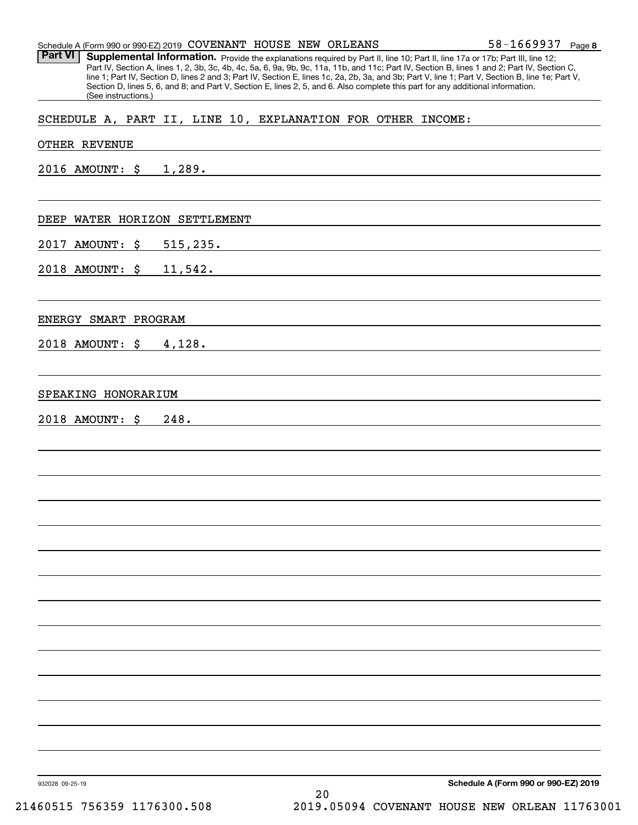|  |  |  |  |  | $58 - 1669937$ Page 8 |  |
|--|--|--|--|--|-----------------------|--|
|--|--|--|--|--|-----------------------|--|

Part VI | Supplemental Information. Provide the explanations required by Part II, line 10; Part II, line 17a or 17b; Part III, line 12; Part IV, Section A, lines 1, 2, 3b, 3c, 4b, 4c, 5a, 6, 9a, 9b, 9c, 11a, 11b, and 11c; Part IV, Section B, lines 1 and 2; Part IV, Section C, line 1; Part IV, Section D, lines 2 and 3; Part IV, Section E, lines 1c, 2a, 2b, 3a, and 3b; Part V, line 1; Part V, Section B, line 1e; Part V, Section D, lines 5, 6, and 8; and Part V, Section E, lines 2, 5, and 6. Also complete this part for any additional information. (See instructions.)

#### SCHEDULE A, PART II, LINE 10, EXPLANATION FOR OTHER INCOME:

#### OTHER REVENUE

2016 AMOUNT: \$ 1,289.

#### DEEP WATER HORIZON SETTLEMENT

2017 AMOUNT: \$ 515,235.

2018 AMOUNT: \$ 11,542.

#### ENERGY SMART PROGRAM

2018 AMOUNT: \$ 4,128.

#### SPEAKING HONORARIUM

2018 AMOUNT: \$ 248.

932028 09-25-19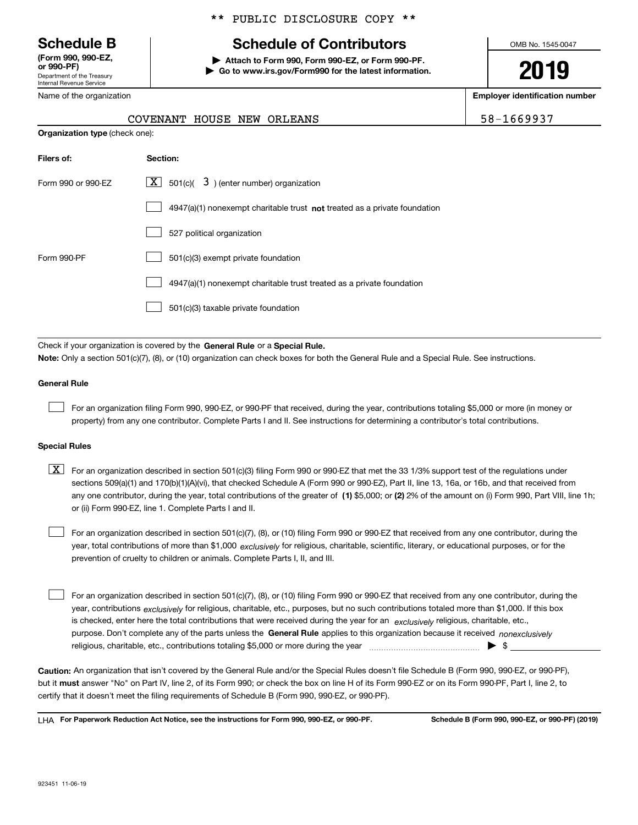Department of the Treasury Internal Revenue Service **(Form 990, 990-EZ, or 990-PF)**

Name of the organization

**Organization type** (check one):

#### \*\* PUBLIC DISCLOSURE COPY \*\*

## **Schedule B Schedule of Contributors**

**| Attach to Form 990, Form 990-EZ, or Form 990-PF. | Go to www.irs.gov/Form990 for the latest information.** OMB No. 1545-0047

**2019**

**Employer identification number**

| -1669937 |  |  |  |  |
|----------|--|--|--|--|
|          |  |  |  |  |

| COVENANT HOUSE NEW ORLEANS |  | 58-1669937 |
|----------------------------|--|------------|

| Filers of:         | Section:                                                                    |
|--------------------|-----------------------------------------------------------------------------|
| Form 990 or 990-FZ | $\lfloor x \rfloor$ 501(c)( 3) (enter number) organization                  |
|                    | $4947(a)(1)$ nonexempt charitable trust not treated as a private foundation |
|                    | 527 political organization                                                  |
| Form 990-PF        | 501(c)(3) exempt private foundation                                         |
|                    | 4947(a)(1) nonexempt charitable trust treated as a private foundation       |
|                    | 501(c)(3) taxable private foundation                                        |

Check if your organization is covered by the **General Rule** or a **Special Rule. Note:**  Only a section 501(c)(7), (8), or (10) organization can check boxes for both the General Rule and a Special Rule. See instructions.

#### **General Rule**

 $\mathcal{L}^{\text{max}}$ 

For an organization filing Form 990, 990-EZ, or 990-PF that received, during the year, contributions totaling \$5,000 or more (in money or property) from any one contributor. Complete Parts I and II. See instructions for determining a contributor's total contributions.

#### **Special Rules**

any one contributor, during the year, total contributions of the greater of  $\,$  (1) \$5,000; or **(2)** 2% of the amount on (i) Form 990, Part VIII, line 1h;  $\boxed{\textbf{X}}$  For an organization described in section 501(c)(3) filing Form 990 or 990-EZ that met the 33 1/3% support test of the regulations under sections 509(a)(1) and 170(b)(1)(A)(vi), that checked Schedule A (Form 990 or 990-EZ), Part II, line 13, 16a, or 16b, and that received from or (ii) Form 990-EZ, line 1. Complete Parts I and II.

year, total contributions of more than \$1,000 *exclusively* for religious, charitable, scientific, literary, or educational purposes, or for the For an organization described in section 501(c)(7), (8), or (10) filing Form 990 or 990-EZ that received from any one contributor, during the prevention of cruelty to children or animals. Complete Parts I, II, and III.  $\mathcal{L}^{\text{max}}$ 

purpose. Don't complete any of the parts unless the **General Rule** applies to this organization because it received *nonexclusively* year, contributions <sub>exclusively</sub> for religious, charitable, etc., purposes, but no such contributions totaled more than \$1,000. If this box is checked, enter here the total contributions that were received during the year for an  $\;$ exclusively religious, charitable, etc., For an organization described in section 501(c)(7), (8), or (10) filing Form 990 or 990-EZ that received from any one contributor, during the religious, charitable, etc., contributions totaling \$5,000 or more during the year  $\Box$ — $\Box$   $\Box$  $\mathcal{L}^{\text{max}}$ 

**Caution:**  An organization that isn't covered by the General Rule and/or the Special Rules doesn't file Schedule B (Form 990, 990-EZ, or 990-PF),  **must** but it answer "No" on Part IV, line 2, of its Form 990; or check the box on line H of its Form 990-EZ or on its Form 990-PF, Part I, line 2, to certify that it doesn't meet the filing requirements of Schedule B (Form 990, 990-EZ, or 990-PF).

**For Paperwork Reduction Act Notice, see the instructions for Form 990, 990-EZ, or 990-PF. Schedule B (Form 990, 990-EZ, or 990-PF) (2019)** LHA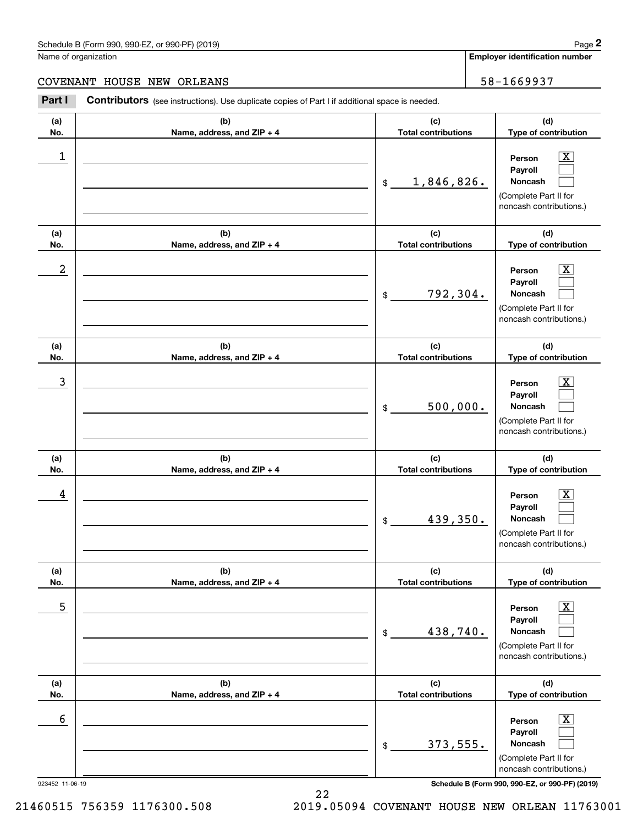#### Schedule B (Form 990, 990-EZ, or 990-PF) (2019) **Page 2** and the state of the state of the state of the state of the state of the state of the state of the state of the state of the state of the state of the state of the s

Name of organization

**Employer identification number**

#### COVENANT HOUSE NEW ORLEANS FOR THE SERVICE SERVICE SERVICE SERVICE SERVICE SERVICE SERVICE SERVICE SERVICE SERVICE

**(a)No.(b)Name, address, and ZIP + 4 (c)Total contributions (d)Type of contribution PersonPayrollNoncash (a)No.(b)Name, address, and ZIP + 4 (c)Total contributions (d)Type of contribution PersonPayrollNoncash (a)No.(b)Name, address, and ZIP + 4 (c)Total contributions (d)Type of contribution PersonPayrollNoncash (a) No.(b) Name, address, and ZIP + 4 (c) Total contributions (d) Type of contribution PersonPayrollNoncash (a) No.(b) Name, address, and ZIP + 4 (c) Total contributions (d) Type of contribution PersonPayrollNoncash(a) No.(b)Name, address, and ZIP + 4 (c) Total contributions (d)Type of contribution PersonPayrollNoncash Contributors** (see instructions). Use duplicate copies of Part I if additional space is needed. \$(Complete Part II for noncash contributions.) \$(Complete Part II for noncash contributions.) \$(Complete Part II for noncash contributions.) \$(Complete Part II for noncash contributions.) \$(Complete Part II for noncash contributions.) \$(Complete Part II for noncash contributions.) Chedule B (Form 990, 990-EZ, or 990-PF) (2019)<br>Iame of organization<br>**2Part I 2Part I 2Part I Contributors** (see instructions). Use duplicate copies of Part I if additional space is needed.  $|X|$  $\mathcal{L}^{\text{max}}$  $\mathcal{L}^{\text{max}}$  $\boxed{\text{X}}$  $\mathcal{L}^{\text{max}}$  $\mathcal{L}^{\text{max}}$  $|X|$  $\mathcal{L}^{\text{max}}$  $\mathcal{L}^{\text{max}}$  $\boxed{\text{X}}$  $\mathcal{L}^{\text{max}}$  $\mathcal{L}^{\text{max}}$  $\boxed{\text{X}}$  $\mathcal{L}^{\text{max}}$  $\mathcal{L}^{\text{max}}$  $\boxed{\text{X}}$  $\mathcal{L}^{\text{max}}$  $\mathcal{L}^{\text{max}}$  $\begin{array}{c|c|c|c|c|c} 1 & \hspace{1.5cm} & \hspace{1.5cm} & \hspace{1.5cm} & \hspace{1.5cm} & \hspace{1.5cm} & \hspace{1.5cm} & \hspace{1.5cm} & \hspace{1.5cm} & \hspace{1.5cm} & \hspace{1.5cm} & \hspace{1.5cm} & \hspace{1.5cm} & \hspace{1.5cm} & \hspace{1.5cm} & \hspace{1.5cm} & \hspace{1.5cm} & \hspace{1.5cm} & \hspace{1.5cm} & \hspace{1.5cm} & \hspace{1.5cm} &$ 1,846,826.  $2$  | Person  $\overline{\text{X}}$ 792,304.  $\overline{3}$  | Person  $\overline{X}$ 500,000.  $4$  | Person  $\overline{\text{X}}$ 439,350.  $\sim$  5 | Person X 438,740.  $\sim$  6 | Person X 373,555.

923452 11-06-19 **Schedule B (Form 990, 990-EZ, or 990-PF) (2019)**

21460515 756359 1176300.508 2019.05094 COVENANT HOUSE NEW ORLEAN 11763001

22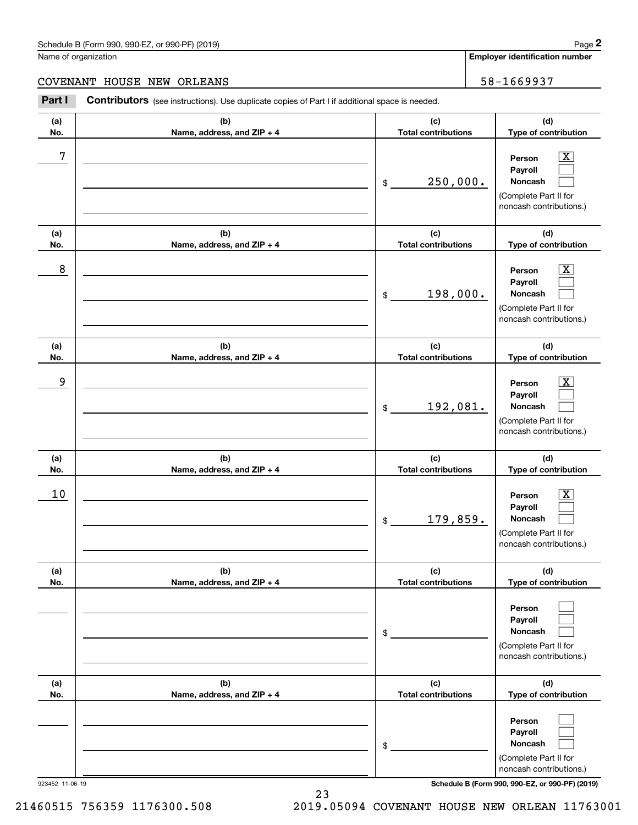#### Schedule B (Form 990, 990-EZ, or 990-PF) (2019) **Page 2** Page 1 and 2011 **Page 2** Page 2 **Page 2** Page 1 and 2011 **Page 2**

Name of organization

**(a)No.(b)Name, address, and ZIP + 4 (c)Total contributions (d)Type of contribution PersonPayrollNoncash (a)No.(b)Name, address, and ZIP + 4 (c)Total contributions (d)Type of contribution PersonPayrollNoncash (a)No.(b)Name, address, and ZIP + 4 (c)Total contributions (d)Type of contribution PersonPayrollNoncash (a) No.(b) Name, address, and ZIP + 4 (c) Total contributions (d) Type of contribution PersonPayrollNoncash(a) No.(b) Name, address, and ZIP + 4 (c) Total contributions (d) Type of contribution PersonPayrollNoncash(a) No.(b)Name, address, and ZIP + 4 (c) Total contributions (d)Type of contribution PersonPayrollNoncash Contributors** (see instructions). Use duplicate copies of Part I if additional space is needed. \$(Complete Part II for noncash contributions.) \$(Complete Part II for noncash contributions.) \$(Complete Part II for noncash contributions.) \$(Complete Part II for noncash contributions.) \$(Complete Part II for noncash contributions.) \$(Complete Part II for Chedule B (Form 990, 990-EZ, or 990-PF) (2019)<br>Iame of organization<br>**2Part I 2Part I 2Part I Contributors** (see instructions). Use duplicate copies of Part I if additional space is needed.  $|X|$  $\mathcal{L}^{\text{max}}$  $\mathcal{L}^{\text{max}}$  $\boxed{\text{X}}$  $\mathcal{L}^{\text{max}}$  $\mathcal{L}^{\text{max}}$  $|X|$  $\mathcal{L}^{\text{max}}$  $\mathcal{L}^{\text{max}}$  $\boxed{\text{X}}$  $\mathcal{L}^{\text{max}}$  $\mathcal{L}^{\text{max}}$  $\mathcal{L}^{\text{max}}$  $\mathcal{L}^{\text{max}}$  $\mathcal{L}^{\text{max}}$  $\mathcal{L}^{\text{max}}$  $\mathcal{L}^{\text{max}}$  $\mathcal{L}^{\text{max}}$ 7 X 250,000. 8 X 198,000. example and the set of the set of the set of the set of the set of the set of the set of the set of the set of 192,081.  $10$  Person  $\overline{\text{X}}$ 179,859. COVENANT HOUSE NEW ORLEANS FOR THE SERVICE SERVICE SERVICE SERVICE SERVICE SERVICE SERVICE SERVICE SERVICE SERVICE

923452 11-06-19 **Schedule B (Form 990, 990-EZ, or 990-PF) (2019)**

noncash contributions.)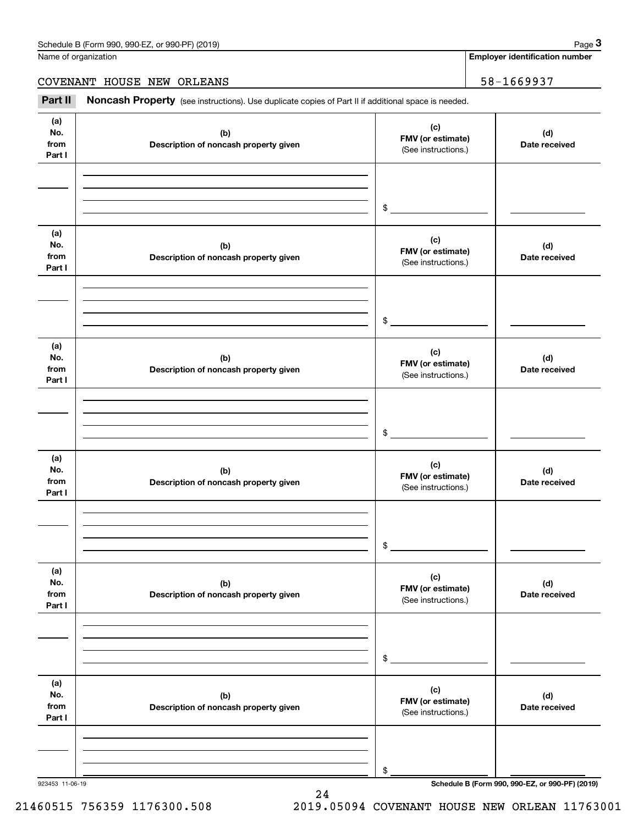**Employer identification number**

COVENANT HOUSE NEW ORLEANS 58-1669937

Chedule B (Form 990, 990-EZ, or 990-PF) (2019)<br>
lame of organization<br> **3Part II if additional space is needed.**<br> **Part II if additional space is needed.**<br> **Part II if additional space is needed.** 

| (a)<br>No.<br>from<br>Part I | (b)<br>Description of noncash property given | (c)<br>FMV (or estimate)<br>(See instructions.) | (d)<br>Date received                            |
|------------------------------|----------------------------------------------|-------------------------------------------------|-------------------------------------------------|
|                              |                                              | $\frac{1}{2}$                                   |                                                 |
| (a)<br>No.<br>from<br>Part I | (b)<br>Description of noncash property given | (c)<br>FMV (or estimate)<br>(See instructions.) | (d)<br>Date received                            |
|                              |                                              | $\sim$                                          |                                                 |
| (a)<br>No.<br>from<br>Part I | (b)<br>Description of noncash property given | (c)<br>FMV (or estimate)<br>(See instructions.) | (d)<br>Date received                            |
|                              |                                              | $\frac{1}{2}$                                   |                                                 |
| (a)<br>No.<br>from<br>Part I | (b)<br>Description of noncash property given | (c)<br>FMV (or estimate)<br>(See instructions.) | (d)<br>Date received                            |
|                              |                                              | $\mathfrak s$                                   |                                                 |
| (a)<br>No.<br>from<br>Part I | (b)<br>Description of noncash property given | (c)<br>FMV (or estimate)<br>(See instructions.) | (d)<br>Date received                            |
|                              |                                              | \$                                              |                                                 |
| (a)<br>No.<br>from<br>Part I | (b)<br>Description of noncash property given | (c)<br>FMV (or estimate)<br>(See instructions.) | (d)<br>Date received                            |
| 923453 11-06-19              |                                              | \$                                              | Schedule B (Form 990, 990-EZ, or 990-PF) (2019) |

24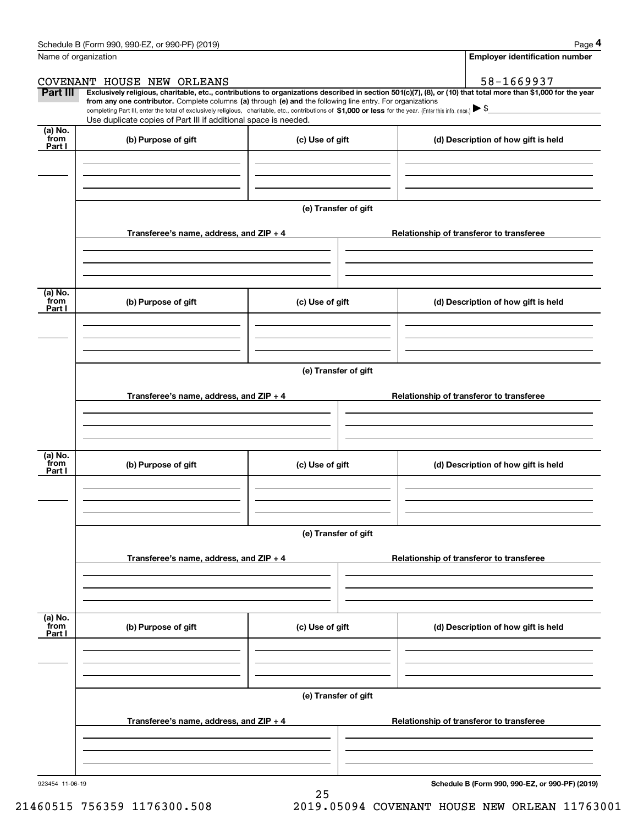|                           | Schedule B (Form 990, 990-EZ, or 990-PF) (2019)                                                                                                                               |                      | Page 4                                                                                                                                                                                                                                                                                                                                              |
|---------------------------|-------------------------------------------------------------------------------------------------------------------------------------------------------------------------------|----------------------|-----------------------------------------------------------------------------------------------------------------------------------------------------------------------------------------------------------------------------------------------------------------------------------------------------------------------------------------------------|
|                           | Name of organization                                                                                                                                                          |                      | <b>Employer identification number</b>                                                                                                                                                                                                                                                                                                               |
|                           | COVENANT HOUSE NEW ORLEANS                                                                                                                                                    |                      | 58-1669937                                                                                                                                                                                                                                                                                                                                          |
| Part III                  | from any one contributor. Complete columns (a) through (e) and the following line entry. For organizations<br>Use duplicate copies of Part III if additional space is needed. |                      | Exclusively religious, charitable, etc., contributions to organizations described in section 501(c)(7), (8), or (10) that total more than \$1,000 for the year<br>completing Part III, enter the total of exclusively religious, charitable, etc., contributions of \$1,000 or less for the year. (Enter this info. once.) $\blacktriangleright$ \$ |
| (a) No.<br>from           |                                                                                                                                                                               |                      |                                                                                                                                                                                                                                                                                                                                                     |
| Part I                    | (b) Purpose of gift                                                                                                                                                           | (c) Use of gift      | (d) Description of how gift is held                                                                                                                                                                                                                                                                                                                 |
|                           |                                                                                                                                                                               | (e) Transfer of gift |                                                                                                                                                                                                                                                                                                                                                     |
|                           | Transferee's name, address, and $ZIP + 4$                                                                                                                                     |                      | Relationship of transferor to transferee                                                                                                                                                                                                                                                                                                            |
|                           |                                                                                                                                                                               |                      |                                                                                                                                                                                                                                                                                                                                                     |
| (a) No.<br>from<br>Part I | (b) Purpose of gift                                                                                                                                                           | (c) Use of gift      | (d) Description of how gift is held                                                                                                                                                                                                                                                                                                                 |
|                           |                                                                                                                                                                               |                      |                                                                                                                                                                                                                                                                                                                                                     |
|                           |                                                                                                                                                                               | (e) Transfer of gift |                                                                                                                                                                                                                                                                                                                                                     |
|                           | Transferee's name, address, and ZIP + 4                                                                                                                                       |                      | Relationship of transferor to transferee                                                                                                                                                                                                                                                                                                            |
| (a) No.<br>from<br>Part I | (b) Purpose of gift                                                                                                                                                           | (c) Use of gift      | (d) Description of how gift is held                                                                                                                                                                                                                                                                                                                 |
|                           |                                                                                                                                                                               | (e) Transfer of gift |                                                                                                                                                                                                                                                                                                                                                     |
|                           | Transferee's name, address, and $ZIP + 4$                                                                                                                                     |                      | Relationship of transferor to transferee                                                                                                                                                                                                                                                                                                            |
|                           |                                                                                                                                                                               |                      |                                                                                                                                                                                                                                                                                                                                                     |
| (a) No.<br>from<br>Part I | (b) Purpose of gift                                                                                                                                                           | (c) Use of gift      | (d) Description of how gift is held                                                                                                                                                                                                                                                                                                                 |
|                           |                                                                                                                                                                               |                      |                                                                                                                                                                                                                                                                                                                                                     |
|                           |                                                                                                                                                                               | (e) Transfer of gift |                                                                                                                                                                                                                                                                                                                                                     |
|                           | Transferee's name, address, and ZIP + 4                                                                                                                                       |                      | Relationship of transferor to transferee                                                                                                                                                                                                                                                                                                            |
|                           |                                                                                                                                                                               |                      |                                                                                                                                                                                                                                                                                                                                                     |
|                           |                                                                                                                                                                               |                      |                                                                                                                                                                                                                                                                                                                                                     |

25

923454 11-06-19

**Schedule B (Form 990, 990-EZ, or 990-PF) (2019)**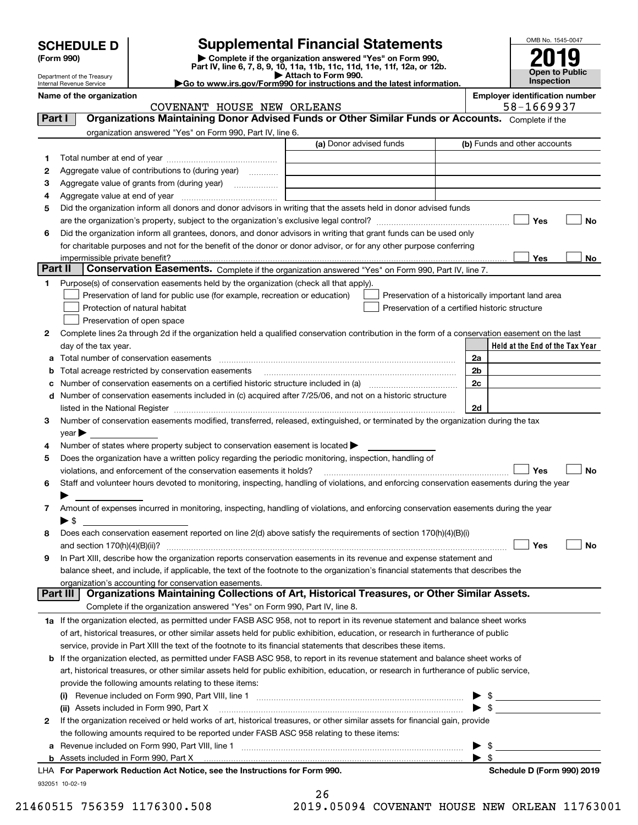| <b>SCHEDULE D</b> |  |
|-------------------|--|
|-------------------|--|

Department of the Treasury

| (Form 990) |
|------------|
|------------|

### **Supplemental Financial Statements**

(Form 990)<br>
Pepartment of the Treasury<br>
Department of the Treasury<br>
Department of the Treasury<br>
Department of the Treasury<br> **Co to www.irs.gov/Form990 for instructions and the latest information.**<br> **Co to www.irs.gov/Form9** 



Internal Revenue Service

**Name of the organization Employer identification number**

|          | COVENANT HOUSE NEW ORLEANS                                                                                                                                                                                                              |                         |    | 58-1669937                                         |
|----------|-----------------------------------------------------------------------------------------------------------------------------------------------------------------------------------------------------------------------------------------|-------------------------|----|----------------------------------------------------|
| Part I   | Organizations Maintaining Donor Advised Funds or Other Similar Funds or Accounts. Complete if the                                                                                                                                       |                         |    |                                                    |
|          | organization answered "Yes" on Form 990, Part IV, line 6.                                                                                                                                                                               |                         |    |                                                    |
|          |                                                                                                                                                                                                                                         | (a) Donor advised funds |    | (b) Funds and other accounts                       |
| 1        |                                                                                                                                                                                                                                         |                         |    |                                                    |
| 2        | Aggregate value of contributions to (during year)                                                                                                                                                                                       |                         |    |                                                    |
| з        |                                                                                                                                                                                                                                         |                         |    |                                                    |
| 4        |                                                                                                                                                                                                                                         |                         |    |                                                    |
| 5        | Did the organization inform all donors and donor advisors in writing that the assets held in donor advised funds                                                                                                                        |                         |    |                                                    |
|          |                                                                                                                                                                                                                                         |                         |    | Yes<br>No                                          |
|          |                                                                                                                                                                                                                                         |                         |    |                                                    |
| 6        | Did the organization inform all grantees, donors, and donor advisors in writing that grant funds can be used only<br>for charitable purposes and not for the benefit of the donor or donor advisor, or for any other purpose conferring |                         |    |                                                    |
|          |                                                                                                                                                                                                                                         |                         |    |                                                    |
| Part II  |                                                                                                                                                                                                                                         |                         |    | Yes<br>No                                          |
|          | Conservation Easements. Complete if the organization answered "Yes" on Form 990, Part IV, line 7.                                                                                                                                       |                         |    |                                                    |
| 1        | Purpose(s) of conservation easements held by the organization (check all that apply).                                                                                                                                                   |                         |    |                                                    |
|          | Preservation of land for public use (for example, recreation or education)                                                                                                                                                              |                         |    | Preservation of a historically important land area |
|          | Protection of natural habitat                                                                                                                                                                                                           |                         |    | Preservation of a certified historic structure     |
|          | Preservation of open space                                                                                                                                                                                                              |                         |    |                                                    |
| 2        | Complete lines 2a through 2d if the organization held a qualified conservation contribution in the form of a conservation easement on the last                                                                                          |                         |    |                                                    |
|          | day of the tax year.                                                                                                                                                                                                                    |                         |    | Held at the End of the Tax Year                    |
| а        |                                                                                                                                                                                                                                         |                         | 2a |                                                    |
|          | Total acreage restricted by conservation easements                                                                                                                                                                                      |                         | 2b |                                                    |
|          | Number of conservation easements on a certified historic structure included in (a) manufacture included in (a)                                                                                                                          |                         | 2c |                                                    |
| d        | Number of conservation easements included in (c) acquired after 7/25/06, and not on a historic structure                                                                                                                                |                         |    |                                                    |
|          |                                                                                                                                                                                                                                         |                         | 2d |                                                    |
| 3        | Number of conservation easements modified, transferred, released, extinguished, or terminated by the organization during the tax                                                                                                        |                         |    |                                                    |
|          | year                                                                                                                                                                                                                                    |                         |    |                                                    |
| 4        | Number of states where property subject to conservation easement is located >                                                                                                                                                           |                         |    |                                                    |
| 5        | Does the organization have a written policy regarding the periodic monitoring, inspection, handling of                                                                                                                                  |                         |    |                                                    |
|          | violations, and enforcement of the conservation easements it holds?                                                                                                                                                                     |                         |    | Yes<br>No                                          |
| 6        | Staff and volunteer hours devoted to monitoring, inspecting, handling of violations, and enforcing conservation easements during the year                                                                                               |                         |    |                                                    |
|          |                                                                                                                                                                                                                                         |                         |    |                                                    |
| 7        | Amount of expenses incurred in monitoring, inspecting, handling of violations, and enforcing conservation easements during the year                                                                                                     |                         |    |                                                    |
|          | $\blacktriangleright$ s                                                                                                                                                                                                                 |                         |    |                                                    |
| 8        | Does each conservation easement reported on line 2(d) above satisfy the requirements of section 170(h)(4)(B)(i)                                                                                                                         |                         |    |                                                    |
|          |                                                                                                                                                                                                                                         |                         |    | Yes<br>No                                          |
| 9        | In Part XIII, describe how the organization reports conservation easements in its revenue and expense statement and                                                                                                                     |                         |    |                                                    |
|          | balance sheet, and include, if applicable, the text of the footnote to the organization's financial statements that describes the                                                                                                       |                         |    |                                                    |
|          | organization's accounting for conservation easements.                                                                                                                                                                                   |                         |    |                                                    |
| Part III | Organizations Maintaining Collections of Art, Historical Treasures, or Other Similar Assets.                                                                                                                                            |                         |    |                                                    |
|          | Complete if the organization answered "Yes" on Form 990, Part IV, line 8.                                                                                                                                                               |                         |    |                                                    |
|          | 1a If the organization elected, as permitted under FASB ASC 958, not to report in its revenue statement and balance sheet works                                                                                                         |                         |    |                                                    |
|          | of art, historical treasures, or other similar assets held for public exhibition, education, or research in furtherance of public                                                                                                       |                         |    |                                                    |
|          | service, provide in Part XIII the text of the footnote to its financial statements that describes these items.                                                                                                                          |                         |    |                                                    |
|          | b If the organization elected, as permitted under FASB ASC 958, to report in its revenue statement and balance sheet works of                                                                                                           |                         |    |                                                    |
|          | art, historical treasures, or other similar assets held for public exhibition, education, or research in furtherance of public service,                                                                                                 |                         |    |                                                    |
|          | provide the following amounts relating to these items:                                                                                                                                                                                  |                         |    |                                                    |
|          |                                                                                                                                                                                                                                         |                         |    |                                                    |
|          | (ii) Assets included in Form 990, Part X                                                                                                                                                                                                |                         |    | $\triangleright$ \$                                |
| 2        | If the organization received or held works of art, historical treasures, or other similar assets for financial gain, provide                                                                                                            |                         |    |                                                    |
|          | the following amounts required to be reported under FASB ASC 958 relating to these items:                                                                                                                                               |                         |    |                                                    |
| а        |                                                                                                                                                                                                                                         |                         |    | \$                                                 |
| b        | Assets included in Form 990, Part X [11, 2008] [2010] [2010] [2010] [2010] [2010] [2010] [2010] [2010] [2010] [                                                                                                                         |                         |    | $\blacktriangleright$ s                            |
|          | LHA For Paperwork Reduction Act Notice, see the Instructions for Form 990.                                                                                                                                                              |                         |    | Schedule D (Form 990) 2019                         |
|          |                                                                                                                                                                                                                                         |                         |    |                                                    |

932051 10-02-19

|  | 41 | O |  |  |
|--|----|---|--|--|
|  |    |   |  |  |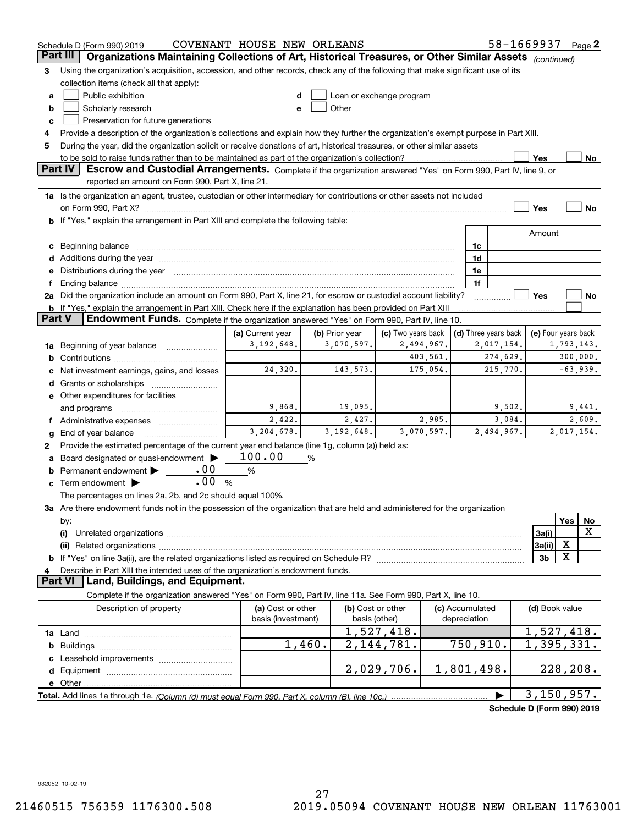|          | Schedule D (Form 990) 2019                                                                                                                                                                                                           | COVENANT HOUSE NEW ORLEANS |                |                                                                                                                                                                                                                               |                 | 58-1669937                 |                     | Page $2$   |    |
|----------|--------------------------------------------------------------------------------------------------------------------------------------------------------------------------------------------------------------------------------------|----------------------------|----------------|-------------------------------------------------------------------------------------------------------------------------------------------------------------------------------------------------------------------------------|-----------------|----------------------------|---------------------|------------|----|
| Part III | Organizations Maintaining Collections of Art, Historical Treasures, or Other Similar Assets (continued)                                                                                                                              |                            |                |                                                                                                                                                                                                                               |                 |                            |                     |            |    |
| 3        | Using the organization's acquisition, accession, and other records, check any of the following that make significant use of its                                                                                                      |                            |                |                                                                                                                                                                                                                               |                 |                            |                     |            |    |
|          | collection items (check all that apply):                                                                                                                                                                                             |                            |                |                                                                                                                                                                                                                               |                 |                            |                     |            |    |
| a        | Public exhibition                                                                                                                                                                                                                    |                            |                | Loan or exchange program                                                                                                                                                                                                      |                 |                            |                     |            |    |
| b        | Scholarly research                                                                                                                                                                                                                   | e                          |                | Other and the contract of the contract of the contract of the contract of the contract of the contract of the contract of the contract of the contract of the contract of the contract of the contract of the contract of the |                 |                            |                     |            |    |
| c        | Preservation for future generations                                                                                                                                                                                                  |                            |                |                                                                                                                                                                                                                               |                 |                            |                     |            |    |
| 4        | Provide a description of the organization's collections and explain how they further the organization's exempt purpose in Part XIII.                                                                                                 |                            |                |                                                                                                                                                                                                                               |                 |                            |                     |            |    |
| 5        | During the year, did the organization solicit or receive donations of art, historical treasures, or other similar assets                                                                                                             |                            |                |                                                                                                                                                                                                                               |                 |                            |                     |            |    |
|          | to be sold to raise funds rather than to be maintained as part of the organization's collection?                                                                                                                                     |                            |                |                                                                                                                                                                                                                               |                 |                            | Yes                 |            | No |
|          | Part IV<br>Escrow and Custodial Arrangements. Complete if the organization answered "Yes" on Form 990, Part IV, line 9, or                                                                                                           |                            |                |                                                                                                                                                                                                                               |                 |                            |                     |            |    |
|          | reported an amount on Form 990, Part X, line 21.                                                                                                                                                                                     |                            |                |                                                                                                                                                                                                                               |                 |                            |                     |            |    |
|          | 1a Is the organization an agent, trustee, custodian or other intermediary for contributions or other assets not included                                                                                                             |                            |                |                                                                                                                                                                                                                               |                 |                            |                     |            |    |
|          |                                                                                                                                                                                                                                      |                            |                |                                                                                                                                                                                                                               |                 |                            | Yes                 |            | No |
|          | <b>b</b> If "Yes," explain the arrangement in Part XIII and complete the following table:                                                                                                                                            |                            |                |                                                                                                                                                                                                                               |                 |                            |                     |            |    |
|          |                                                                                                                                                                                                                                      |                            |                |                                                                                                                                                                                                                               |                 |                            | Amount              |            |    |
| c        | Beginning balance <b>contract to the contract of the contract of the contract of the contract of the contract of the contract of the contract of the contract of the contract of the contract of the contract of the contract of</b> |                            |                |                                                                                                                                                                                                                               | 1c              |                            |                     |            |    |
|          |                                                                                                                                                                                                                                      |                            |                |                                                                                                                                                                                                                               | 1d              |                            |                     |            |    |
| е        | Distributions during the year manufactured and continuum and contact the year manufactured and contact the year                                                                                                                      |                            |                |                                                                                                                                                                                                                               | 1e              |                            |                     |            |    |
|          | Ending balance manufactured and contact the contract of the contract of the contract of the contract of the contract of the contract of the contract of the contract of the contract of the contract of the contract of the co       |                            |                |                                                                                                                                                                                                                               | 1f              |                            |                     |            |    |
|          | 2a Did the organization include an amount on Form 990, Part X, line 21, for escrow or custodial account liability?                                                                                                                   |                            |                |                                                                                                                                                                                                                               |                 |                            | Yes                 |            | No |
|          | <b>b</b> If "Yes," explain the arrangement in Part XIII. Check here if the explanation has been provided on Part XIII                                                                                                                |                            |                |                                                                                                                                                                                                                               |                 |                            |                     |            |    |
| Part V   | Endowment Funds. Complete if the organization answered "Yes" on Form 990, Part IV, line 10.                                                                                                                                          |                            |                |                                                                                                                                                                                                                               |                 |                            |                     |            |    |
|          |                                                                                                                                                                                                                                      | (a) Current year           | (b) Prior year | (c) Two years back                                                                                                                                                                                                            |                 | (d) Three years back       | (e) Four years back |            |    |
| 1a       | Beginning of year balance                                                                                                                                                                                                            | 3,192,648.                 | 3,070,597.     | 2,494,967.                                                                                                                                                                                                                    |                 | 2,017,154.                 |                     | 1,793,143. |    |
| b        |                                                                                                                                                                                                                                      |                            |                | 403,561.                                                                                                                                                                                                                      |                 | 274,629.                   |                     | 300,000.   |    |
|          | Net investment earnings, gains, and losses                                                                                                                                                                                           | 24,320.                    | 143,573.       | 175,054.                                                                                                                                                                                                                      |                 | 215,770.                   |                     | $-63,939.$ |    |
| d        |                                                                                                                                                                                                                                      |                            |                |                                                                                                                                                                                                                               |                 |                            |                     |            |    |
|          | e Other expenditures for facilities                                                                                                                                                                                                  |                            |                |                                                                                                                                                                                                                               |                 |                            |                     |            |    |
|          | and programs                                                                                                                                                                                                                         | 9,868.                     | 19,095.        |                                                                                                                                                                                                                               |                 | 9,502.                     |                     | 9,441.     |    |
|          |                                                                                                                                                                                                                                      | 2,422.                     | 2,427.         | 2,985.                                                                                                                                                                                                                        |                 | 3,084.                     |                     | 2,609.     |    |
| g        | End of year balance                                                                                                                                                                                                                  | 3,204,678.                 | 3, 192, 648.   | 3,070,597.                                                                                                                                                                                                                    |                 | 2,494,967.                 |                     | 2,017,154. |    |
| 2        | Provide the estimated percentage of the current year end balance (line 1g, column (a)) held as:                                                                                                                                      |                            |                |                                                                                                                                                                                                                               |                 |                            |                     |            |    |
| а        | Board designated or quasi-endowment >                                                                                                                                                                                                | 100.00                     | %              |                                                                                                                                                                                                                               |                 |                            |                     |            |    |
| b        | .00<br>Permanent endowment > _____                                                                                                                                                                                                   | $\%$                       |                |                                                                                                                                                                                                                               |                 |                            |                     |            |    |
| c        | .00<br>Term endowment >                                                                                                                                                                                                              | %                          |                |                                                                                                                                                                                                                               |                 |                            |                     |            |    |
|          | The percentages on lines 2a, 2b, and 2c should equal 100%.                                                                                                                                                                           |                            |                |                                                                                                                                                                                                                               |                 |                            |                     |            |    |
|          | 3a Are there endowment funds not in the possession of the organization that are held and administered for the organization                                                                                                           |                            |                |                                                                                                                                                                                                                               |                 |                            |                     |            |    |
|          | by:                                                                                                                                                                                                                                  |                            |                |                                                                                                                                                                                                                               |                 |                            |                     | Yes        | No |
|          | (i)                                                                                                                                                                                                                                  |                            |                |                                                                                                                                                                                                                               |                 |                            | 3a(i)               |            | x  |
|          |                                                                                                                                                                                                                                      |                            |                |                                                                                                                                                                                                                               |                 |                            | 3a(ii)              | х          |    |
|          | <b>b</b> If "Yes" on line 3a(ii), are the related organizations listed as required on Schedule R?                                                                                                                                    |                            |                |                                                                                                                                                                                                                               |                 |                            | 3b                  | х          |    |
| 4        | Describe in Part XIII the intended uses of the organization's endowment funds.                                                                                                                                                       |                            |                |                                                                                                                                                                                                                               |                 |                            |                     |            |    |
|          | Land, Buildings, and Equipment.<br>Part VI                                                                                                                                                                                           |                            |                |                                                                                                                                                                                                                               |                 |                            |                     |            |    |
|          | Complete if the organization answered "Yes" on Form 990, Part IV, line 11a. See Form 990, Part X, line 10.                                                                                                                           |                            |                |                                                                                                                                                                                                                               |                 |                            |                     |            |    |
|          | Description of property                                                                                                                                                                                                              | (a) Cost or other          |                | (b) Cost or other                                                                                                                                                                                                             | (c) Accumulated |                            | (d) Book value      |            |    |
|          |                                                                                                                                                                                                                                      | basis (investment)         |                | basis (other)                                                                                                                                                                                                                 | depreciation    |                            |                     |            |    |
|          |                                                                                                                                                                                                                                      |                            |                | 1,527,418.                                                                                                                                                                                                                    |                 |                            | 1,527,418.          |            |    |
| b        |                                                                                                                                                                                                                                      |                            | 1,460.         | 2, 144, 781.                                                                                                                                                                                                                  | 750,910.        |                            | 1,395,331.          |            |    |
|          | Leasehold improvements                                                                                                                                                                                                               |                            |                |                                                                                                                                                                                                                               |                 |                            |                     |            |    |
|          |                                                                                                                                                                                                                                      |                            |                | 2,029,706.                                                                                                                                                                                                                    | 1,801,498.      |                            |                     | 228,208.   |    |
|          | e Other                                                                                                                                                                                                                              |                            |                |                                                                                                                                                                                                                               |                 |                            |                     |            |    |
|          | Total. Add lines 1a through 1e. (Column (d) must equal Form 990. Part X, column (B), line 10c.)                                                                                                                                      |                            |                |                                                                                                                                                                                                                               |                 |                            | 3,150,957.          |            |    |
|          |                                                                                                                                                                                                                                      |                            |                |                                                                                                                                                                                                                               |                 | Schedule D (Form 990) 2019 |                     |            |    |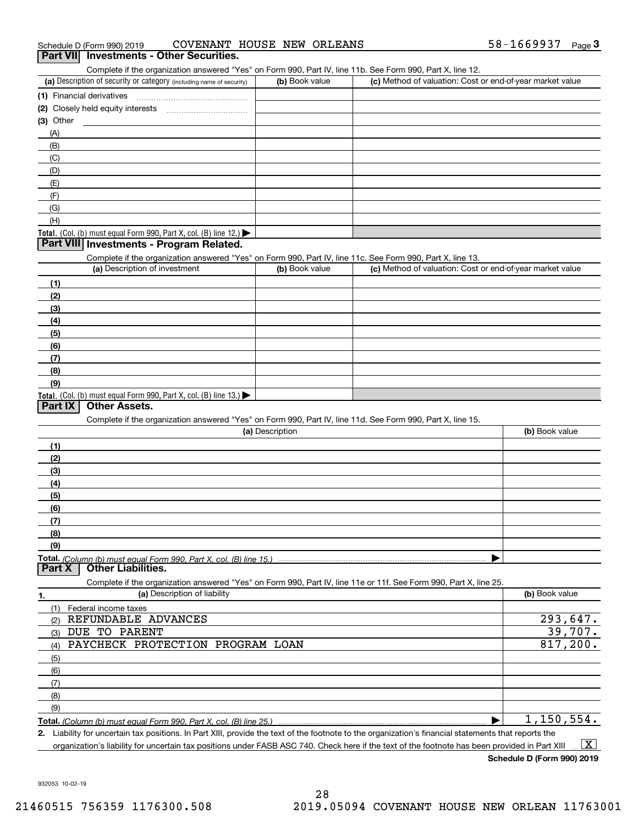| 58-1669937<br>COVENANT HOUSE NEW ORLEANS<br>Schedule D (Form 990) 2019 |  | Page |
|------------------------------------------------------------------------|--|------|
|------------------------------------------------------------------------|--|------|

#### **Part VII Investments - Other Securities.**

Complete if the organization answered "Yes" on Form 990, Part IV, line 11b. See Form 990, Part X, line 12.

| (a) Description of security or category (including name of security)                   | (b) Book value | (c) Method of valuation: Cost or end-of-year market value |
|----------------------------------------------------------------------------------------|----------------|-----------------------------------------------------------|
| (1) Financial derivatives                                                              |                |                                                           |
| (2) Closely held equity interests<br>                                                  |                |                                                           |
| (3) Other                                                                              |                |                                                           |
| (A)                                                                                    |                |                                                           |
| (B)                                                                                    |                |                                                           |
| (C)                                                                                    |                |                                                           |
| (D)                                                                                    |                |                                                           |
| (E)                                                                                    |                |                                                           |
| (E)                                                                                    |                |                                                           |
| (G)                                                                                    |                |                                                           |
| (H)                                                                                    |                |                                                           |
| Total. (Col. (b) must equal Form 990, Part X, col. (B) line 12.) $\blacktriangleright$ |                |                                                           |

#### **Part VIII Investments - Program Related.**

Complete if the organization answered "Yes" on Form 990, Part IV, line 11c. See Form 990, Part X, line 13.

| (a) Description of investment                                       | (b) Book value | (c) Method of valuation: Cost or end-of-year market value |
|---------------------------------------------------------------------|----------------|-----------------------------------------------------------|
| (1)                                                                 |                |                                                           |
| (2)                                                                 |                |                                                           |
| $\frac{1}{2}$                                                       |                |                                                           |
| (4)                                                                 |                |                                                           |
| $\frac{1}{2}$                                                       |                |                                                           |
| (6)                                                                 |                |                                                           |
| $\sqrt{(7)}$                                                        |                |                                                           |
| (8)                                                                 |                |                                                           |
| (9)                                                                 |                |                                                           |
| Total. (Col. (b) must equal Form 990, Part X, col. (B) line $13.$ ) |                |                                                           |

#### **Part IX Other Assets.**

Complete if the organization answered "Yes" on Form 990, Part IV, line 11d. See Form 990, Part X, line 15.

|               | (a) Description                                                                                                   | (b) Book value |
|---------------|-------------------------------------------------------------------------------------------------------------------|----------------|
| (1)           |                                                                                                                   |                |
| (2)           |                                                                                                                   |                |
| (3)           |                                                                                                                   |                |
| (4)           |                                                                                                                   |                |
| (5)           |                                                                                                                   |                |
| (6)           |                                                                                                                   |                |
| (7)           |                                                                                                                   |                |
| (8)           |                                                                                                                   |                |
| (9)           |                                                                                                                   |                |
|               |                                                                                                                   |                |
| <b>Part X</b> | <b>Other Liabilities.</b>                                                                                         |                |
|               | Complete if the organization answered "Yes" on Form 990, Part IV, line 11e or 11f. See Form 990, Part X, line 25. |                |
| 1.            | (a) Description of liability                                                                                      | (b) Book value |
|               |                                                                                                                   |                |

| (1)<br>Federal income taxes             |               |
|-----------------------------------------|---------------|
| REFUNDABLE ADVANCES<br>(2)              | 293,647.      |
| DUE TO PARENT<br>(3)                    | 39,707.       |
| PAYCHECK PROTECTION PROGRAM LOAN<br>(4) | 817,200.      |
| $\frac{1}{\sqrt{5}}$                    |               |
| (6)                                     |               |
| (7)                                     |               |
| (8)                                     |               |
| (9)                                     |               |
|                                         | $1,150,554$ . |

**2.**Liability for uncertain tax positions. In Part XIII, provide the text of the footnote to the organization's financial statements that reports the organization's liability for uncertain tax positions under FASB ASC 740. Check here if the text of the footnote has been provided in Part XIII  $\boxed{\text{X}}$ 

**Schedule D (Form 990) 2019**

932053 10-02-19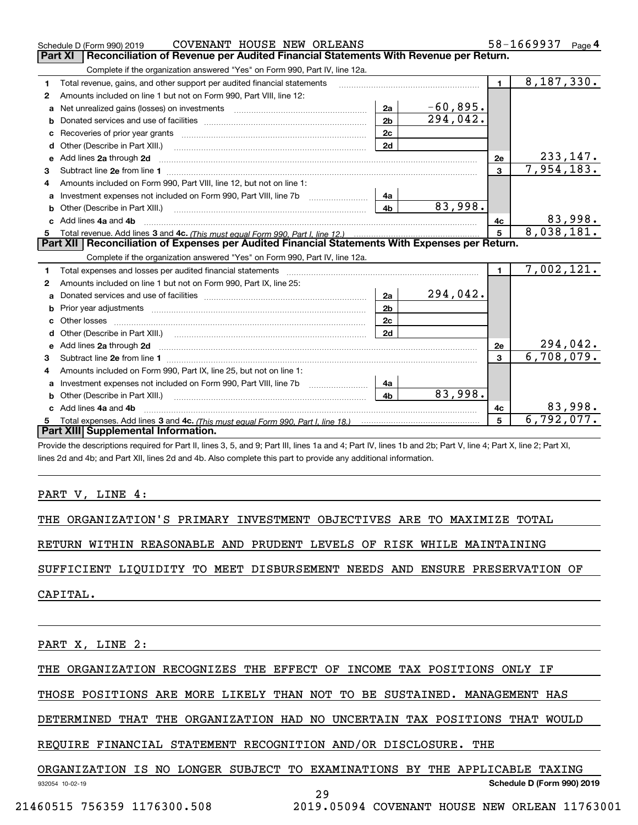|    | COVENANT HOUSE NEW ORLEANS<br>Schedule D (Form 990) 2019                                                                                                                                                                            |                |            |                | 58-1669937<br>Page $4$       |
|----|-------------------------------------------------------------------------------------------------------------------------------------------------------------------------------------------------------------------------------------|----------------|------------|----------------|------------------------------|
|    | <b>Part XI</b><br>Reconciliation of Revenue per Audited Financial Statements With Revenue per Return.                                                                                                                               |                |            |                |                              |
|    | Complete if the organization answered "Yes" on Form 990, Part IV, line 12a.                                                                                                                                                         |                |            |                |                              |
| 1  | Total revenue, gains, and other support per audited financial statements                                                                                                                                                            |                |            | $\blacksquare$ | 8,187,330.                   |
| 2  | Amounts included on line 1 but not on Form 990, Part VIII, line 12:                                                                                                                                                                 |                |            |                |                              |
| a  | Net unrealized gains (losses) on investments [11] matter contracts and the unrealized gains (losses) on investments                                                                                                                 | 2a             | $-60,895.$ |                |                              |
| b  |                                                                                                                                                                                                                                     | 2 <sub>b</sub> | 294,042.   |                |                              |
|    |                                                                                                                                                                                                                                     | 2c             |            |                |                              |
| d  | Other (Describe in Part XIII.) <b>2006</b> 2007 2010 2010 2010 2010 2011 2012 2013 2014 2014 2015 2016 2017 2018 2019 2016 2017 2018 2019 2016 2017 2018 2019 2016 2017 2018 2019 2018 2019 2019 2016 2017 2018 2019 2018 2019 2019 | 2d             |            |                |                              |
| е  | Add lines 2a through 2d                                                                                                                                                                                                             |                |            | 2е             | <u>233,147.</u>              |
| 3  |                                                                                                                                                                                                                                     |                |            | $\mathbf{3}$   | 7,954,183.                   |
| 4  | Amounts included on Form 990, Part VIII, line 12, but not on line 1:                                                                                                                                                                |                |            |                |                              |
|    |                                                                                                                                                                                                                                     | 4a             |            |                |                              |
|    |                                                                                                                                                                                                                                     | 4 <sub>b</sub> | 83,998.    |                |                              |
| c. | Add lines 4a and 4b                                                                                                                                                                                                                 |                |            | 4c             | $\frac{83,998.}{8,038,181.}$ |
|    |                                                                                                                                                                                                                                     |                |            | $5^{\circ}$    |                              |
|    |                                                                                                                                                                                                                                     |                |            |                |                              |
|    | Part XII   Reconciliation of Expenses per Audited Financial Statements With Expenses per Return.                                                                                                                                    |                |            |                |                              |
|    | Complete if the organization answered "Yes" on Form 990, Part IV, line 12a.                                                                                                                                                         |                |            |                |                              |
| 1  | Total expenses and losses per audited financial statements [11] [11] Total expenses and losses per audited financial statements [11] [11] Total expenses and losses per audited financial statements                                |                |            | $\blacksquare$ | 7,002,121.                   |
| 2  | Amounts included on line 1 but not on Form 990, Part IX, line 25:                                                                                                                                                                   |                |            |                |                              |
| a  |                                                                                                                                                                                                                                     | 2a             | 294,042.   |                |                              |
|    |                                                                                                                                                                                                                                     | 2 <sub>b</sub> |            |                |                              |
|    | Other losses                                                                                                                                                                                                                        | 2 <sub>c</sub> |            |                |                              |
| d  |                                                                                                                                                                                                                                     | 2d             |            |                |                              |
|    | Add lines 2a through 2d <b>contained a contained a contained a contained a</b> contained a contained a contained a contained a contained a contained a contained a contained a contained a contained a contained a contained a cont |                |            | 2e             | <u>294,042.</u>              |
| 3  |                                                                                                                                                                                                                                     |                |            | 3              | 6,708,079.                   |
| 4  | Amounts included on Form 990, Part IX, line 25, but not on line 1:                                                                                                                                                                  |                |            |                |                              |
| a  |                                                                                                                                                                                                                                     | 4a             |            |                |                              |
|    | <b>b</b> Other (Describe in Part XIII.)                                                                                                                                                                                             | 4 <sub>b</sub> | 83,998.    |                |                              |
| c  | Add lines 4a and 4b                                                                                                                                                                                                                 |                |            | 4c             | 83,998.                      |
|    | Part XIII Supplemental Information.                                                                                                                                                                                                 |                |            | 5              | 6,792,077.                   |

Provide the descriptions required for Part II, lines 3, 5, and 9; Part III, lines 1a and 4; Part IV, lines 1b and 2b; Part V, line 4; Part X, line 2; Part XI, lines 2d and 4b; and Part XII, lines 2d and 4b. Also complete this part to provide any additional information.

PART V, LINE 4:

THE ORGANIZATION'S PRIMARY INVESTMENT OBJECTIVES ARE TO MAXIMIZE TOTAL

RETURN WITHIN REASONABLE AND PRUDENT LEVELS OF RISK WHILE MAINTAINING

SUFFICIENT LIQUIDITY TO MEET DISBURSEMENT NEEDS AND ENSURE PRESERVATION OF

CAPITAL.

PART X, LINE 2:

THE ORGANIZATION RECOGNIZES THE EFFECT OF INCOME TAX POSITIONS ONLY IF

THOSE POSITIONS ARE MORE LIKELY THAN NOT TO BE SUSTAINED. MANAGEMENT HAS

DETERMINED THAT THE ORGANIZATION HAD NO UNCERTAIN TAX POSITIONS THAT WOULD

REQUIRE FINANCIAL STATEMENT RECOGNITION AND/OR DISCLOSURE. THE

#### **Schedule D (Form 990) 2019** ORGANIZATION IS NO LONGER SUBJECT TO EXAMINATIONS BY THE APPLICABLE TAXING

29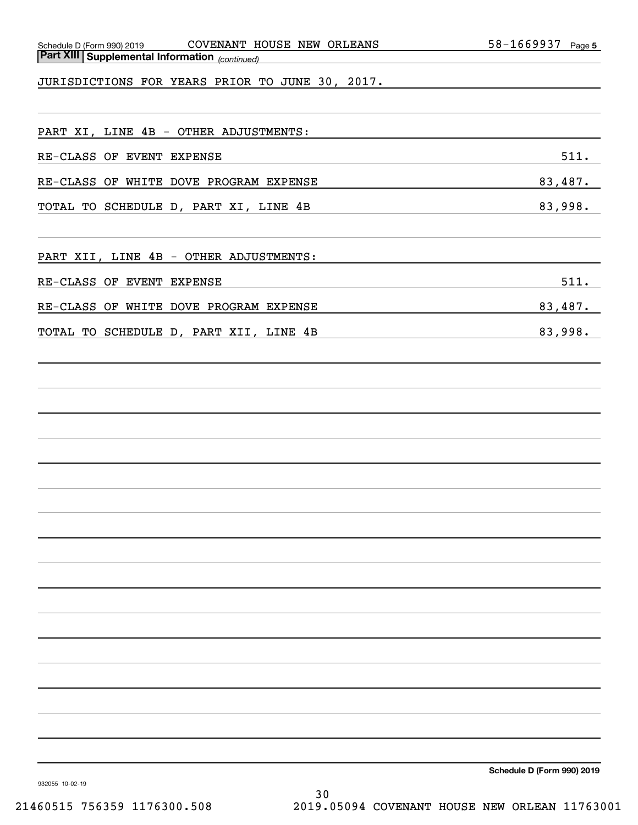| Schedule D (Form 990) 2019                            | <b>COVENANT</b> | HOUSE NEW ORLEANS | 1669937-<br>58- | Page 5 |
|-------------------------------------------------------|-----------------|-------------------|-----------------|--------|
| <b>Part XIII Supplemental Information</b> (continued) |                 |                   |                 |        |

JURISDICTIONS FOR YEARS PRIOR TO JUNE 30, 2017.

| PART XI, LINE 4B - OTHER ADJUSTMENTS:  |         |
|----------------------------------------|---------|
| RE-CLASS OF EVENT EXPENSE              | 511.    |
| RE-CLASS OF WHITE DOVE PROGRAM EXPENSE | 83,487. |
| TOTAL TO SCHEDULE D, PART XI, LINE 4B  | 83,998. |

PART XII, LINE 4B - OTHER ADJUSTMENTS:

| RE-CLASS OF EVENT EXPENSE              |  |  | 511.       |
|----------------------------------------|--|--|------------|
|                                        |  |  |            |
| RE-CLASS OF WHITE DOVE PROGRAM EXPENSE |  |  | 487.<br>83 |

TOTAL TO SCHEDULE D, PART XII, LINE 4B 83,998.

**Schedule D (Form 990) 2019**

932055 10-02-19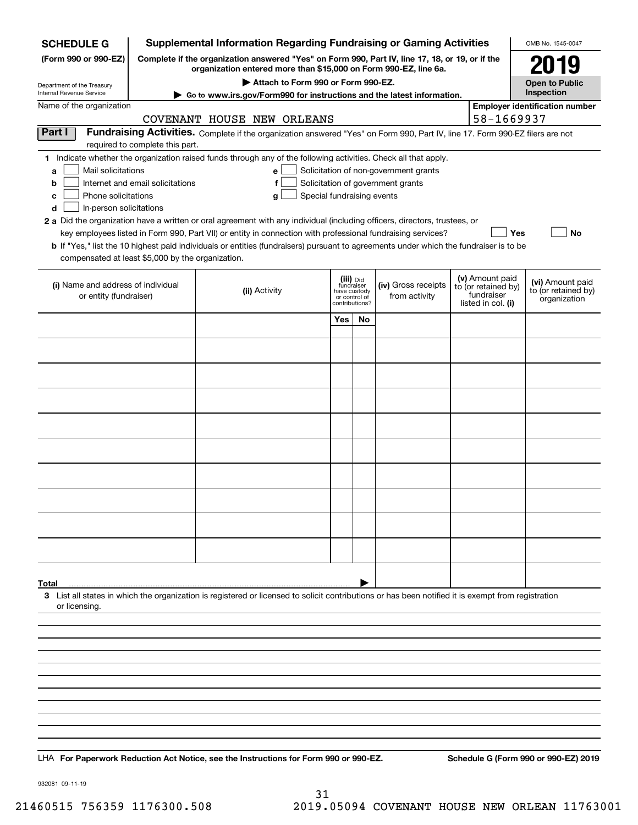| <b>Supplemental Information Regarding Fundraising or Gaming Activities</b><br><b>SCHEDULE G</b>                                                                                                                                                             |                                                                                                                                                                     | OMB No. 1545-0047       |                                 |                                       |  |                                                         |                                                     |  |  |  |
|-------------------------------------------------------------------------------------------------------------------------------------------------------------------------------------------------------------------------------------------------------------|---------------------------------------------------------------------------------------------------------------------------------------------------------------------|-------------------------|---------------------------------|---------------------------------------|--|---------------------------------------------------------|-----------------------------------------------------|--|--|--|
| (Form 990 or 990-EZ)                                                                                                                                                                                                                                        | Complete if the organization answered "Yes" on Form 990, Part IV, line 17, 18, or 19, or if the<br>organization entered more than \$15,000 on Form 990-EZ, line 6a. |                         |                                 |                                       |  |                                                         |                                                     |  |  |  |
| Department of the Treasury                                                                                                                                                                                                                                  | Attach to Form 990 or Form 990-EZ.                                                                                                                                  |                         |                                 |                                       |  |                                                         | 2019<br><b>Open to Public</b>                       |  |  |  |
| Internal Revenue Service<br>Name of the organization                                                                                                                                                                                                        | Go to www.irs.gov/Form990 for instructions and the latest information.                                                                                              |                         |                                 |                                       |  |                                                         | Inspection<br><b>Employer identification number</b> |  |  |  |
|                                                                                                                                                                                                                                                             | COVENANT HOUSE NEW ORLEANS                                                                                                                                          |                         |                                 |                                       |  | 58-1669937                                              |                                                     |  |  |  |
| Part I                                                                                                                                                                                                                                                      | Fundraising Activities. Complete if the organization answered "Yes" on Form 990, Part IV, line 17. Form 990-EZ filers are not                                       |                         |                                 |                                       |  |                                                         |                                                     |  |  |  |
| required to complete this part.<br>1 Indicate whether the organization raised funds through any of the following activities. Check all that apply.                                                                                                          |                                                                                                                                                                     |                         |                                 |                                       |  |                                                         |                                                     |  |  |  |
| Mail solicitations<br>a                                                                                                                                                                                                                                     | e                                                                                                                                                                   |                         |                                 | Solicitation of non-government grants |  |                                                         |                                                     |  |  |  |
| Internet and email solicitations<br>b<br>Phone solicitations<br>с                                                                                                                                                                                           | f<br>Special fundraising events                                                                                                                                     |                         |                                 | Solicitation of government grants     |  |                                                         |                                                     |  |  |  |
| d<br>In-person solicitations                                                                                                                                                                                                                                | g                                                                                                                                                                   |                         |                                 |                                       |  |                                                         |                                                     |  |  |  |
| 2 a Did the organization have a written or oral agreement with any individual (including officers, directors, trustees, or                                                                                                                                  |                                                                                                                                                                     |                         |                                 |                                       |  |                                                         |                                                     |  |  |  |
| key employees listed in Form 990, Part VII) or entity in connection with professional fundraising services?<br><b>b</b> If "Yes," list the 10 highest paid individuals or entities (fundraisers) pursuant to agreements under which the fundraiser is to be |                                                                                                                                                                     |                         |                                 |                                       |  | Yes                                                     | No                                                  |  |  |  |
| compensated at least \$5,000 by the organization.                                                                                                                                                                                                           |                                                                                                                                                                     |                         |                                 |                                       |  |                                                         |                                                     |  |  |  |
| (i) Name and address of individual                                                                                                                                                                                                                          |                                                                                                                                                                     | (iii) Did<br>fundraiser |                                 | (iv) Gross receipts                   |  | (v) Amount paid                                         | (vi) Amount paid                                    |  |  |  |
| or entity (fundraiser)                                                                                                                                                                                                                                      | (ii) Activity                                                                                                                                                       | have custody            | or control of<br>contributions? | from activity                         |  | to (or retained by)<br>fundraiser<br>listed in col. (i) | to (or retained by)<br>organization                 |  |  |  |
|                                                                                                                                                                                                                                                             |                                                                                                                                                                     | Yes                     | No                              |                                       |  |                                                         |                                                     |  |  |  |
|                                                                                                                                                                                                                                                             |                                                                                                                                                                     |                         |                                 |                                       |  |                                                         |                                                     |  |  |  |
|                                                                                                                                                                                                                                                             |                                                                                                                                                                     |                         |                                 |                                       |  |                                                         |                                                     |  |  |  |
|                                                                                                                                                                                                                                                             |                                                                                                                                                                     |                         |                                 |                                       |  |                                                         |                                                     |  |  |  |
|                                                                                                                                                                                                                                                             |                                                                                                                                                                     |                         |                                 |                                       |  |                                                         |                                                     |  |  |  |
|                                                                                                                                                                                                                                                             |                                                                                                                                                                     |                         |                                 |                                       |  |                                                         |                                                     |  |  |  |
|                                                                                                                                                                                                                                                             |                                                                                                                                                                     |                         |                                 |                                       |  |                                                         |                                                     |  |  |  |
|                                                                                                                                                                                                                                                             |                                                                                                                                                                     |                         |                                 |                                       |  |                                                         |                                                     |  |  |  |
|                                                                                                                                                                                                                                                             |                                                                                                                                                                     |                         |                                 |                                       |  |                                                         |                                                     |  |  |  |
|                                                                                                                                                                                                                                                             |                                                                                                                                                                     |                         |                                 |                                       |  |                                                         |                                                     |  |  |  |
|                                                                                                                                                                                                                                                             |                                                                                                                                                                     |                         |                                 |                                       |  |                                                         |                                                     |  |  |  |
|                                                                                                                                                                                                                                                             |                                                                                                                                                                     |                         |                                 |                                       |  |                                                         |                                                     |  |  |  |
|                                                                                                                                                                                                                                                             |                                                                                                                                                                     |                         |                                 |                                       |  |                                                         |                                                     |  |  |  |
|                                                                                                                                                                                                                                                             |                                                                                                                                                                     |                         |                                 |                                       |  |                                                         |                                                     |  |  |  |
|                                                                                                                                                                                                                                                             |                                                                                                                                                                     |                         |                                 |                                       |  |                                                         |                                                     |  |  |  |
| Total<br>3 List all states in which the organization is registered or licensed to solicit contributions or has been notified it is exempt from registration                                                                                                 |                                                                                                                                                                     |                         |                                 |                                       |  |                                                         |                                                     |  |  |  |
| or licensing.                                                                                                                                                                                                                                               |                                                                                                                                                                     |                         |                                 |                                       |  |                                                         |                                                     |  |  |  |
|                                                                                                                                                                                                                                                             |                                                                                                                                                                     |                         |                                 |                                       |  |                                                         |                                                     |  |  |  |
|                                                                                                                                                                                                                                                             |                                                                                                                                                                     |                         |                                 |                                       |  |                                                         |                                                     |  |  |  |
|                                                                                                                                                                                                                                                             |                                                                                                                                                                     |                         |                                 |                                       |  |                                                         |                                                     |  |  |  |
|                                                                                                                                                                                                                                                             |                                                                                                                                                                     |                         |                                 |                                       |  |                                                         |                                                     |  |  |  |
|                                                                                                                                                                                                                                                             |                                                                                                                                                                     |                         |                                 |                                       |  |                                                         |                                                     |  |  |  |
|                                                                                                                                                                                                                                                             |                                                                                                                                                                     |                         |                                 |                                       |  |                                                         |                                                     |  |  |  |
|                                                                                                                                                                                                                                                             |                                                                                                                                                                     |                         |                                 |                                       |  |                                                         |                                                     |  |  |  |
|                                                                                                                                                                                                                                                             |                                                                                                                                                                     |                         |                                 |                                       |  |                                                         |                                                     |  |  |  |

932081 09-11-19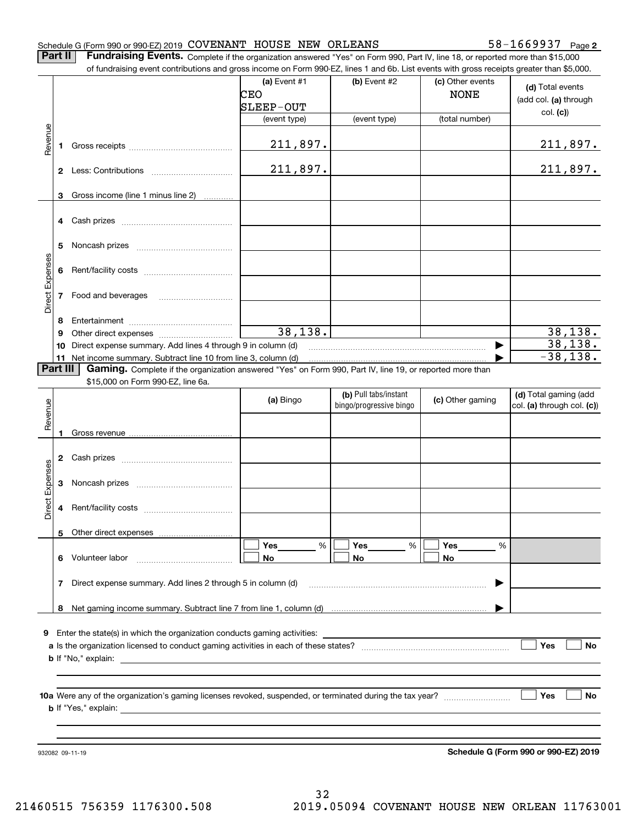#### Schedule G (Form 990 or 990-EZ) 2019 Page COVENANT HOUSE NEW ORLEANS 58-1669937

**2**

**Part II** | Fundraising Events. Complete if the organization answered "Yes" on Form 990, Part IV, line 18, or reported more than \$15,000

|                 |          | of fundraising event contributions and gross income on Form 990-EZ, lines 1 and 6b. List events with gross receipts greater than \$5,000.                                                                                      |                |                         |                  |                            |
|-----------------|----------|--------------------------------------------------------------------------------------------------------------------------------------------------------------------------------------------------------------------------------|----------------|-------------------------|------------------|----------------------------|
|                 |          |                                                                                                                                                                                                                                | (a) Event $#1$ | (b) Event #2            | (c) Other events |                            |
|                 |          |                                                                                                                                                                                                                                | CEO            |                         | <b>NONE</b>      | (d) Total events           |
|                 |          |                                                                                                                                                                                                                                | SLEEP-OUT      |                         |                  | (add col. (a) through      |
|                 |          |                                                                                                                                                                                                                                | (event type)   | (event type)            | (total number)   | col. (c)                   |
|                 |          |                                                                                                                                                                                                                                |                |                         |                  |                            |
| Revenue         |          |                                                                                                                                                                                                                                |                |                         |                  |                            |
|                 | 1        |                                                                                                                                                                                                                                | 211,897.       |                         |                  | <u>211,897.</u>            |
|                 |          |                                                                                                                                                                                                                                |                |                         |                  |                            |
|                 |          |                                                                                                                                                                                                                                | 211,897.       |                         |                  | 211,897.                   |
|                 |          |                                                                                                                                                                                                                                |                |                         |                  |                            |
|                 | 3        | Gross income (line 1 minus line 2)                                                                                                                                                                                             |                |                         |                  |                            |
|                 |          |                                                                                                                                                                                                                                |                |                         |                  |                            |
|                 | 4        | Cash prizes [111] Cash prizes [11] Cash prizes [11] Cash prizes [11] Casar Division [11] Division (11] Division (11] Division (11] Division (11] Division (11] Division (11] Division (11] Division (11] Division (11] Divisio |                |                         |                  |                            |
|                 |          |                                                                                                                                                                                                                                |                |                         |                  |                            |
|                 | 5        |                                                                                                                                                                                                                                |                |                         |                  |                            |
|                 |          |                                                                                                                                                                                                                                |                |                         |                  |                            |
| Direct Expenses | 6        |                                                                                                                                                                                                                                |                |                         |                  |                            |
|                 |          |                                                                                                                                                                                                                                |                |                         |                  |                            |
|                 |          |                                                                                                                                                                                                                                |                |                         |                  |                            |
|                 | 7        | Food and beverages                                                                                                                                                                                                             |                |                         |                  |                            |
|                 |          |                                                                                                                                                                                                                                |                |                         |                  |                            |
|                 | 8        |                                                                                                                                                                                                                                |                |                         |                  |                            |
|                 | 9        |                                                                                                                                                                                                                                | 38,138.        |                         |                  | 38, 138.                   |
|                 | 10       | Direct expense summary. Add lines 4 through 9 in column (d)                                                                                                                                                                    |                |                         |                  | 38, 138.                   |
|                 |          | 11 Net income summary. Subtract line 10 from line 3, column (d)                                                                                                                                                                |                |                         |                  | $-38,138.$                 |
|                 | Part III | Gaming. Complete if the organization answered "Yes" on Form 990, Part IV, line 19, or reported more than                                                                                                                       |                |                         |                  |                            |
|                 |          | \$15,000 on Form 990-EZ, line 6a.                                                                                                                                                                                              |                |                         |                  |                            |
|                 |          |                                                                                                                                                                                                                                |                | (b) Pull tabs/instant   |                  | (d) Total gaming (add      |
|                 |          |                                                                                                                                                                                                                                | (a) Bingo      | bingo/progressive bingo | (c) Other gaming | col. (a) through col. (c)) |
| Revenue         |          |                                                                                                                                                                                                                                |                |                         |                  |                            |
|                 | 1        |                                                                                                                                                                                                                                |                |                         |                  |                            |
|                 |          |                                                                                                                                                                                                                                |                |                         |                  |                            |
|                 |          |                                                                                                                                                                                                                                |                |                         |                  |                            |
|                 | 2        |                                                                                                                                                                                                                                |                |                         |                  |                            |
| Direct Expenses |          |                                                                                                                                                                                                                                |                |                         |                  |                            |
|                 | 3        |                                                                                                                                                                                                                                |                |                         |                  |                            |
|                 |          |                                                                                                                                                                                                                                |                |                         |                  |                            |
|                 | 4        |                                                                                                                                                                                                                                |                |                         |                  |                            |
|                 |          |                                                                                                                                                                                                                                |                |                         |                  |                            |
|                 |          | 5 Other direct expenses                                                                                                                                                                                                        |                |                         |                  |                            |
|                 |          |                                                                                                                                                                                                                                | Yes<br>%       | Yes<br>%                | Yes<br>%         |                            |
|                 |          | 6 Volunteer labor                                                                                                                                                                                                              | No             | No                      | No               |                            |
|                 |          |                                                                                                                                                                                                                                |                |                         |                  |                            |
|                 | 7        |                                                                                                                                                                                                                                |                |                         |                  |                            |
|                 |          | Direct expense summary. Add lines 2 through 5 in column (d)                                                                                                                                                                    |                |                         |                  |                            |
|                 |          |                                                                                                                                                                                                                                |                |                         |                  |                            |
|                 |          |                                                                                                                                                                                                                                |                |                         |                  |                            |
|                 |          |                                                                                                                                                                                                                                |                |                         |                  |                            |
| 9               |          | Enter the state(s) in which the organization conducts gaming activities:                                                                                                                                                       |                |                         |                  |                            |
|                 |          |                                                                                                                                                                                                                                |                |                         |                  | Yes<br>No                  |
|                 |          |                                                                                                                                                                                                                                |                |                         |                  |                            |
|                 |          |                                                                                                                                                                                                                                |                |                         |                  |                            |
|                 |          |                                                                                                                                                                                                                                |                |                         |                  |                            |
|                 |          |                                                                                                                                                                                                                                |                |                         |                  | Yes<br>No.                 |
|                 |          |                                                                                                                                                                                                                                |                |                         |                  |                            |
|                 |          |                                                                                                                                                                                                                                |                |                         |                  |                            |
|                 |          |                                                                                                                                                                                                                                |                |                         |                  |                            |
|                 |          |                                                                                                                                                                                                                                |                |                         |                  |                            |
|                 |          |                                                                                                                                                                                                                                |                |                         |                  |                            |

**Schedule G (Form 990 or 990-EZ) 2019**

932082 09-11-19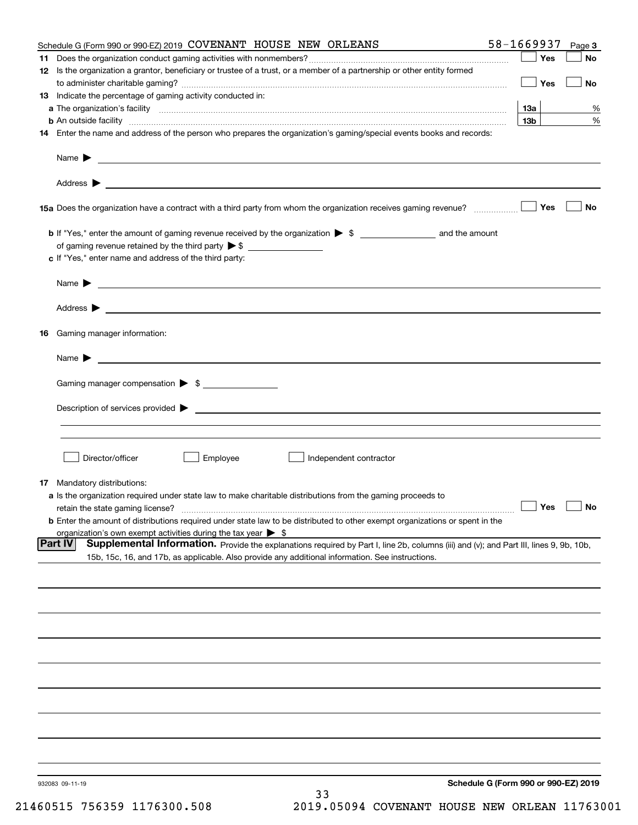|    | Schedule G (Form 990 or 990-EZ) 2019 COVENANT HOUSE NEW ORLEANS                                                                                                                                                                                       | 58-1669937                           | Page 3    |
|----|-------------------------------------------------------------------------------------------------------------------------------------------------------------------------------------------------------------------------------------------------------|--------------------------------------|-----------|
| 11 |                                                                                                                                                                                                                                                       | Yes                                  | No        |
|    | 12 Is the organization a grantor, beneficiary or trustee of a trust, or a member of a partnership or other entity formed                                                                                                                              |                                      |           |
|    |                                                                                                                                                                                                                                                       | Yes                                  | No        |
|    | 13 Indicate the percentage of gaming activity conducted in:                                                                                                                                                                                           |                                      |           |
|    |                                                                                                                                                                                                                                                       | <u>13a</u>                           | %         |
|    | <b>b</b> An outside facility <i>www.communicality www.communicality.communicality www.communicality www.communicality.communicality www.communicality.com</i>                                                                                         | 13 <sub>b</sub>                      | %         |
|    | 14 Enter the name and address of the person who prepares the organization's gaming/special events books and records:                                                                                                                                  |                                      |           |
|    |                                                                                                                                                                                                                                                       |                                      |           |
|    |                                                                                                                                                                                                                                                       |                                      |           |
|    | 15a Does the organization have a contract with a third party from whom the organization receives gaming revenue?                                                                                                                                      | Yes                                  | <b>No</b> |
|    | b If "Yes," enter the amount of gaming revenue received by the organization > \$ ____________________ and the amount                                                                                                                                  |                                      |           |
|    |                                                                                                                                                                                                                                                       |                                      |           |
|    | c If "Yes," enter name and address of the third party:                                                                                                                                                                                                |                                      |           |
|    | Name $\blacktriangleright$ $\bot$                                                                                                                                                                                                                     |                                      |           |
|    |                                                                                                                                                                                                                                                       |                                      |           |
|    |                                                                                                                                                                                                                                                       |                                      |           |
|    | 16 Gaming manager information:                                                                                                                                                                                                                        |                                      |           |
|    | Name $\blacktriangleright$ $\frac{1}{\sqrt{1-\frac{1}{2}}\left(1-\frac{1}{2}\right)}$                                                                                                                                                                 |                                      |           |
|    | Gaming manager compensation > \$                                                                                                                                                                                                                      |                                      |           |
|    |                                                                                                                                                                                                                                                       |                                      |           |
|    |                                                                                                                                                                                                                                                       |                                      |           |
|    |                                                                                                                                                                                                                                                       |                                      |           |
|    | Director/officer<br>Employee<br>Independent contractor                                                                                                                                                                                                |                                      |           |
|    |                                                                                                                                                                                                                                                       |                                      |           |
|    | 17 Mandatory distributions:                                                                                                                                                                                                                           |                                      |           |
|    | a Is the organization required under state law to make charitable distributions from the gaming proceeds to                                                                                                                                           |                                      |           |
|    | $\Box$ Yes $\Box$ No<br>retain the state gaming license?                                                                                                                                                                                              |                                      |           |
|    | <b>b</b> Enter the amount of distributions required under state law to be distributed to other exempt organizations or spent in the                                                                                                                   |                                      |           |
|    | organization's own exempt activities during the tax year $\triangleright$ \$                                                                                                                                                                          |                                      |           |
|    | Part IV<br>Supplemental Information. Provide the explanations required by Part I, line 2b, columns (iii) and (v); and Part III, lines 9, 9b, 10b,<br>15b, 15c, 16, and 17b, as applicable. Also provide any additional information. See instructions. |                                      |           |
|    |                                                                                                                                                                                                                                                       |                                      |           |
|    |                                                                                                                                                                                                                                                       |                                      |           |
|    |                                                                                                                                                                                                                                                       |                                      |           |
|    |                                                                                                                                                                                                                                                       |                                      |           |
|    |                                                                                                                                                                                                                                                       |                                      |           |
|    |                                                                                                                                                                                                                                                       |                                      |           |
|    |                                                                                                                                                                                                                                                       |                                      |           |
|    |                                                                                                                                                                                                                                                       |                                      |           |
|    |                                                                                                                                                                                                                                                       |                                      |           |
|    |                                                                                                                                                                                                                                                       |                                      |           |
|    |                                                                                                                                                                                                                                                       |                                      |           |
|    |                                                                                                                                                                                                                                                       |                                      |           |
|    | 932083 09-11-19                                                                                                                                                                                                                                       | Schedule G (Form 990 or 990-EZ) 2019 |           |
|    | 33                                                                                                                                                                                                                                                    |                                      |           |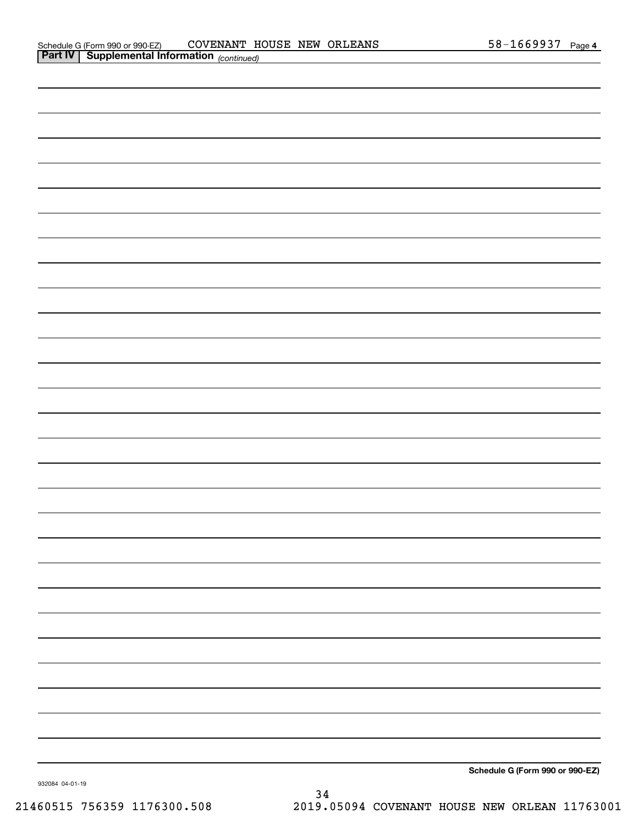| <b>Part IV Supplemental Information</b> (continued) |  |                                 |
|-----------------------------------------------------|--|---------------------------------|
|                                                     |  |                                 |
|                                                     |  |                                 |
|                                                     |  |                                 |
|                                                     |  |                                 |
|                                                     |  |                                 |
|                                                     |  |                                 |
|                                                     |  |                                 |
|                                                     |  |                                 |
|                                                     |  |                                 |
|                                                     |  |                                 |
|                                                     |  |                                 |
|                                                     |  |                                 |
|                                                     |  |                                 |
|                                                     |  |                                 |
|                                                     |  |                                 |
|                                                     |  |                                 |
|                                                     |  |                                 |
|                                                     |  |                                 |
|                                                     |  |                                 |
|                                                     |  |                                 |
|                                                     |  |                                 |
|                                                     |  |                                 |
|                                                     |  |                                 |
|                                                     |  |                                 |
|                                                     |  |                                 |
|                                                     |  |                                 |
|                                                     |  |                                 |
|                                                     |  |                                 |
|                                                     |  |                                 |
|                                                     |  | Schodule C (Form 990 or 990-F7) |

**Schedule G (Form 990 or 990-EZ)**

932084 04-01-19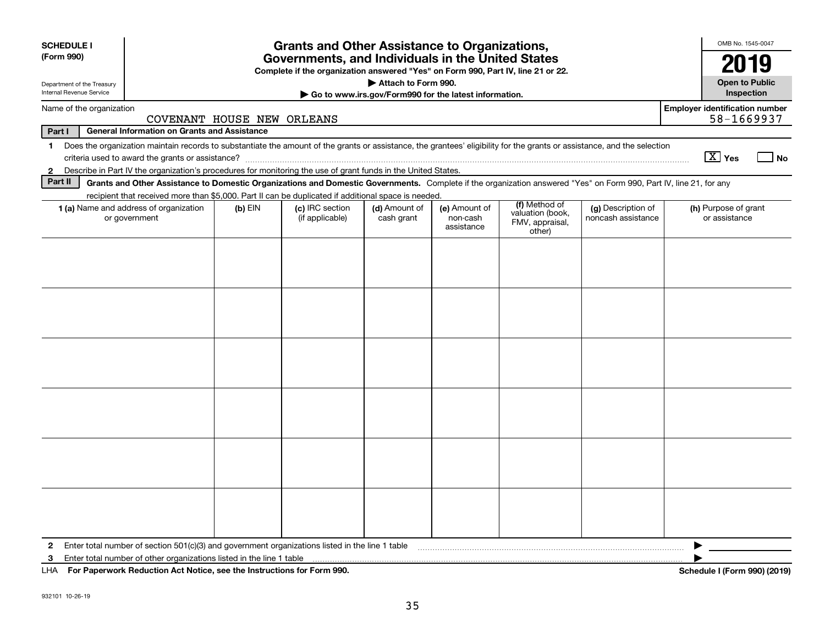| <b>SCHEDULE I</b><br>(Form 990)                        | <b>Grants and Other Assistance to Organizations,</b><br>Governments, and Individuals in the United States                                                                                                                                                                           |           |                                                                                  |                                                                              |                                         |                                                                |                                          |                                                     |
|--------------------------------------------------------|-------------------------------------------------------------------------------------------------------------------------------------------------------------------------------------------------------------------------------------------------------------------------------------|-----------|----------------------------------------------------------------------------------|------------------------------------------------------------------------------|-----------------------------------------|----------------------------------------------------------------|------------------------------------------|-----------------------------------------------------|
| Department of the Treasury<br>Internal Revenue Service |                                                                                                                                                                                                                                                                                     |           | Complete if the organization answered "Yes" on Form 990, Part IV, line 21 or 22. | Attach to Form 990.<br>Go to www.irs.gov/Form990 for the latest information. |                                         |                                                                |                                          | 2019<br><b>Open to Public</b><br>Inspection         |
| Name of the organization                               | COVENANT HOUSE NEW ORLEANS                                                                                                                                                                                                                                                          |           |                                                                                  |                                                                              |                                         |                                                                |                                          | <b>Employer identification number</b><br>58-1669937 |
| Part I                                                 | <b>General Information on Grants and Assistance</b>                                                                                                                                                                                                                                 |           |                                                                                  |                                                                              |                                         |                                                                |                                          |                                                     |
| 1                                                      | Does the organization maintain records to substantiate the amount of the grants or assistance, the grantees' eligibility for the grants or assistance, and the selection                                                                                                            |           |                                                                                  |                                                                              |                                         |                                                                |                                          | $\boxed{\text{X}}$ Yes<br>  No                      |
| $\mathbf{2}$<br>Part II                                | Describe in Part IV the organization's procedures for monitoring the use of grant funds in the United States.<br>Grants and Other Assistance to Domestic Organizations and Domestic Governments. Complete if the organization answered "Yes" on Form 990, Part IV, line 21, for any |           |                                                                                  |                                                                              |                                         |                                                                |                                          |                                                     |
|                                                        | recipient that received more than \$5,000. Part II can be duplicated if additional space is needed.                                                                                                                                                                                 |           |                                                                                  |                                                                              |                                         |                                                                |                                          |                                                     |
|                                                        | 1 (a) Name and address of organization<br>or government                                                                                                                                                                                                                             | $(b)$ EIN | (c) IRC section<br>(if applicable)                                               | (d) Amount of<br>cash grant                                                  | (e) Amount of<br>non-cash<br>assistance | (f) Method of<br>valuation (book,<br>FMV, appraisal,<br>other) | (g) Description of<br>noncash assistance | (h) Purpose of grant<br>or assistance               |
|                                                        |                                                                                                                                                                                                                                                                                     |           |                                                                                  |                                                                              |                                         |                                                                |                                          |                                                     |
|                                                        |                                                                                                                                                                                                                                                                                     |           |                                                                                  |                                                                              |                                         |                                                                |                                          |                                                     |
|                                                        |                                                                                                                                                                                                                                                                                     |           |                                                                                  |                                                                              |                                         |                                                                |                                          |                                                     |
|                                                        |                                                                                                                                                                                                                                                                                     |           |                                                                                  |                                                                              |                                         |                                                                |                                          |                                                     |
|                                                        |                                                                                                                                                                                                                                                                                     |           |                                                                                  |                                                                              |                                         |                                                                |                                          |                                                     |
|                                                        |                                                                                                                                                                                                                                                                                     |           |                                                                                  |                                                                              |                                         |                                                                |                                          |                                                     |
| $\mathbf{2}$                                           | Enter total number of section 501(c)(3) and government organizations listed in the line 1 table                                                                                                                                                                                     |           |                                                                                  |                                                                              |                                         |                                                                |                                          |                                                     |
| 3<br>LHA                                               | Enter total number of other organizations listed in the line 1 table<br>For Paperwork Reduction Act Notice, see the Instructions for Form 990.<br>Schedule I (Form 990) (2019)                                                                                                      |           |                                                                                  |                                                                              |                                         |                                                                |                                          |                                                     |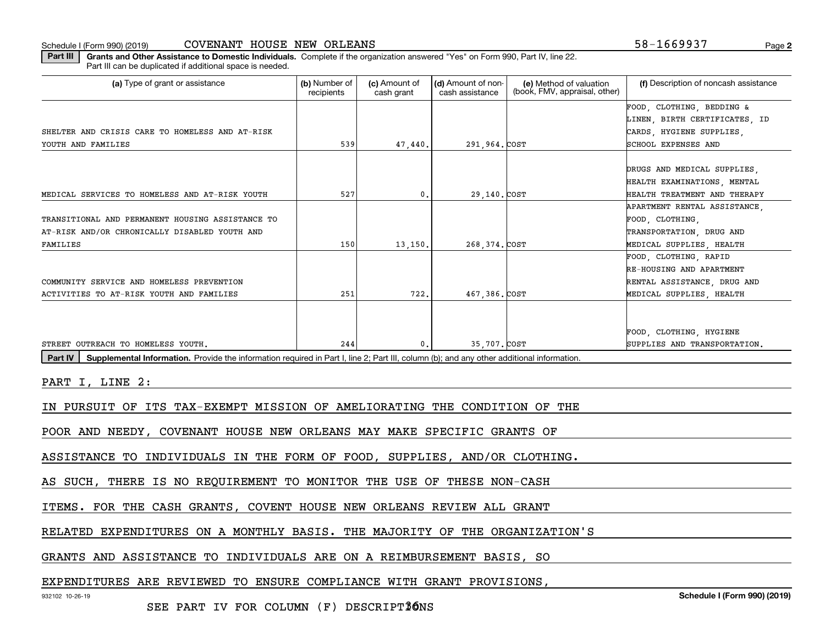Schedule I (Form 990) (2019) COVENANT HOUSE NEW ORLEANS 5 8-1 6 6 9 9 3 7 Page

**2**

**Part III | Grants and Other Assistance to Domestic Individuals. Complete if the organization answered "Yes" on Form 990, Part IV, line 22.** Part III can be duplicated if additional space is needed.

| (a) Type of grant or assistance                                                                                                                             | (b) Number of<br>recipients | (c) Amount of<br>cash grant | (d) Amount of non-<br>cash assistance | (e) Method of valuation<br>(book, FMV, appraisal, other) | (f) Description of noncash assistance |  |  |
|-------------------------------------------------------------------------------------------------------------------------------------------------------------|-----------------------------|-----------------------------|---------------------------------------|----------------------------------------------------------|---------------------------------------|--|--|
|                                                                                                                                                             |                             |                             |                                       |                                                          | FOOD, CLOTHING, BEDDING &             |  |  |
|                                                                                                                                                             |                             |                             |                                       |                                                          | LINEN, BIRTH CERTIFICATES, ID         |  |  |
| SHELTER AND CRISIS CARE TO HOMELESS AND AT-RISK                                                                                                             |                             |                             |                                       |                                                          | CARDS, HYGIENE SUPPLIES,              |  |  |
| YOUTH AND FAMILIES                                                                                                                                          | 539                         | 47,440.                     | 291,964. COST                         |                                                          | SCHOOL EXPENSES AND                   |  |  |
|                                                                                                                                                             |                             |                             |                                       |                                                          |                                       |  |  |
|                                                                                                                                                             |                             |                             |                                       |                                                          | DRUGS AND MEDICAL SUPPLIES.           |  |  |
|                                                                                                                                                             |                             |                             |                                       |                                                          | HEALTH EXAMINATIONS, MENTAL           |  |  |
| MEDICAL SERVICES TO HOMELESS AND AT-RISK YOUTH                                                                                                              | 527                         | 0.                          | 29,140.COST                           |                                                          | HEALTH TREATMENT AND THERAPY          |  |  |
|                                                                                                                                                             |                             |                             |                                       |                                                          | APARTMENT RENTAL ASSISTANCE           |  |  |
| TRANSITIONAL AND PERMANENT HOUSING ASSISTANCE TO                                                                                                            |                             |                             |                                       |                                                          | FOOD, CLOTHING,                       |  |  |
| AT-RISK AND/OR CHRONICALLY DISABLED YOUTH AND                                                                                                               |                             |                             |                                       |                                                          | TRANSPORTATION, DRUG AND              |  |  |
| FAMILIES                                                                                                                                                    | 150                         | 13, 150.                    | 268, 374. COST                        |                                                          | MEDICAL SUPPLIES, HEALTH              |  |  |
|                                                                                                                                                             |                             |                             |                                       |                                                          | FOOD, CLOTHING, RAPID                 |  |  |
|                                                                                                                                                             |                             |                             |                                       |                                                          | RE-HOUSING AND APARTMENT              |  |  |
| COMMUNITY SERVICE AND HOMELESS PREVENTION                                                                                                                   |                             |                             |                                       |                                                          | RENTAL ASSISTANCE, DRUG AND           |  |  |
| ACTIVITIES TO AT-RISK YOUTH AND FAMILIES                                                                                                                    | 251                         | 722.                        | 467,386.COST                          |                                                          | MEDICAL SUPPLIES, HEALTH              |  |  |
|                                                                                                                                                             |                             |                             |                                       |                                                          |                                       |  |  |
|                                                                                                                                                             |                             |                             |                                       |                                                          | FOOD, CLOTHING, HYGIENE               |  |  |
| STREET OUTREACH TO HOMELESS YOUTH.                                                                                                                          | 244                         | 0.                          | 35,707. COST                          |                                                          | SUPPLIES AND TRANSPORTATION.          |  |  |
| Supplemental Information. Provide the information required in Part I, line 2; Part III, column (b); and any other additional information.<br><b>Part IV</b> |                             |                             |                                       |                                                          |                                       |  |  |

PART I, LINE 2:

IN PURSUIT OF ITS TAX-EXEMPT MISSION OF AMELIORATING THE CONDITION OF THE

POOR AND NEEDY, COVENANT HOUSE NEW ORLEANS MAY MAKE SPECIFIC GRANTS OF

ASSISTANCE TO INDIVIDUALS IN THE FORM OF FOOD, SUPPLIES, AND/OR CLOTHING.

AS SUCH, THERE IS NO REQUIREMENT TO MONITOR THE USE OF THESE NON-CASH

ITEMS. FOR THE CASH GRANTS, COVENT HOUSE NEW ORLEANS REVIEW ALL GRANT

RELATED EXPENDITURES ON A MONTHLY BASIS. THE MAJORITY OF THE ORGANIZATION'S

GRANTS AND ASSISTANCE TO INDIVIDUALS ARE ON A REIMBURSEMENT BASIS, SO

EXPENDITURES ARE REVIEWED TO ENSURE COMPLIANCE WITH GRANT PROVISIONS

932102 10-26-19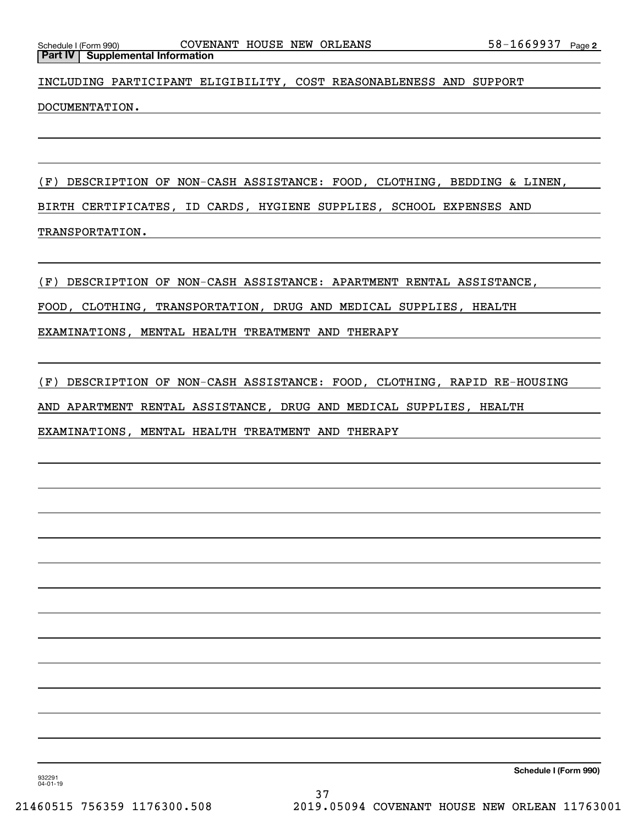INCLUDING PARTICIPANT ELIGIBILITY, COST REASONABLENESS AND SUPPORT

DOCUMENTATION.

(F) DESCRIPTION OF NON-CASH ASSISTANCE: FOOD, CLOTHING, BEDDING & LINEN, BIRTH CERTIFICATES, ID CARDS, HYGIENE SUPPLIES, SCHOOL EXPENSES AND TRANSPORTATION.

(F) DESCRIPTION OF NON-CASH ASSISTANCE: APARTMENT RENTAL ASSISTANCE,

FOOD, CLOTHING, TRANSPORTATION, DRUG AND MEDICAL SUPPLIES, HEALTH

EXAMINATIONS, MENTAL HEALTH TREATMENT AND THERAPY

(F) DESCRIPTION OF NON-CASH ASSISTANCE: FOOD, CLOTHING, RAPID RE-HOUSING

AND APARTMENT RENTAL ASSISTANCE, DRUG AND MEDICAL SUPPLIES, HEALTH

EXAMINATIONS, MENTAL HEALTH TREATMENT AND THERAPY

**Schedule I (Form 990)**

932291 04-01-19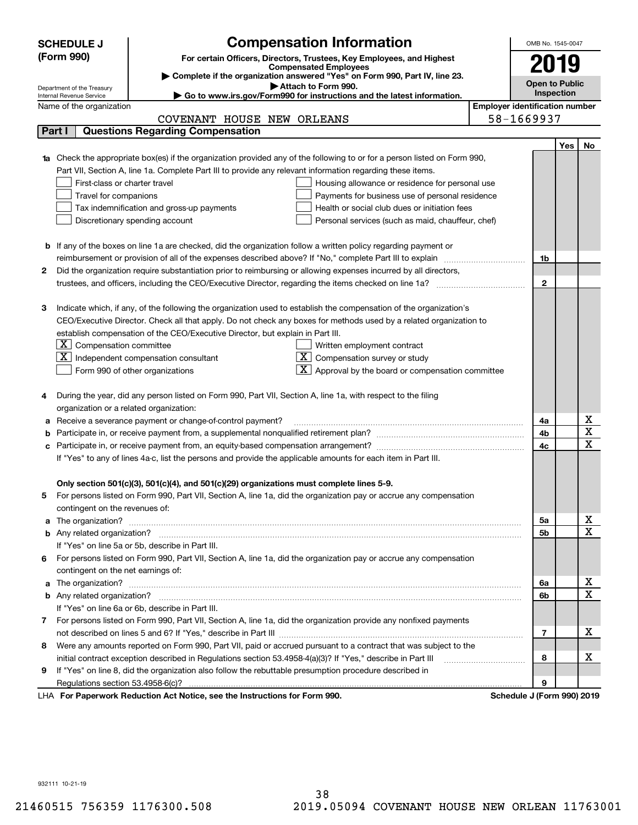|   | <b>SCHEDULE J</b>                                      |                                                                                                                        | <b>Compensation Information</b>                                                                                                                                                                                                      |                                       | OMB No. 1545-0047          |     |                         |
|---|--------------------------------------------------------|------------------------------------------------------------------------------------------------------------------------|--------------------------------------------------------------------------------------------------------------------------------------------------------------------------------------------------------------------------------------|---------------------------------------|----------------------------|-----|-------------------------|
|   | (Form 990)                                             |                                                                                                                        |                                                                                                                                                                                                                                      |                                       |                            |     |                         |
|   |                                                        |                                                                                                                        | For certain Officers, Directors, Trustees, Key Employees, and Highest<br><b>Compensated Employees</b>                                                                                                                                |                                       | 2019                       |     |                         |
|   |                                                        |                                                                                                                        | Complete if the organization answered "Yes" on Form 990, Part IV, line 23.                                                                                                                                                           |                                       | <b>Open to Public</b>      |     |                         |
|   | Department of the Treasury<br>Internal Revenue Service |                                                                                                                        | Attach to Form 990.<br>Go to www.irs.gov/Form990 for instructions and the latest information.                                                                                                                                        |                                       | Inspection                 |     |                         |
|   | Name of the organization                               |                                                                                                                        |                                                                                                                                                                                                                                      | <b>Employer identification number</b> |                            |     |                         |
|   |                                                        | COVENANT HOUSE NEW ORLEANS                                                                                             |                                                                                                                                                                                                                                      |                                       | 58-1669937                 |     |                         |
|   | Part I                                                 | <b>Questions Regarding Compensation</b>                                                                                |                                                                                                                                                                                                                                      |                                       |                            |     |                         |
|   |                                                        |                                                                                                                        |                                                                                                                                                                                                                                      |                                       |                            | Yes | No.                     |
|   |                                                        |                                                                                                                        | <b>1a</b> Check the appropriate box(es) if the organization provided any of the following to or for a person listed on Form 990,                                                                                                     |                                       |                            |     |                         |
|   |                                                        | Part VII, Section A, line 1a. Complete Part III to provide any relevant information regarding these items.             |                                                                                                                                                                                                                                      |                                       |                            |     |                         |
|   | First-class or charter travel                          |                                                                                                                        | Housing allowance or residence for personal use                                                                                                                                                                                      |                                       |                            |     |                         |
|   | Travel for companions                                  |                                                                                                                        | Payments for business use of personal residence                                                                                                                                                                                      |                                       |                            |     |                         |
|   |                                                        | Tax indemnification and gross-up payments                                                                              | Health or social club dues or initiation fees                                                                                                                                                                                        |                                       |                            |     |                         |
|   |                                                        | Discretionary spending account                                                                                         | Personal services (such as maid, chauffeur, chef)                                                                                                                                                                                    |                                       |                            |     |                         |
|   |                                                        |                                                                                                                        |                                                                                                                                                                                                                                      |                                       |                            |     |                         |
|   |                                                        | <b>b</b> If any of the boxes on line 1a are checked, did the organization follow a written policy regarding payment or |                                                                                                                                                                                                                                      |                                       |                            |     |                         |
|   |                                                        |                                                                                                                        |                                                                                                                                                                                                                                      |                                       | 1b                         |     |                         |
| 2 |                                                        |                                                                                                                        | Did the organization require substantiation prior to reimbursing or allowing expenses incurred by all directors,                                                                                                                     |                                       |                            |     |                         |
|   |                                                        |                                                                                                                        |                                                                                                                                                                                                                                      |                                       | $\mathbf{2}$               |     |                         |
|   |                                                        |                                                                                                                        |                                                                                                                                                                                                                                      |                                       |                            |     |                         |
| З |                                                        |                                                                                                                        | Indicate which, if any, of the following the organization used to establish the compensation of the organization's                                                                                                                   |                                       |                            |     |                         |
|   |                                                        |                                                                                                                        | CEO/Executive Director. Check all that apply. Do not check any boxes for methods used by a related organization to                                                                                                                   |                                       |                            |     |                         |
|   |                                                        | establish compensation of the CEO/Executive Director, but explain in Part III.                                         |                                                                                                                                                                                                                                      |                                       |                            |     |                         |
|   | $\lfloor \texttt{X} \rfloor$ Compensation committee    |                                                                                                                        | Written employment contract                                                                                                                                                                                                          |                                       |                            |     |                         |
|   |                                                        | $ \mathbf{X} $ Independent compensation consultant                                                                     | $X$ Compensation survey or study                                                                                                                                                                                                     |                                       |                            |     |                         |
|   |                                                        | Form 990 of other organizations                                                                                        | Approval by the board or compensation committee                                                                                                                                                                                      |                                       |                            |     |                         |
|   |                                                        |                                                                                                                        |                                                                                                                                                                                                                                      |                                       |                            |     |                         |
|   |                                                        | During the year, did any person listed on Form 990, Part VII, Section A, line 1a, with respect to the filing           |                                                                                                                                                                                                                                      |                                       |                            |     |                         |
|   | organization or a related organization:                | Receive a severance payment or change-of-control payment?                                                              |                                                                                                                                                                                                                                      |                                       | 4a                         |     | х                       |
| а |                                                        |                                                                                                                        |                                                                                                                                                                                                                                      |                                       | 4b                         |     | $\overline{\textbf{x}}$ |
|   |                                                        |                                                                                                                        |                                                                                                                                                                                                                                      |                                       | 4c                         |     | $\mathbf X$             |
|   |                                                        | If "Yes" to any of lines 4a-c, list the persons and provide the applicable amounts for each item in Part III.          |                                                                                                                                                                                                                                      |                                       |                            |     |                         |
|   |                                                        |                                                                                                                        |                                                                                                                                                                                                                                      |                                       |                            |     |                         |
|   |                                                        | Only section 501(c)(3), 501(c)(4), and 501(c)(29) organizations must complete lines 5-9.                               |                                                                                                                                                                                                                                      |                                       |                            |     |                         |
| 5 |                                                        |                                                                                                                        | For persons listed on Form 990, Part VII, Section A, line 1a, did the organization pay or accrue any compensation                                                                                                                    |                                       |                            |     |                         |
|   | contingent on the revenues of:                         |                                                                                                                        |                                                                                                                                                                                                                                      |                                       |                            |     |                         |
|   |                                                        |                                                                                                                        | a The organization? <b>With the contract of the contract of the contract of the contract of the contract of the contract of the contract of the contract of the contract of the contract of the contract of the contract of the </b> |                                       | 5a                         |     | х                       |
|   |                                                        |                                                                                                                        |                                                                                                                                                                                                                                      |                                       | 5b                         |     | $\mathbf X$             |
|   |                                                        | If "Yes" on line 5a or 5b, describe in Part III.                                                                       |                                                                                                                                                                                                                                      |                                       |                            |     |                         |
|   |                                                        |                                                                                                                        | 6 For persons listed on Form 990, Part VII, Section A, line 1a, did the organization pay or accrue any compensation                                                                                                                  |                                       |                            |     |                         |
|   | contingent on the net earnings of:                     |                                                                                                                        |                                                                                                                                                                                                                                      |                                       |                            |     |                         |
|   |                                                        |                                                                                                                        |                                                                                                                                                                                                                                      |                                       | 6а                         |     | х                       |
|   |                                                        |                                                                                                                        |                                                                                                                                                                                                                                      |                                       | 6b                         |     | $\mathbf X$             |
|   |                                                        | If "Yes" on line 6a or 6b, describe in Part III.                                                                       |                                                                                                                                                                                                                                      |                                       |                            |     |                         |
|   |                                                        |                                                                                                                        | 7 For persons listed on Form 990, Part VII, Section A, line 1a, did the organization provide any nonfixed payments                                                                                                                   |                                       |                            |     |                         |
|   |                                                        |                                                                                                                        |                                                                                                                                                                                                                                      |                                       | 7                          |     | х                       |
|   |                                                        |                                                                                                                        | 8 Were any amounts reported on Form 990, Part VII, paid or accrued pursuant to a contract that was subject to the                                                                                                                    |                                       |                            |     |                         |
|   |                                                        |                                                                                                                        |                                                                                                                                                                                                                                      |                                       | 8                          |     | х                       |
| 9 |                                                        | If "Yes" on line 8, did the organization also follow the rebuttable presumption procedure described in                 |                                                                                                                                                                                                                                      |                                       |                            |     |                         |
|   |                                                        |                                                                                                                        |                                                                                                                                                                                                                                      |                                       | 9                          |     |                         |
|   |                                                        | LHA For Paperwork Reduction Act Notice, see the Instructions for Form 990.                                             |                                                                                                                                                                                                                                      |                                       | Schedule J (Form 990) 2019 |     |                         |

932111 10-21-19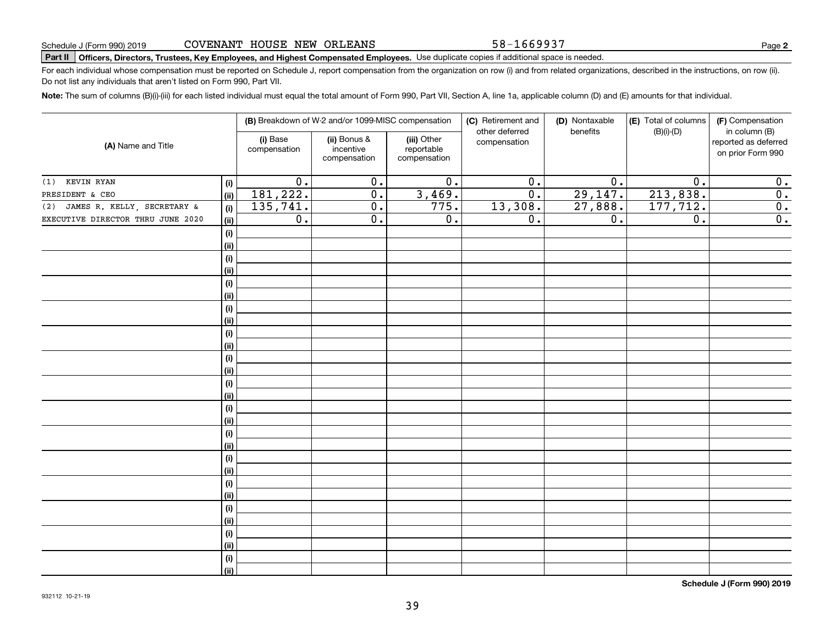58-1669937

**2**

## **Part II Officers, Directors, Trustees, Key Employees, and Highest Compensated Employees.**  Schedule J (Form 990) 2019 Page Use duplicate copies if additional space is needed.

For each individual whose compensation must be reported on Schedule J, report compensation from the organization on row (i) and from related organizations, described in the instructions, on row (ii). Do not list any individuals that aren't listed on Form 990, Part VII.

**Note:**  The sum of columns (B)(i)-(iii) for each listed individual must equal the total amount of Form 990, Part VII, Section A, line 1a, applicable column (D) and (E) amounts for that individual.

| (A) Name and Title                |                              |                                                                                                    | (B) Breakdown of W-2 and/or 1099-MISC compensation |                  | (C) Retirement and             | (D) Nontaxable   | (E) Total of columns | (F) Compensation                                           |
|-----------------------------------|------------------------------|----------------------------------------------------------------------------------------------------|----------------------------------------------------|------------------|--------------------------------|------------------|----------------------|------------------------------------------------------------|
|                                   |                              | (ii) Bonus &<br>(iii) Other<br>(i) Base<br>incentive<br>reportable<br>compensation<br>compensation |                                                    | compensation     | other deferred<br>compensation | benefits         | $(B)(i)-(D)$         | in column (B)<br>reported as deferred<br>on prior Form 990 |
| KEVIN RYAN<br>(1)                 | (i)                          | $\overline{0}$ .                                                                                   | $\overline{0}$ .                                   | $\overline{0}$ . | $\overline{0}$ .               | $\overline{0}$ . | $\overline{0}$ .     | 0.                                                         |
| PRESIDENT & CEO                   | (ii)                         | 181, 222.                                                                                          | $\overline{0}$ .                                   | 3,469.           | $\overline{0}$ .               | 29,147.          | 213,838.             | $\overline{0}$ .                                           |
| (2) JAMES R. KELLY, SECRETARY &   | (i)                          | 135,741.                                                                                           | $\overline{0}$ .                                   | 775.             | 13,308.                        | 27,888.          | 177, 712.            | $\overline{0}$ .                                           |
| EXECUTIVE DIRECTOR THRU JUNE 2020 | <u>(ii)</u>                  | $\overline{0}$ .                                                                                   | $\overline{0}$ .                                   | $\overline{0}$ . | $\overline{0}$ .               | $\overline{0}$ . | $\overline{0}$ .     | $\overline{0}$ .                                           |
|                                   | $\qquad \qquad \textbf{(i)}$ |                                                                                                    |                                                    |                  |                                |                  |                      |                                                            |
|                                   | (ii)                         |                                                                                                    |                                                    |                  |                                |                  |                      |                                                            |
|                                   | (i)                          |                                                                                                    |                                                    |                  |                                |                  |                      |                                                            |
|                                   | (ii)                         |                                                                                                    |                                                    |                  |                                |                  |                      |                                                            |
|                                   | (i)                          |                                                                                                    |                                                    |                  |                                |                  |                      |                                                            |
|                                   | (ii)                         |                                                                                                    |                                                    |                  |                                |                  |                      |                                                            |
|                                   | (i)                          |                                                                                                    |                                                    |                  |                                |                  |                      |                                                            |
|                                   | (ii)                         |                                                                                                    |                                                    |                  |                                |                  |                      |                                                            |
|                                   | (i)                          |                                                                                                    |                                                    |                  |                                |                  |                      |                                                            |
|                                   | (ii)                         |                                                                                                    |                                                    |                  |                                |                  |                      |                                                            |
|                                   | (i)                          |                                                                                                    |                                                    |                  |                                |                  |                      |                                                            |
|                                   | (ii)                         |                                                                                                    |                                                    |                  |                                |                  |                      |                                                            |
|                                   | (i)                          |                                                                                                    |                                                    |                  |                                |                  |                      |                                                            |
|                                   | (ii)                         |                                                                                                    |                                                    |                  |                                |                  |                      |                                                            |
|                                   | (i)                          |                                                                                                    |                                                    |                  |                                |                  |                      |                                                            |
|                                   | (ii)                         |                                                                                                    |                                                    |                  |                                |                  |                      |                                                            |
|                                   | (i)                          |                                                                                                    |                                                    |                  |                                |                  |                      |                                                            |
|                                   | (ii)                         |                                                                                                    |                                                    |                  |                                |                  |                      |                                                            |
|                                   | (i)                          |                                                                                                    |                                                    |                  |                                |                  |                      |                                                            |
|                                   | (ii)                         |                                                                                                    |                                                    |                  |                                |                  |                      |                                                            |
|                                   | (i)                          |                                                                                                    |                                                    |                  |                                |                  |                      |                                                            |
|                                   | (ii)                         |                                                                                                    |                                                    |                  |                                |                  |                      |                                                            |
|                                   | (i)                          |                                                                                                    |                                                    |                  |                                |                  |                      |                                                            |
|                                   | (ii)                         |                                                                                                    |                                                    |                  |                                |                  |                      |                                                            |
|                                   | (i)                          |                                                                                                    |                                                    |                  |                                |                  |                      |                                                            |
|                                   | (ii)                         |                                                                                                    |                                                    |                  |                                |                  |                      |                                                            |
|                                   | (i)                          |                                                                                                    |                                                    |                  |                                |                  |                      |                                                            |
|                                   | (ii)                         |                                                                                                    |                                                    |                  |                                |                  |                      |                                                            |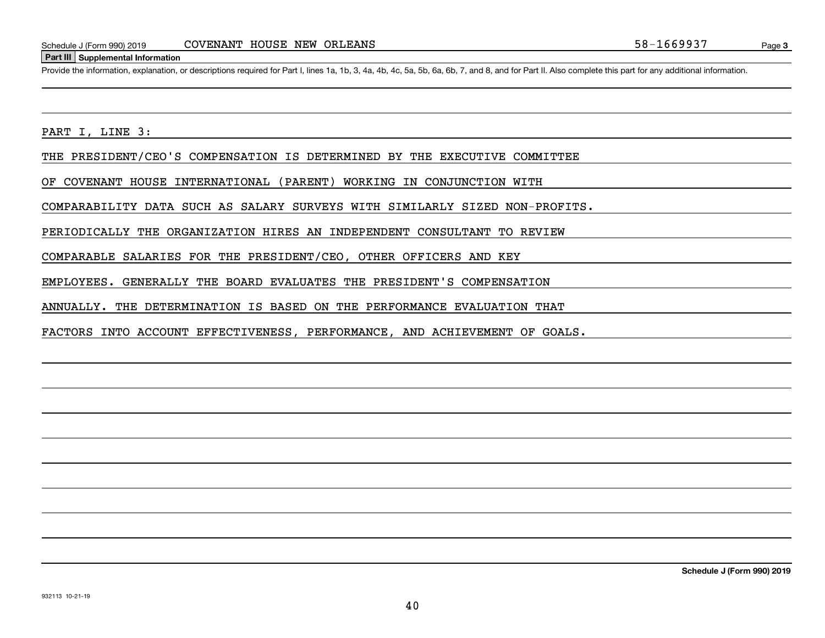#### **Part III Supplemental Information**

Schedule J (Form 990) 2019 COVENANT HOUSE NEW ORLEANS<br>Part III Supplemental Information<br>Provide the information, explanation, or descriptions required for Part I, lines 1a, 1b, 3, 4a, 4b, 4c, 5a, 5b, 6a, 6b, 7, and 8, and

PART I, LINE 3:

THE PRESIDENT/CEO'S COMPENSATION IS DETERMINED BY THE EXECUTIVE COMMITTEE

OF COVENANT HOUSE INTERNATIONAL (PARENT) WORKING IN CONJUNCTION WITH

COMPARABILITY DATA SUCH AS SALARY SURVEYS WITH SIMILARLY SIZED NON-PROFITS.

PERIODICALLY THE ORGANIZATION HIRES AN INDEPENDENT CONSULTANT TO REVIEW

COMPARABLE SALARIES FOR THE PRESIDENT/CEO, OTHER OFFICERS AND KEY

EMPLOYEES. GENERALLY THE BOARD EVALUATES THE PRESIDENT'S COMPENSATION

ANNUALLY. THE DETERMINATION IS BASED ON THE PERFORMANCE EVALUATION THAT

FACTORS INTO ACCOUNT EFFECTIVENESS, PERFORMANCE, AND ACHIEVEMENT OF GOALS.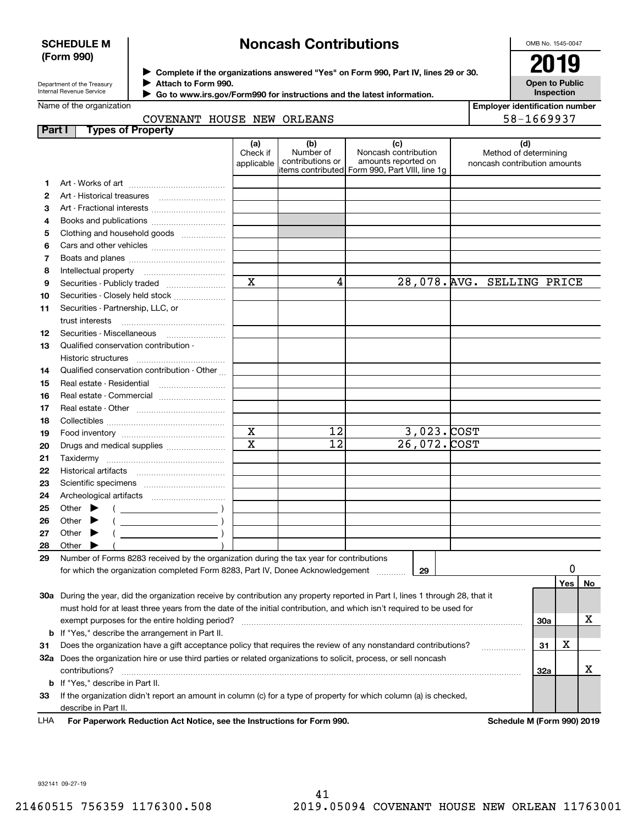#### **SCHEDULE M (Form 990)**

## **Noncash Contributions**

OMB No. 1545-0047

| Department of the Treasury |
|----------------------------|
| Internal Revenue Service   |

**Complete if the organizations answered "Yes" on Form 990, Part IV, lines 29 or 30.** <sup>J</sup>**2019 Attach to Form 990.** J

 **Go to www.irs.gov/Form990 for instructions and the latest information.** J

| 2U                                         |  |
|--------------------------------------------|--|
| <b>Open to Public</b><br><b>Inspection</b> |  |

| Name of the organization |                            |  |  |
|--------------------------|----------------------------|--|--|
|                          | COVENANT HOUSE NEW ORLEANS |  |  |

**Employer identification number** 58-1669937

| <b>Part I</b> | <b>Types of Property</b>                                                                                                       |                               |                                      |                                                                                                      |                                                              |     |     |    |
|---------------|--------------------------------------------------------------------------------------------------------------------------------|-------------------------------|--------------------------------------|------------------------------------------------------------------------------------------------------|--------------------------------------------------------------|-----|-----|----|
|               |                                                                                                                                | (a)<br>Check if<br>applicable | (b)<br>Number of<br>contributions or | (c)<br>Noncash contribution<br>amounts reported on<br>items contributed Form 990, Part VIII, line 1g | (d)<br>Method of determining<br>noncash contribution amounts |     |     |    |
| 1             |                                                                                                                                |                               |                                      |                                                                                                      |                                                              |     |     |    |
| 2             |                                                                                                                                |                               |                                      |                                                                                                      |                                                              |     |     |    |
| 3             | Art - Fractional interests                                                                                                     |                               |                                      |                                                                                                      |                                                              |     |     |    |
| 4             | Books and publications                                                                                                         |                               |                                      |                                                                                                      |                                                              |     |     |    |
| 5             | Clothing and household goods                                                                                                   |                               |                                      |                                                                                                      |                                                              |     |     |    |
| 6             |                                                                                                                                |                               |                                      |                                                                                                      |                                                              |     |     |    |
| 7             |                                                                                                                                |                               |                                      |                                                                                                      |                                                              |     |     |    |
| 8             |                                                                                                                                |                               |                                      |                                                                                                      |                                                              |     |     |    |
| 9             | Securities - Publicly traded                                                                                                   | $\mathbf X$                   | 4                                    |                                                                                                      | 28,078. AVG. SELLING PRICE                                   |     |     |    |
| 10            | Securities - Closely held stock                                                                                                |                               |                                      |                                                                                                      |                                                              |     |     |    |
| 11            | Securities - Partnership, LLC, or                                                                                              |                               |                                      |                                                                                                      |                                                              |     |     |    |
|               | trust interests                                                                                                                |                               |                                      |                                                                                                      |                                                              |     |     |    |
| 12            | Securities - Miscellaneous                                                                                                     |                               |                                      |                                                                                                      |                                                              |     |     |    |
| 13            | Qualified conservation contribution -                                                                                          |                               |                                      |                                                                                                      |                                                              |     |     |    |
|               | <b>Historic structures</b>                                                                                                     |                               |                                      |                                                                                                      |                                                              |     |     |    |
| 14            | Qualified conservation contribution - Other                                                                                    |                               |                                      |                                                                                                      |                                                              |     |     |    |
| 15            | Real estate - Residential                                                                                                      |                               |                                      |                                                                                                      |                                                              |     |     |    |
| 16            |                                                                                                                                |                               |                                      |                                                                                                      |                                                              |     |     |    |
| 17            |                                                                                                                                |                               |                                      |                                                                                                      |                                                              |     |     |    |
| 18            |                                                                                                                                |                               |                                      |                                                                                                      |                                                              |     |     |    |
| 19            |                                                                                                                                | $\mathbf x$                   | 12                                   | $3,023$ . $COST$                                                                                     |                                                              |     |     |    |
| 20            | Drugs and medical supplies                                                                                                     | $\overline{\mathbf{x}}$       | $\overline{12}$                      | 26,072. COST                                                                                         |                                                              |     |     |    |
| 21            |                                                                                                                                |                               |                                      |                                                                                                      |                                                              |     |     |    |
| 22            |                                                                                                                                |                               |                                      |                                                                                                      |                                                              |     |     |    |
| 23            |                                                                                                                                |                               |                                      |                                                                                                      |                                                              |     |     |    |
| 24            |                                                                                                                                |                               |                                      |                                                                                                      |                                                              |     |     |    |
| 25            | Other $\blacktriangleright$                                                                                                    |                               |                                      |                                                                                                      |                                                              |     |     |    |
| 26            | Other                                                                                                                          |                               |                                      |                                                                                                      |                                                              |     |     |    |
| 27            | Other $\blacktriangleright$                                                                                                    |                               |                                      |                                                                                                      |                                                              |     |     |    |
| 28            | Other $\blacktriangleright$                                                                                                    |                               |                                      |                                                                                                      |                                                              |     |     |    |
| 29            | Number of Forms 8283 received by the organization during the tax year for contributions                                        |                               |                                      |                                                                                                      |                                                              |     |     |    |
|               | for which the organization completed Form 8283, Part IV, Donee Acknowledgement                                                 |                               |                                      | 29                                                                                                   |                                                              |     | 0   |    |
|               |                                                                                                                                |                               |                                      |                                                                                                      |                                                              |     | Yes | No |
|               | 30a During the year, did the organization receive by contribution any property reported in Part I, lines 1 through 28, that it |                               |                                      |                                                                                                      |                                                              |     |     |    |
|               | must hold for at least three years from the date of the initial contribution, and which isn't required to be used for          |                               |                                      |                                                                                                      |                                                              |     |     |    |
|               |                                                                                                                                |                               |                                      |                                                                                                      |                                                              | 30a |     | х  |
|               | <b>b</b> If "Yes," describe the arrangement in Part II.                                                                        |                               |                                      |                                                                                                      |                                                              |     |     |    |
| 31            | Does the organization have a gift acceptance policy that requires the review of any nonstandard contributions?                 |                               |                                      |                                                                                                      |                                                              | 31  | х   |    |
|               | 32a Does the organization hire or use third parties or related organizations to solicit, process, or sell noncash              |                               |                                      |                                                                                                      | .                                                            |     |     |    |
|               | contributions?                                                                                                                 |                               |                                      |                                                                                                      |                                                              | 32a |     | х  |
|               | <b>b</b> If "Yes," describe in Part II.                                                                                        |                               |                                      |                                                                                                      |                                                              |     |     |    |
| 33            | If the organization didn't report an amount in column (c) for a type of property for which column (a) is checked,              |                               |                                      |                                                                                                      |                                                              |     |     |    |
|               | describe in Part II.                                                                                                           |                               |                                      |                                                                                                      |                                                              |     |     |    |
| LHA           | For Paperwork Reduction Act Notice, see the Instructions for Form 990.                                                         |                               |                                      |                                                                                                      | Schedule M (Form 990) 2019                                   |     |     |    |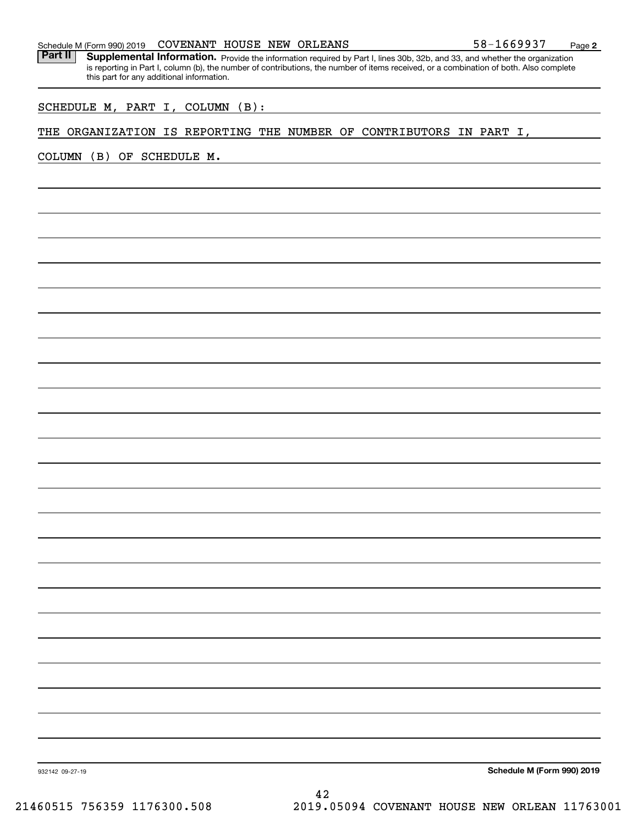#### Schedule M (Form 990) 2019 Page COVENANT HOUSE NEW ORLEANS 58-1669937

Part II | Supplemental Information. Provide the information required by Part I, lines 30b, 32b, and 33, and whether the organization is reporting in Part I, column (b), the number of contributions, the number of items received, or a combination of both. Also complete this part for any additional information.

SCHEDULE M, PART I, COLUMN (B):

#### THE ORGANIZATION IS REPORTING THE NUMBER OF CONTRIBUTORS IN PART I,

COLUMN (B) OF SCHEDULE M.

**Schedule M (Form 990) 2019**

932142 09-27-19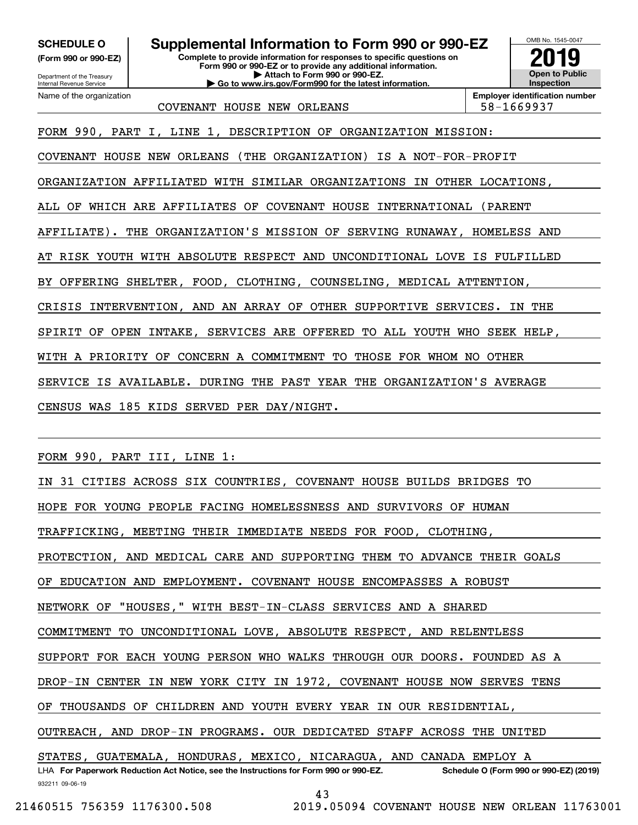**(Form 990 or 990-EZ)**

Department of the Treasury Internal Revenue Service Name of the organization

### **SCHEDULE O Supplemental Information to Form 990 or 990-EZ**

**Complete to provide information for responses to specific questions on Form 990 or 990-EZ or to provide any additional information. | Attach to Form 990 or 990-EZ. | Go to www.irs.gov/Form990 for the latest information.**



COVENANT HOUSE NEW ORLEANS FOR SALISH SALES AND SEAL SEAL SEAL SEAL SEAL OF SALES AND SALES AND SEAL OF SALES

FORM 990, PART I, LINE 1, DESCRIPTION OF ORGANIZATION MISSION:

COVENANT HOUSE NEW ORLEANS (THE ORGANIZATION) IS A NOT-FOR-PROFIT

ORGANIZATION AFFILIATED WITH SIMILAR ORGANIZATIONS IN OTHER LOCATIONS,

ALL OF WHICH ARE AFFILIATES OF COVENANT HOUSE INTERNATIONAL (PARENT

AFFILIATE). THE ORGANIZATION'S MISSION OF SERVING RUNAWAY, HOMELESS AND

AT RISK YOUTH WITH ABSOLUTE RESPECT AND UNCONDITIONAL LOVE IS FULFILLED

BY OFFERING SHELTER, FOOD, CLOTHING, COUNSELING, MEDICAL ATTENTION,

CRISIS INTERVENTION, AND AN ARRAY OF OTHER SUPPORTIVE SERVICES. IN THE

SPIRIT OF OPEN INTAKE, SERVICES ARE OFFERED TO ALL YOUTH WHO SEEK HELP,

WITH A PRIORITY OF CONCERN A COMMITMENT TO THOSE FOR WHOM NO OTHER

SERVICE IS AVAILABLE. DURING THE PAST YEAR THE ORGANIZATION'S AVERAGE

CENSUS WAS 185 KIDS SERVED PER DAY/NIGHT.

FORM 990, PART III, LINE 1:

932211 09-06-19 LHA For Paperwork Reduction Act Notice, see the Instructions for Form 990 or 990-EZ. Schedule O (Form 990 or 990-EZ) (2019) IN 31 CITIES ACROSS SIX COUNTRIES, COVENANT HOUSE BUILDS BRIDGES TO HOPE FOR YOUNG PEOPLE FACING HOMELESSNESS AND SURVIVORS OF HUMAN TRAFFICKING, MEETING THEIR IMMEDIATE NEEDS FOR FOOD, CLOTHING, PROTECTION, AND MEDICAL CARE AND SUPPORTING THEM TO ADVANCE THEIR GOALS EDUCATION AND EMPLOYMENT. COVENANT HOUSE ENCOMPASSES A ROBUST NETWORK OF "HOUSES," WITH BEST-IN-CLASS SERVICES AND A SHARED COMMITMENT TO UNCONDITIONAL LOVE, ABSOLUTE RESPECT, AND RELENTLESS SUPPORT FOR EACH YOUNG PERSON WHO WALKS THROUGH OUR DOORS. FOUNDED AS A DROP-IN CENTER IN NEW YORK CITY IN 1972, COVENANT HOUSE NOW SERVES TENS OF THOUSANDS OF CHILDREN AND YOUTH EVERY YEAR IN OUR RESIDENTIAL, OUTREACH, AND DROP-IN PROGRAMS. OUR DEDICATED STAFF ACROSS THE UNITED STATES, GUATEMALA, HONDURAS, MEXICO, NICARAGUA, AND CANADA EMPLOY A

43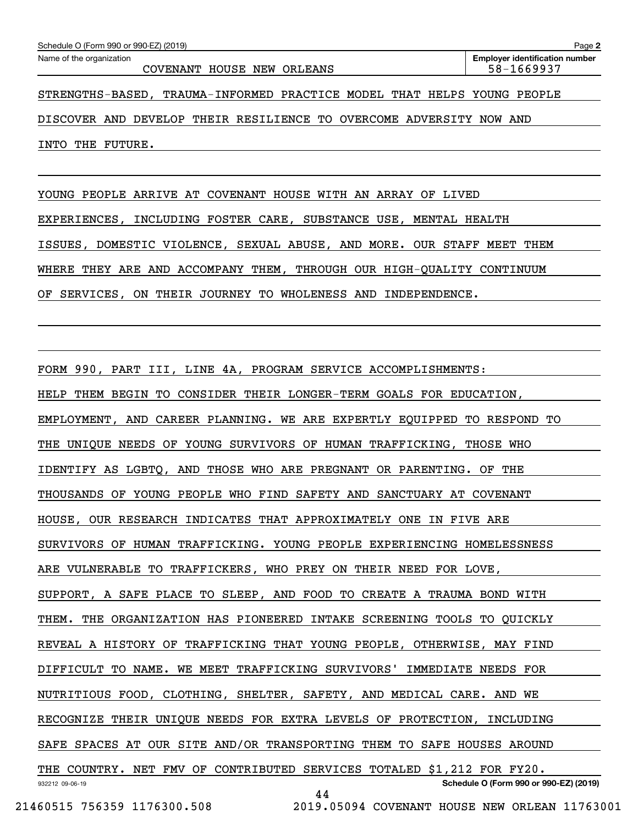| Schedule O (Form 990 or 990-EZ) (2019)                                  | Page 2                                              |
|-------------------------------------------------------------------------|-----------------------------------------------------|
| Name of the organization<br>COVENANT HOUSE NEW ORLEANS                  | <b>Employer identification number</b><br>58-1669937 |
| STRENGTHS-BASED, TRAUMA-INFORMED PRACTICE MODEL THAT HELPS YOUNG PEOPLE |                                                     |
| DISCOVER AND DEVELOP THEIR RESILIENCE TO OVERCOME ADVERSITY NOW AND     |                                                     |
| INTO THE FUTURE.                                                        |                                                     |
|                                                                         |                                                     |
| YOUNG PEOPLE ARRIVE AT COVENANT HOUSE WITH AN ARRAY OF LIVED            |                                                     |
| EXPERIENCES, INCLUDING FOSTER CARE, SUBSTANCE USE, MENTAL HEALTH        |                                                     |
| ISSUES, DOMESTIC VIOLENCE, SEXUAL ABUSE, AND MORE. OUR STAFF MEET THEM  |                                                     |
| WHERE THEY ARE AND ACCOMPANY THEM, THROUGH OUR HIGH-QUALITY CONTINUUM   |                                                     |
| OF SERVICES, ON THEIR JOURNEY TO WHOLENESS AND INDEPENDENCE.            |                                                     |
|                                                                         |                                                     |
|                                                                         |                                                     |
| FORM 990, PART III, LINE 4A, PROGRAM SERVICE ACCOMPLISHMENTS:           |                                                     |
| HELP THEM BEGIN TO CONSIDER THEIR LONGER-TERM GOALS FOR EDUCATION,      |                                                     |
| EMPLOYMENT, AND CAREER PLANNING. WE ARE EXPERTLY EQUIPPED TO RESPOND TO |                                                     |
| UNIQUE NEEDS OF YOUNG SURVIVORS OF HUMAN TRAFFICKING, THOSE WHO<br>THE  |                                                     |
| IDENTIFY AS LGBTQ, AND THOSE WHO ARE PREGNANT OR PARENTING. OF THE      |                                                     |
| THOUSANDS OF YOUNG PEOPLE WHO FIND SAFETY AND SANCTUARY AT COVENANT     |                                                     |

SURVIVORS OF HUMAN TRAFFICKING. YOUNG PEOPLE EXPERIENCING HOMELESSNESS

ARE VULNERABLE TO TRAFFICKERS, WHO PREY ON THEIR NEED FOR LOVE,

HOUSE, OUR RESEARCH INDICATES THAT APPROXIMATELY ONE IN FIVE ARE

SUPPORT, A SAFE PLACE TO SLEEP, AND FOOD TO CREATE A TRAUMA BOND WITH

THEM. THE ORGANIZATION HAS PIONEERED INTAKE SCREENING TOOLS TO QUICKLY

REVEAL A HISTORY OF TRAFFICKING THAT YOUNG PEOPLE, OTHERWISE, MAY FIND

DIFFICULT TO NAME. WE MEET TRAFFICKING SURVIVORS' IMMEDIATE NEEDS FOR

NUTRITIOUS FOOD, CLOTHING, SHELTER, SAFETY, AND MEDICAL CARE. AND WE

RECOGNIZE THEIR UNIQUE NEEDS FOR EXTRA LEVELS OF PROTECTION, INCLUDING

SAFE SPACES AT OUR SITE AND/OR TRANSPORTING THEM TO SAFE HOUSES AROUND

932212 09-06-19 **Schedule O (Form 990 or 990-EZ) (2019)** THE COUNTRY. NET FMV OF CONTRIBUTED SERVICES TOTALED \$1,212 FOR FY20.

44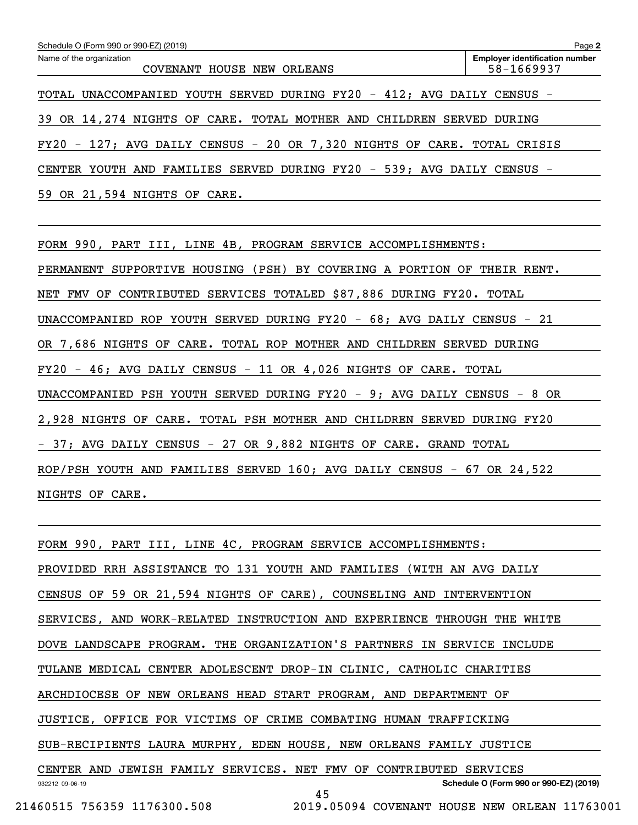| Schedule O (Form 990 or 990-EZ) (2019)                                  | Page 2                                              |
|-------------------------------------------------------------------------|-----------------------------------------------------|
| Name of the organization<br>COVENANT HOUSE NEW ORLEANS                  | <b>Employer identification number</b><br>58-1669937 |
|                                                                         |                                                     |
| TOTAL UNACCOMPANIED YOUTH SERVED DURING FY20 - 412; AVG DAILY CENSUS -  |                                                     |
| 39 OR 14, 274 NIGHTS OF CARE. TOTAL MOTHER AND CHILDREN SERVED DURING   |                                                     |
| FY20 - 127; AVG DAILY CENSUS - 20 OR 7,320 NIGHTS OF CARE. TOTAL CRISIS |                                                     |
| CENTER YOUTH AND FAMILIES SERVED DURING FY20 - 539; AVG DAILY CENSUS -  |                                                     |
| 59 OR 21,594 NIGHTS OF CARE.                                            |                                                     |
|                                                                         |                                                     |
| FORM 990, PART III, LINE 4B, PROGRAM SERVICE ACCOMPLISHMENTS:           |                                                     |
| PERMANENT SUPPORTIVE HOUSING (PSH) BY COVERING A PORTION OF THEIR RENT. |                                                     |
| NET FMV OF CONTRIBUTED SERVICES TOTALED \$87,886 DURING FY20. TOTAL     |                                                     |
| UNACCOMPANIED ROP YOUTH SERVED DURING FY20 - 68; AVG DAILY CENSUS - 21  |                                                     |
| OR 7,686 NIGHTS OF CARE. TOTAL ROP MOTHER AND CHILDREN SERVED DURING    |                                                     |
| $FY20 - 46$ ; AVG DAILY CENSUS - 11 OR 4,026 NIGHTS OF CARE. TOTAL      |                                                     |
| UNACCOMPANIED PSH YOUTH SERVED DURING FY20 - 9; AVG DAILY CENSUS - 8 OR |                                                     |
| 2,928 NIGHTS OF CARE. TOTAL PSH MOTHER AND CHILDREN SERVED DURING FY20  |                                                     |
| - 37; AVG DAILY CENSUS - 27 OR 9,882 NIGHTS OF CARE. GRAND TOTAL        |                                                     |
| ROP/PSH YOUTH AND FAMILIES SERVED 160; AVG DAILY CENSUS - 67 OR 24,522  |                                                     |
| NIGHTS OF CARE.                                                         |                                                     |

932212 09-06-19 **Schedule O (Form 990 or 990-EZ) (2019)** FORM 990, PART III, LINE 4C, PROGRAM SERVICE ACCOMPLISHMENTS: PROVIDED RRH ASSISTANCE TO 131 YOUTH AND FAMILIES (WITH AN AVG DAILY CENSUS OF 59 OR 21,594 NIGHTS OF CARE), COUNSELING AND INTERVENTION SERVICES, AND WORK-RELATED INSTRUCTION AND EXPERIENCE THROUGH THE WHITE DOVE LANDSCAPE PROGRAM. THE ORGANIZATION'S PARTNERS IN SERVICE INCLUDE TULANE MEDICAL CENTER ADOLESCENT DROP-IN CLINIC, CATHOLIC CHARITIES ARCHDIOCESE OF NEW ORLEANS HEAD START PROGRAM, AND DEPARTMENT OF JUSTICE, OFFICE FOR VICTIMS OF CRIME COMBATING HUMAN TRAFFICKING SUB-RECIPIENTS LAURA MURPHY, EDEN HOUSE, NEW ORLEANS FAMILY JUSTICE CENTER AND JEWISH FAMILY SERVICES. NET FMV OF CONTRIBUTED SERVICES 45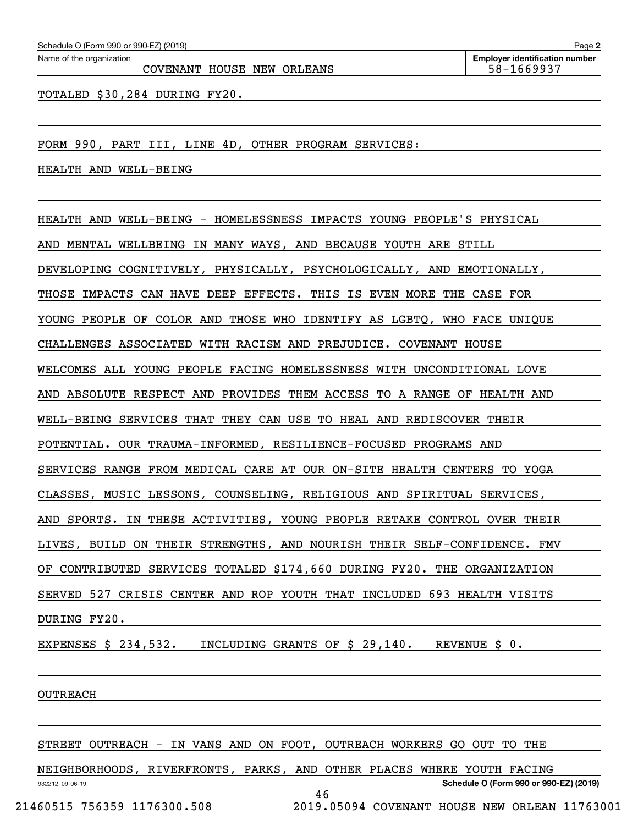COVENANT HOUSE NEW ORLEANS 58-1669937

TOTALED \$30,284 DURING FY20.

FORM 990, PART III, LINE 4D, OTHER PROGRAM SERVICES:

HEALTH AND WELL-BEING

HEALTH AND WELL-BEING - HOMELESSNESS IMPACTS YOUNG PEOPLE'S PHYSICAL

AND MENTAL WELLBEING IN MANY WAYS, AND BECAUSE YOUTH ARE STILL

DEVELOPING COGNITIVELY, PHYSICALLY, PSYCHOLOGICALLY, AND EMOTIONALLY,

THOSE IMPACTS CAN HAVE DEEP EFFECTS. THIS IS EVEN MORE THE CASE FOR

YOUNG PEOPLE OF COLOR AND THOSE WHO IDENTIFY AS LGBTQ, WHO FACE UNIQUE

CHALLENGES ASSOCIATED WITH RACISM AND PREJUDICE. COVENANT HOUSE

WELCOMES ALL YOUNG PEOPLE FACING HOMELESSNESS WITH UNCONDITIONAL LOVE

AND ABSOLUTE RESPECT AND PROVIDES THEM ACCESS TO A RANGE OF HEALTH AND

WELL-BEING SERVICES THAT THEY CAN USE TO HEAL AND REDISCOVER THEIR

POTENTIAL. OUR TRAUMA-INFORMED, RESILIENCE-FOCUSED PROGRAMS AND

SERVICES RANGE FROM MEDICAL CARE AT OUR ON-SITE HEALTH CENTERS TO YOGA

CLASSES, MUSIC LESSONS, COUNSELING, RELIGIOUS AND SPIRITUAL SERVICES,

AND SPORTS. IN THESE ACTIVITIES, YOUNG PEOPLE RETAKE CONTROL OVER THEIR

LIVES, BUILD ON THEIR STRENGTHS, AND NOURISH THEIR SELF-CONFIDENCE. FMV

OF CONTRIBUTED SERVICES TOTALED \$174,660 DURING FY20. THE ORGANIZATION

SERVED 527 CRISIS CENTER AND ROP YOUTH THAT INCLUDED 693 HEALTH VISITS

DURING FY20.

EXPENSES \$ 234,532. INCLUDING GRANTS OF \$ 29,140. REVENUE \$ 0.

#### OUTREACH

932212 09-06-19

STREET OUTREACH - IN VANS AND ON FOOT, OUTREACH WORKERS GO OUT TO THE

NEIGHBORHOODS, RIVERFRONTS, PARKS, AND OTHER PLACES WHERE YOUTH FACING

46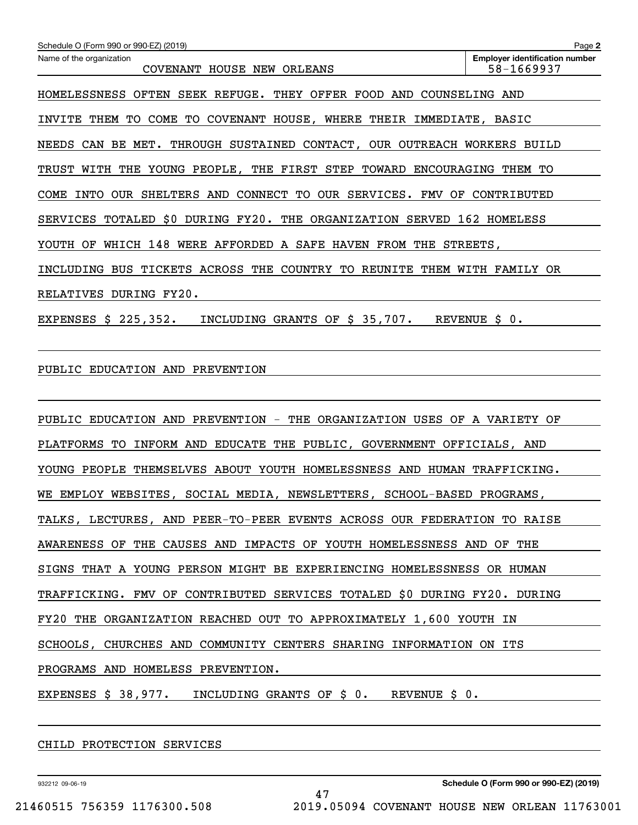| Schedule O (Form 990 or 990-EZ) (2019)                                   | Page 2                                              |
|--------------------------------------------------------------------------|-----------------------------------------------------|
| Name of the organization<br>COVENANT HOUSE NEW ORLEANS                   | <b>Employer identification number</b><br>58-1669937 |
| HOMELESSNESS OFTEN SEEK REFUGE. THEY OFFER FOOD AND COUNSELING AND       |                                                     |
| INVITE THEM TO COME TO COVENANT HOUSE, WHERE THEIR IMMEDIATE, BASIC      |                                                     |
| NEEDS CAN BE MET. THROUGH SUSTAINED CONTACT, OUR OUTREACH WORKERS BUILD  |                                                     |
| TRUST WITH THE YOUNG PEOPLE, THE FIRST STEP TOWARD ENCOURAGING THEM TO   |                                                     |
| COME INTO OUR SHELTERS AND CONNECT TO OUR SERVICES. FMV OF CONTRIBUTED   |                                                     |
| SERVICES TOTALED \$0 DURING FY20. THE ORGANIZATION SERVED 162 HOMELESS   |                                                     |
| YOUTH OF WHICH 148 WERE AFFORDED A SAFE HAVEN FROM THE STREETS,          |                                                     |
| INCLUDING BUS TICKETS ACROSS THE COUNTRY TO REUNITE THEM WITH FAMILY OR  |                                                     |
| RELATIVES DURING FY20.                                                   |                                                     |
| INCLUDING GRANTS OF \$ 35,707. REVENUE \$ 0.<br>EXPENSES $$225,352$ .    |                                                     |
|                                                                          |                                                     |
| PUBLIC EDUCATION AND PREVENTION                                          |                                                     |
|                                                                          |                                                     |
| PUBLIC EDUCATION AND PREVENTION - THE ORGANIZATION USES OF A VARIETY OF  |                                                     |
| PLATFORMS TO INFORM AND EDUCATE THE PUBLIC, GOVERNMENT OFFICIALS, AND    |                                                     |
| YOUNG PEOPLE THEMSELVES ABOUT YOUTH HOMELESSNESS AND HUMAN TRAFFICKING.  |                                                     |
| WE EMPLOY WEBSITES, SOCIAL MEDIA, NEWSLETTERS, SCHOOL-BASED PROGRAMS,    |                                                     |
| TALKS, LECTURES, AND PEER-TO-PEER EVENTS ACROSS OUR FEDERATION TO RAISE  |                                                     |
| AWARENESS OF THE CAUSES AND IMPACTS OF YOUTH HOMELESSNESS AND OF THE     |                                                     |
| SIGNS THAT A YOUNG PERSON MIGHT BE EXPERIENCING HOMELESSNESS OR HUMAN    |                                                     |
| TRAFFICKING. FMV OF CONTRIBUTED SERVICES TOTALED \$0 DURING FY20. DURING |                                                     |
| FY20 THE ORGANIZATION REACHED OUT TO APPROXIMATELY 1,600 YOUTH IN        |                                                     |
| SCHOOLS, CHURCHES AND COMMUNITY CENTERS SHARING INFORMATION ON ITS       |                                                     |
| PROGRAMS AND HOMELESS PREVENTION.                                        |                                                     |
| EXPENSES \$ 38,977. INCLUDING GRANTS OF \$ 0. REVENUE \$ 0.              |                                                     |
|                                                                          |                                                     |

47

CHILD PROTECTION SERVICES

932212 09-06-19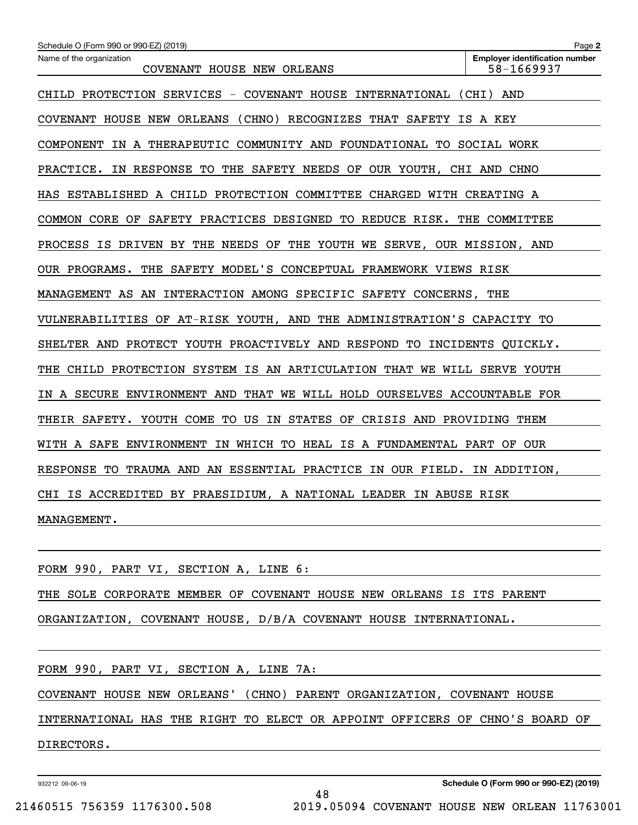| Schedule O (Form 990 or 990-EZ) (2019)                                      | Page 2                                              |
|-----------------------------------------------------------------------------|-----------------------------------------------------|
| Name of the organization<br>COVENANT HOUSE NEW ORLEANS                      | <b>Employer identification number</b><br>58-1669937 |
| CHILD PROTECTION SERVICES - COVENANT HOUSE INTERNATIONAL                    | (CHI) AND                                           |
| COVENANT HOUSE NEW ORLEANS (CHNO) RECOGNIZES THAT SAFETY IS A KEY           |                                                     |
| COMPONENT IN A THERAPEUTIC COMMUNITY AND FOUNDATIONAL TO SOCIAL WORK        |                                                     |
| IN RESPONSE TO THE SAFETY NEEDS OF OUR YOUTH, CHI AND CHNO<br>PRACTICE.     |                                                     |
| HAS ESTABLISHED A CHILD PROTECTION COMMITTEE CHARGED WITH CREATING A        |                                                     |
| COMMON CORE OF SAFETY PRACTICES DESIGNED TO REDUCE RISK. THE COMMITTEE      |                                                     |
| PROCESS IS DRIVEN BY THE NEEDS OF THE YOUTH WE SERVE, OUR MISSION, AND      |                                                     |
| THE SAFETY MODEL'S CONCEPTUAL FRAMEWORK VIEWS RISK<br>OUR PROGRAMS.         |                                                     |
| MANAGEMENT AS AN INTERACTION AMONG SPECIFIC SAFETY CONCERNS,                | THE                                                 |
| VULNERABILITIES OF AT-RISK YOUTH, AND THE ADMINISTRATION'S CAPACITY TO      |                                                     |
| SHELTER AND PROTECT YOUTH PROACTIVELY AND RESPOND TO INCIDENTS QUICKLY.     |                                                     |
| CHILD PROTECTION SYSTEM IS AN ARTICULATION THAT WE WILL SERVE YOUTH<br>THE  |                                                     |
| A SECURE ENVIRONMENT AND THAT WE WILL HOLD OURSELVES ACCOUNTABLE FOR<br>IN  |                                                     |
| THEIR SAFETY. YOUTH COME<br>TO US IN STATES<br>OF CRISIS AND PROVIDING THEM |                                                     |
| IN WHICH TO HEAL IS A FUNDAMENTAL PART OF OUR<br>WITH A SAFE ENVIRONMENT    |                                                     |
| TO TRAUMA AND AN ESSENTIAL PRACTICE IN OUR FIELD.<br><b>RESPONSE</b>        | IN ADDITION,                                        |
| CHI IS ACCREDITED BY PRAESIDIUM, A NATIONAL LEADER IN ABUSE RISK            |                                                     |
| MANAGEMENT.                                                                 |                                                     |
|                                                                             |                                                     |
| FORM 990, PART VI, SECTION A, LINE 6:                                       |                                                     |

THE SOLE CORPORATE MEMBER OF COVENANT HOUSE NEW ORLEANS IS ITS PARENT

ORGANIZATION, COVENANT HOUSE, D/B/A COVENANT HOUSE INTERNATIONAL.

|            |  |  | FORM 990, PART VI, SECTION A, LINE 7A: |  |  |                                                                             |  |  |  |
|------------|--|--|----------------------------------------|--|--|-----------------------------------------------------------------------------|--|--|--|
|            |  |  |                                        |  |  |                                                                             |  |  |  |
|            |  |  |                                        |  |  | COVENANT HOUSE NEW ORLEANS' (CHNO) PARENT ORGANIZATION, COVENANT HOUSE      |  |  |  |
|            |  |  |                                        |  |  | INTERNATIONAL HAS THE RIGHT TO ELECT OR APPOINT OFFICERS OF CHNO'S BOARD OF |  |  |  |
| DIRECTORS. |  |  |                                        |  |  |                                                                             |  |  |  |

48

932212 09-06-19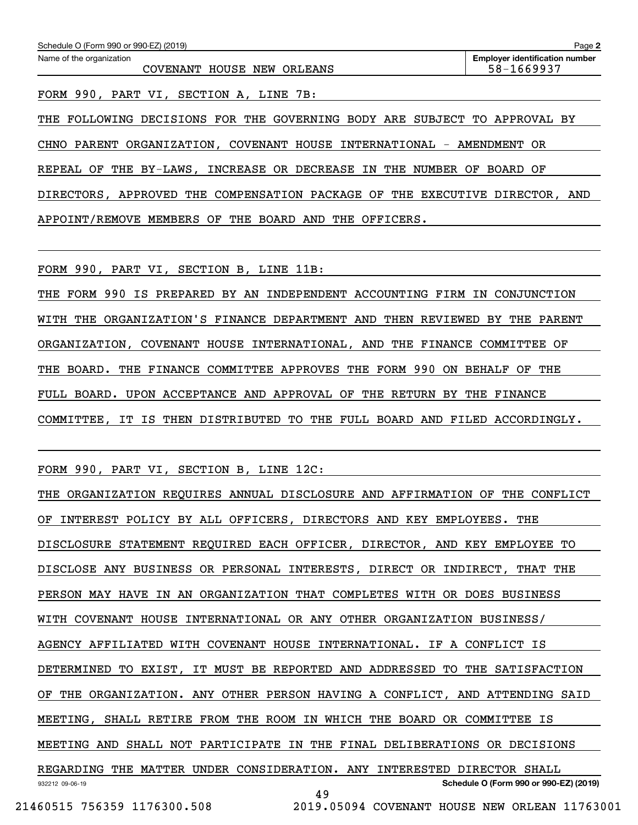| Name of the organization<br>COVENANT HOUSE NEW ORLEANS                    | <b>Employer identification number</b><br>58-1669937 |
|---------------------------------------------------------------------------|-----------------------------------------------------|
|                                                                           |                                                     |
| FORM 990, PART VI, SECTION A, LINE 7B:                                    |                                                     |
| THE FOLLOWING DECISIONS FOR THE GOVERNING BODY ARE SUBJECT TO APPROVAL BY |                                                     |
| CHNO PARENT ORGANIZATION, COVENANT HOUSE INTERNATIONAL - AMENDMENT OR     |                                                     |

DIRECTORS, APPROVED THE COMPENSATION PACKAGE OF THE EXECUTIVE DIRECTOR, AND APPOINT/REMOVE MEMBERS OF THE BOARD AND THE OFFICERS.

FORM 990, PART VI, SECTION B, LINE 11B:

THE FORM 990 IS PREPARED BY AN INDEPENDENT ACCOUNTING FIRM IN CONJUNCTION WITH THE ORGANIZATION'S FINANCE DEPARTMENT AND THEN REVIEWED BY THE PARENT ORGANIZATION, COVENANT HOUSE INTERNATIONAL, AND THE FINANCE COMMITTEE OF THE BOARD. THE FINANCE COMMITTEE APPROVES THE FORM 990 ON BEHALF OF THE FULL BOARD. UPON ACCEPTANCE AND APPROVAL OF THE RETURN BY THE FINANCE COMMITTEE, IT IS THEN DISTRIBUTED TO THE FULL BOARD AND FILED ACCORDINGLY.

FORM 990, PART VI, SECTION B, LINE 12C:

932212 09-06-19 **Schedule O (Form 990 or 990-EZ) (2019)** THE ORGANIZATION REQUIRES ANNUAL DISCLOSURE AND AFFIRMATION OF THE CONFLICT OF INTEREST POLICY BY ALL OFFICERS, DIRECTORS AND KEY EMPLOYEES. THE DISCLOSURE STATEMENT REQUIRED EACH OFFICER, DIRECTOR, AND KEY EMPLOYEE TO DISCLOSE ANY BUSINESS OR PERSONAL INTERESTS, DIRECT OR INDIRECT, THAT THE PERSON MAY HAVE IN AN ORGANIZATION THAT COMPLETES WITH OR DOES BUSINESS WITH COVENANT HOUSE INTERNATIONAL OR ANY OTHER ORGANIZATION BUSINESS/ AGENCY AFFILIATED WITH COVENANT HOUSE INTERNATIONAL. IF A CONFLICT IS DETERMINED TO EXIST, IT MUST BE REPORTED AND ADDRESSED TO THE SATISFACTION OF THE ORGANIZATION. ANY OTHER PERSON HAVING A CONFLICT, AND ATTENDING SAID MEETING, SHALL RETIRE FROM THE ROOM IN WHICH THE BOARD OR COMMITTEE IS MEETING AND SHALL NOT PARTICIPATE IN THE FINAL DELIBERATIONS OR DECISIONS REGARDING THE MATTER UNDER CONSIDERATION. ANY INTERESTED DIRECTOR SHALL 49 21460515 756359 1176300.508 2019.05094 COVENANT HOUSE NEW ORLEAN 11763001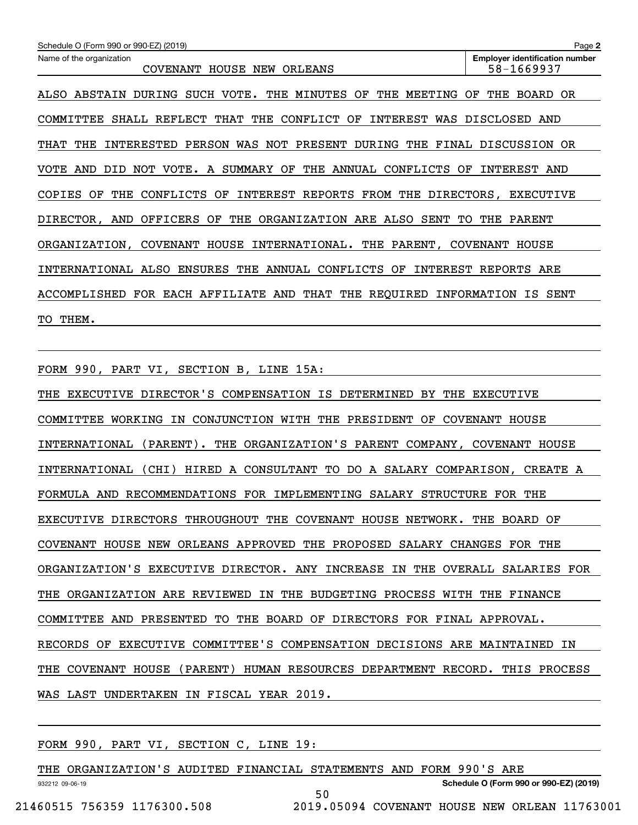| Schedule O (Form 990 or 990-EZ) (2019)                                                    | Page 2                                              |
|-------------------------------------------------------------------------------------------|-----------------------------------------------------|
| Name of the organization<br>COVENANT HOUSE NEW ORLEANS                                    | <b>Employer identification number</b><br>58-1669937 |
| SUCH VOTE.<br>THE<br>THE<br>MINUTES<br>OF<br>MEETING<br>ALSO ABSTAIN<br>DURING            | THE<br>OR.<br>ΟF<br>BOARD                           |
| REFLECT THAT THE CONFLICT OF<br>COMMITTEE<br>SHALL<br>INTEREST                            | WAS DISCLOSED AND                                   |
| INTERESTED PERSON WAS NOT PRESENT DURING THE FINAL DISCUSSION OR<br>THE<br>THAT           |                                                     |
| NOT<br>VOTE.<br>SUMMARY OF<br>THE<br>ANNUAL<br>CONFLICTS<br>AND<br>DID<br>A<br>OF<br>VOTE | INTEREST AND                                        |
| CONFLICTS OF INTEREST REPORTS FROM THE DIRECTORS, EXECUTIVE<br><b>COPIES</b><br>OF<br>THE |                                                     |
| OFFICERS OF THE ORGANIZATION ARE ALSO<br>SENT<br>DIRECTOR,<br>AND                         | THE<br>TO.<br>PARENT                                |
| COVENANT HOUSE INTERNATIONAL. THE PARENT,<br>ORGANIZATION,                                | COVENANT<br>HOUSE                                   |
| INTERNATIONAL ALSO ENSURES THE<br>ANNUAL CONFLICTS OF                                     | INTEREST REPORTS ARE                                |
| THAT THE REQUIRED INFORMATION IS<br>FOR EACH AFFILIATE AND<br>ACCOMPLISHED                | SENT                                                |
| TO THEM.                                                                                  |                                                     |

FORM 990, PART VI, SECTION B, LINE 15A:

THE EXECUTIVE DIRECTOR'S COMPENSATION IS DETERMINED BY THE EXECUTIVE COMMITTEE WORKING IN CONJUNCTION WITH THE PRESIDENT OF COVENANT HOUSE INTERNATIONAL (PARENT). THE ORGANIZATION'S PARENT COMPANY, COVENANT HOUSE INTERNATIONAL (CHI) HIRED A CONSULTANT TO DO A SALARY COMPARISON, CREATE A FORMULA AND RECOMMENDATIONS FOR IMPLEMENTING SALARY STRUCTURE FOR THE EXECUTIVE DIRECTORS THROUGHOUT THE COVENANT HOUSE NETWORK. THE BOARD OF COVENANT HOUSE NEW ORLEANS APPROVED THE PROPOSED SALARY CHANGES FOR THE ORGANIZATION'S EXECUTIVE DIRECTOR. ANY INCREASE IN THE OVERALL SALARIES FOR THE ORGANIZATION ARE REVIEWED IN THE BUDGETING PROCESS WITH THE FINANCE COMMITTEE AND PRESENTED TO THE BOARD OF DIRECTORS FOR FINAL APPROVAL. RECORDS OF EXECUTIVE COMMITTEE'S COMPENSATION DECISIONS ARE MAINTAINED IN THE COVENANT HOUSE (PARENT) HUMAN RESOURCES DEPARTMENT RECORD. THIS PROCESS WAS LAST UNDERTAKEN IN FISCAL YEAR 2019.

FORM 990, PART VI, SECTION C, LINE 19:

| ORGANIZATION'S AUDITED FINANCIAL STATEMENTS AND FORM 990'S ARE<br>THE |                                        |  |
|-----------------------------------------------------------------------|----------------------------------------|--|
| 932212 09-06-19                                                       | Schedule O (Form 990 or 990-EZ) (2019) |  |
|                                                                       | 50                                     |  |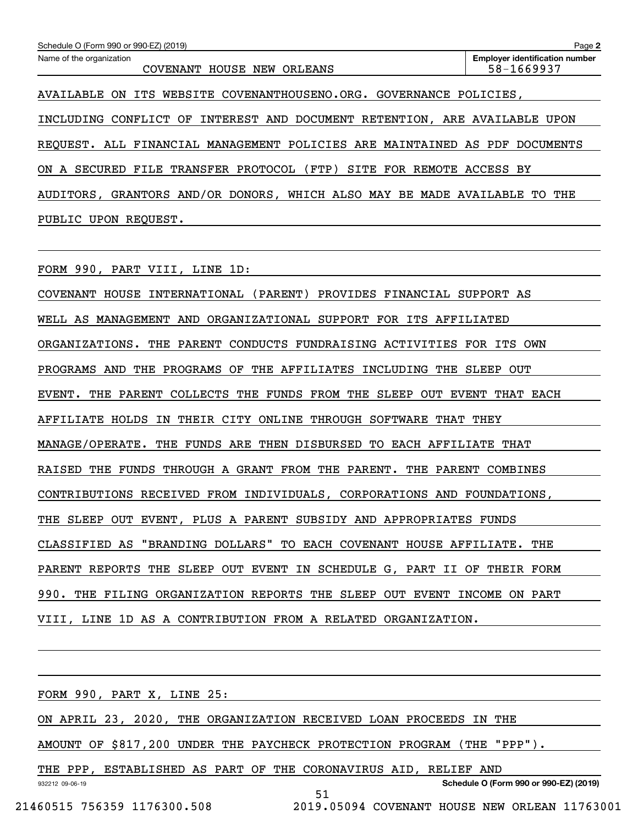| Schedule O (Form 990 or 990-EZ) (2019)                                          | Page 2                                              |
|---------------------------------------------------------------------------------|-----------------------------------------------------|
| Name of the organization<br>HOUSE NEW<br><b>COVENANT</b><br>ORLEANS             | <b>Employer identification number</b><br>58-1669937 |
| WEBSITE COVENANTHOUSENO.ORG. GOVERNANCE POLICIES,<br>ITS<br>AVAILABLE<br>ON.    |                                                     |
| INTEREST AND DOCUMENT RETENTION, ARE AVAILABLE UPON<br>CONFLICT OF<br>INCLUDING |                                                     |
| REOUEST. ALL FINANCIAL MANAGEMENT POLICIES ARE MAINTAINED                       | AS PDF<br><b>DOCUMENTS</b>                          |
| (FTP)<br>FILE TRANSFER PROTOCOL<br>SITE FOR REMOTE<br>ON.<br>SECURED<br>A       | ACCESS BY                                           |
| GRANTORS AND/OR DONORS, WHICH ALSO MAY BE MADE AVAILABLE<br>AUDITORS.           | THE<br>TO.                                          |
| PUBLIC UPON<br>REOUEST.                                                         |                                                     |

FORM 990, PART VIII, LINE 1D:

COVENANT HOUSE INTERNATIONAL (PARENT) PROVIDES FINANCIAL SUPPORT AS WELL AS MANAGEMENT AND ORGANIZATIONAL SUPPORT FOR ITS AFFILIATED ORGANIZATIONS. THE PARENT CONDUCTS FUNDRAISING ACTIVITIES FOR ITS OWN PROGRAMS AND THE PROGRAMS OF THE AFFILIATES INCLUDING THE SLEEP OUT EVENT. THE PARENT COLLECTS THE FUNDS FROM THE SLEEP OUT EVENT THAT EACH AFFILIATE HOLDS IN THEIR CITY ONLINE THROUGH SOFTWARE THAT THEY MANAGE/OPERATE. THE FUNDS ARE THEN DISBURSED TO EACH AFFILIATE THAT RAISED THE FUNDS THROUGH A GRANT FROM THE PARENT. THE PARENT COMBINES CONTRIBUTIONS RECEIVED FROM INDIVIDUALS, CORPORATIONS AND FOUNDATIONS, THE SLEEP OUT EVENT, PLUS A PARENT SUBSIDY AND APPROPRIATES FUNDS CLASSIFIED AS "BRANDING DOLLARS" TO EACH COVENANT HOUSE AFFILIATE. THE PARENT REPORTS THE SLEEP OUT EVENT IN SCHEDULE G, PART II OF THEIR FORM 990. THE FILING ORGANIZATION REPORTS THE SLEEP OUT EVENT INCOME ON PART VIII, LINE 1D AS A CONTRIBUTION FROM A RELATED ORGANIZATION.

| FORM 990, PART X, LINE 25:                                             |
|------------------------------------------------------------------------|
| ON APRIL 23, 2020, THE ORGANIZATION RECEIVED LOAN PROCEEDS IN THE      |
| AMOUNT OF \$817,200 UNDER THE PAYCHECK PROTECTION PROGRAM (THE "PPP"). |
| THE PPP, ESTABLISHED AS PART OF THE CORONAVIRUS AID, RELIEF AND        |
| Schedule O (Form 990 or 990-EZ) (2019)<br>932212 09-06-19<br>51        |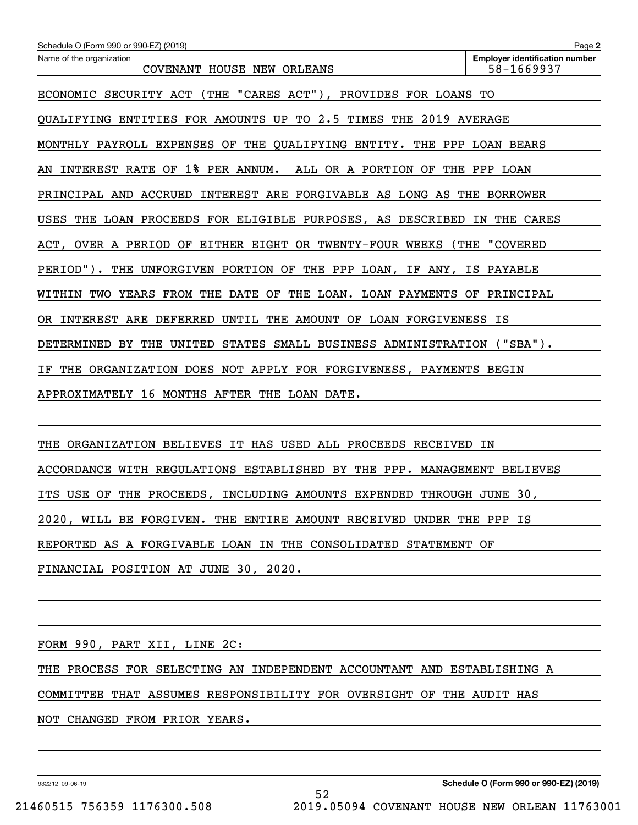| Schedule O (Form 990 or 990-EZ) (2019)                                       | Page 2                                              |
|------------------------------------------------------------------------------|-----------------------------------------------------|
| Name of the organization<br>COVENANT HOUSE NEW ORLEANS                       | <b>Employer identification number</b><br>58-1669937 |
| ECONOMIC SECURITY ACT (THE "CARES ACT"), PROVIDES FOR LOANS TO               |                                                     |
| QUALIFYING ENTITIES FOR AMOUNTS UP TO 2.5 TIMES THE 2019 AVERAGE             |                                                     |
| MONTHLY PAYROLL EXPENSES OF THE QUALIFYING ENTITY. THE PPP LOAN BEARS        |                                                     |
| INTEREST RATE OF 1% PER ANNUM. ALL OR A PORTION OF THE PPP LOAN<br>AN        |                                                     |
| PRINCIPAL AND ACCRUED INTEREST ARE FORGIVABLE AS LONG AS THE BORROWER        |                                                     |
| USES<br>THE LOAN PROCEEDS FOR ELIGIBLE PURPOSES, AS DESCRIBED                | IN THE CARES                                        |
| ACT, OVER A PERIOD OF EITHER EIGHT OR TWENTY-FOUR WEEKS (THE "COVERED        |                                                     |
| PERIOD"). THE UNFORGIVEN PORTION OF THE PPP LOAN, IF ANY, IS PAYABLE         |                                                     |
| WITHIN TWO YEARS FROM THE DATE OF THE LOAN. LOAN PAYMENTS OF PRINCIPAL       |                                                     |
| OR INTEREST ARE DEFERRED UNTIL THE AMOUNT OF LOAN FORGIVENESS IS             |                                                     |
| DETERMINED BY THE<br>UNITED<br>STATES SMALL BUSINESS ADMINISTRATION ("SBA"). |                                                     |
| THE ORGANIZATION DOES NOT APPLY FOR FORGIVENESS, PAYMENTS BEGIN<br>ΙF        |                                                     |
| APPROXIMATELY 16 MONTHS AFTER THE LOAN DATE.                                 |                                                     |
|                                                                              |                                                     |

THE ORGANIZATION BELIEVES IT HAS USED ALL PROCEEDS RECEIVED IN ACCORDANCE WITH REGULATIONS ESTABLISHED BY THE PPP. MANAGEMENT BELIEVES ITS USE OF THE PROCEEDS, INCLUDING AMOUNTS EXPENDED THROUGH JUNE 30, 2020, WILL BE FORGIVEN. THE ENTIRE AMOUNT RECEIVED UNDER THE PPP IS REPORTED AS A FORGIVABLE LOAN IN THE CONSOLIDATED STATEMENT OF FINANCIAL POSITION AT JUNE 30, 2020.

FORM 990, PART XII, LINE 2C:

THE PROCESS FOR SELECTING AN INDEPENDENT ACCOUNTANT AND ESTABLISHING A

52

COMMITTEE THAT ASSUMES RESPONSIBILITY FOR OVERSIGHT OF THE AUDIT HAS

NOT CHANGED FROM PRIOR YEARS.

932212 09-06-19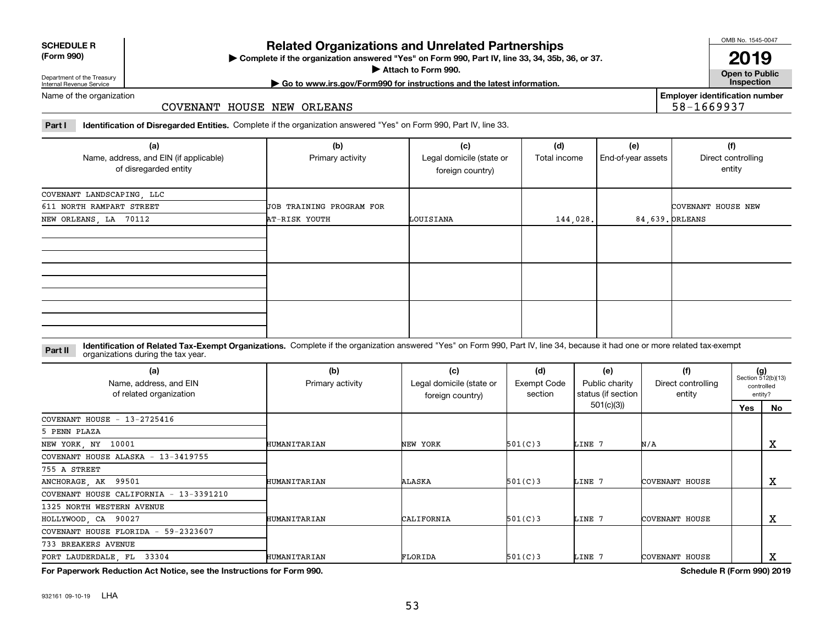| <b>SCHEDULE R</b>                          |  |
|--------------------------------------------|--|
| $\mathbf{r}$ , $\mathbf{r}$ , $\mathbf{r}$ |  |

#### **(Form 990)**

### **Related Organizations and Unrelated Partnerships**

**Complete if the organization answered "Yes" on Form 990, Part IV, line 33, 34, 35b, 36, or 37.** |

**Attach to Form 990.**  |

OMB No. 1545-0047

**Open to Public 2019**

**Employer identification number**

58-1669937

Department of the Treasury Internal Revenue Service

### **| Go to www.irs.gov/Form990 for instructions and the latest information. Inspection**

Name of the organization

#### COVENANT HOUSE NEW ORLEANS

**Part I Identification of Disregarded Entities.**  Complete if the organization answered "Yes" on Form 990, Part IV, line 33.

| (a)<br>Name, address, and EIN (if applicable)<br>of disregarded entity | (b)<br>Primary activity  | (c)<br>Legal domicile (state or<br>foreign country) | (d)<br>Total income | (e)<br>End-of-year assets | (f)<br>Direct controlling<br>entity |
|------------------------------------------------------------------------|--------------------------|-----------------------------------------------------|---------------------|---------------------------|-------------------------------------|
| COVENANT LANDSCAPING, LLC                                              |                          |                                                     |                     |                           |                                     |
| 611 NORTH RAMPART STREET                                               | JOB TRAINING PROGRAM FOR |                                                     |                     |                           | COVENANT HOUSE NEW                  |
| NEW ORLEANS, LA 70112                                                  | AT-RISK YOUTH            | LOUISIANA                                           | 144,028.            | 84,639. ORLEANS           |                                     |
|                                                                        |                          |                                                     |                     |                           |                                     |
|                                                                        |                          |                                                     |                     |                           |                                     |
|                                                                        |                          |                                                     |                     |                           |                                     |

#### **Identification of Related Tax-Exempt Organizations.** Complete if the organization answered "Yes" on Form 990, Part IV, line 34, because it had one or more related tax-exempt **Part II** organizations during the tax year.

| (a)<br>Name, address, and EIN<br>of related organization | (b)<br>Primary activity | (c)<br>Legal domicile (state or<br>foreign country) | (d)<br><b>Exempt Code</b><br>section | (e)<br>Public charity<br>status (if section | (f)<br>Direct controlling<br>entity | $(g)$<br>Section 512(b)(13)<br>controlled<br>entity? |    |
|----------------------------------------------------------|-------------------------|-----------------------------------------------------|--------------------------------------|---------------------------------------------|-------------------------------------|------------------------------------------------------|----|
|                                                          |                         |                                                     |                                      | 501(c)(3)                                   |                                     | Yes                                                  | No |
| COVENANT HOUSE - 13-2725416                              |                         |                                                     |                                      |                                             |                                     |                                                      |    |
| 5 PENN PLAZA                                             |                         |                                                     |                                      |                                             |                                     |                                                      |    |
| NEW YORK, NY 10001                                       | HUMANITARIAN            | NEW YORK                                            | 501(C)3                              | LINE 7                                      | N/A                                 |                                                      | Δ. |
| COVENANT HOUSE ALASKA - 13-3419755                       |                         |                                                     |                                      |                                             |                                     |                                                      |    |
| 755 A STREET                                             |                         |                                                     |                                      |                                             |                                     |                                                      |    |
| ANCHORAGE, AK 99501                                      | <b>HUMANITARIAN</b>     | ALASKA                                              | 501(C)3                              | LINE 7                                      | COVENANT HOUSE                      |                                                      | x  |
| COVENANT HOUSE CALIFORNIA - 13-3391210                   |                         |                                                     |                                      |                                             |                                     |                                                      |    |
| 1325 NORTH WESTERN AVENUE                                |                         |                                                     |                                      |                                             |                                     |                                                      |    |
| HOLLYWOOD, CA 90027                                      | HUMANITARIAN            | CALIFORNIA                                          | 501(C)3                              | LINE 7                                      | COVENANT HOUSE                      |                                                      | x  |
| COVENANT HOUSE FLORIDA - 59-2323607                      |                         |                                                     |                                      |                                             |                                     |                                                      |    |
| 733 BREAKERS AVENUE                                      |                         |                                                     |                                      |                                             |                                     |                                                      |    |
| FORT LAUDERDALE, FL 33304                                | HUMANITARIAN            | FLORIDA                                             | 501(C)3                              | LINE 7                                      | COVENANT HOUSE                      |                                                      | Δ. |

**For Paperwork Reduction Act Notice, see the Instructions for Form 990. Schedule R (Form 990) 2019**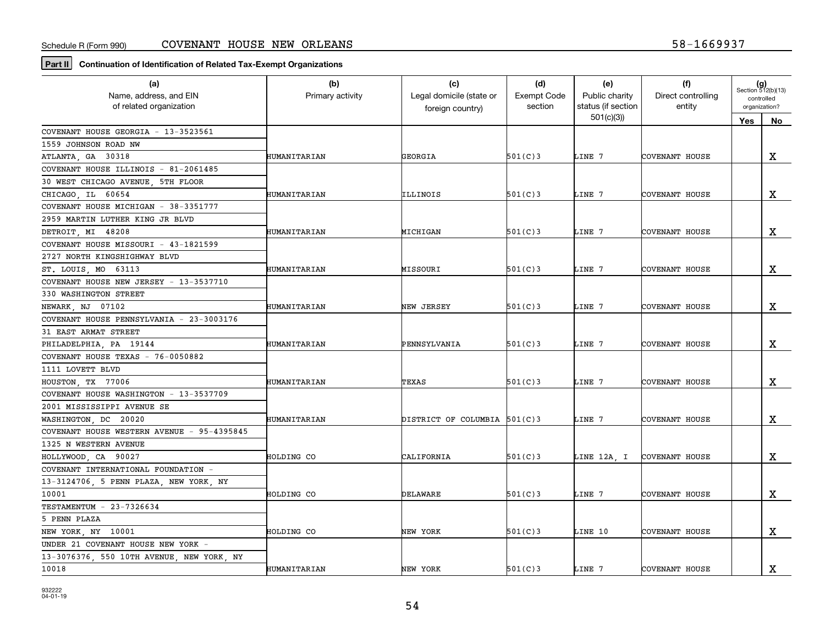**Part II Continuation of Identification of Related Tax-Exempt Organizations**

| (a)                                        | (b)              | (c)                          | (d)                | (e)                             | (f)                   |               | $(g)$<br>Section 512(b)(13) |
|--------------------------------------------|------------------|------------------------------|--------------------|---------------------------------|-----------------------|---------------|-----------------------------|
| Name, address, and EIN                     | Primary activity | Legal domicile (state or     | <b>Exempt Code</b> | Public charity                  | Direct controlling    | controlled    |                             |
| of related organization                    |                  | foreign country)             | section            | status (if section<br>501(c)(3) | entity                | organization? |                             |
|                                            |                  |                              |                    |                                 |                       | Yes           | No                          |
| COVENANT HOUSE GEORGIA - 13-3523561        |                  |                              |                    |                                 |                       |               |                             |
| 1559 JOHNSON ROAD NW                       |                  |                              |                    |                                 |                       |               |                             |
| ATLANTA, GA 30318                          | HUMANITARIAN     | GEORGIA                      | 501(C)3            | LINE 7                          | COVENANT HOUSE        |               | X                           |
| COVENANT HOUSE ILLINOIS - 81-2061485       |                  |                              |                    |                                 |                       |               |                             |
| 30 WEST CHICAGO AVENUE 5TH FLOOR           |                  |                              |                    |                                 |                       |               |                             |
| CHICAGO, IL 60654                          | HUMANITARIAN     | ILLINOIS                     | 501(C)3            | LINE 7                          | COVENANT HOUSE        |               | $\mathbf X$                 |
| COVENANT HOUSE MICHIGAN - 38-3351777       |                  |                              |                    |                                 |                       |               |                             |
| 2959 MARTIN LUTHER KING JR BLVD            |                  |                              |                    |                                 |                       |               |                             |
| DETROIT, MI 48208                          | HUMANITARIAN     | MICHIGAN                     | 501(C)3            | LINE 7                          | COVENANT HOUSE        |               | X                           |
| COVENANT HOUSE MISSOURI - 43-1821599       |                  |                              |                    |                                 |                       |               |                             |
| 2727 NORTH KINGSHIGHWAY BLVD               |                  |                              |                    |                                 |                       |               |                             |
| ST. LOUIS, MO 63113                        | HUMANITARIAN     | MISSOURI                     | 501(C)3            | LINE 7                          | COVENANT HOUSE        |               | X                           |
| COVENANT HOUSE NEW JERSEY - 13-3537710     |                  |                              |                    |                                 |                       |               |                             |
| 330 WASHINGTON STREET                      |                  |                              |                    |                                 |                       |               |                             |
| NEWARK, NJ 07102                           | HUMANITARIAN     | NEW JERSEY                   | 501(C)3            | LINE 7                          | COVENANT HOUSE        |               | х                           |
| COVENANT HOUSE PENNSYLVANIA - 23-3003176   |                  |                              |                    |                                 |                       |               |                             |
| 31 EAST ARMAT STREET                       |                  |                              |                    |                                 |                       |               |                             |
| PHILADELPHIA, PA 19144                     | HUMANITARIAN     | PENNSYLVANIA                 | 501(C)3            | LINE 7                          | COVENANT HOUSE        |               | $\mathbf x$                 |
| COVENANT HOUSE TEXAS - 76-0050882          |                  |                              |                    |                                 |                       |               |                             |
| 1111 LOVETT BLVD                           |                  |                              |                    |                                 |                       |               |                             |
| HOUSTON, TX 77006                          | HUMANITARIAN     | TEXAS                        | 501(C)3            | LINE 7                          | COVENANT HOUSE        |               | $\mathbf X$                 |
| COVENANT HOUSE WASHINGTON - 13-3537709     |                  |                              |                    |                                 |                       |               |                             |
| 2001 MISSISSIPPI AVENUE SE                 |                  |                              |                    |                                 |                       |               |                             |
| WASHINGTON DC 20020                        | HUMANITARIAN     | DISTRICT OF COLUMBIA 501(C)3 |                    | LINE 7                          | COVENANT HOUSE        |               | X                           |
| COVENANT HOUSE WESTERN AVENUE - 95-4395845 |                  |                              |                    |                                 |                       |               |                             |
| 1325 N WESTERN AVENUE                      |                  |                              |                    |                                 |                       |               |                             |
| HOLLYWOOD, CA 90027                        | HOLDING CO       | CALIFORNIA                   | 501(C)3            | LINE 12A, I                     | <b>COVENANT HOUSE</b> |               | $\mathbf X$                 |
| COVENANT INTERNATIONAL FOUNDATION -        |                  |                              |                    |                                 |                       |               |                             |
| 13-3124706, 5 PENN PLAZA, NEW YORK, NY     |                  |                              |                    |                                 |                       |               |                             |
| 10001                                      | HOLDING CO       | DELAWARE                     | 501(C)3            | LINE 7                          | COVENANT HOUSE        |               | х                           |
| TESTAMENTUM - 23-7326634                   |                  |                              |                    |                                 |                       |               |                             |
| 5 PENN PLAZA                               |                  |                              |                    |                                 |                       |               |                             |
| NEW YORK, NY 10001                         | HOLDING CO       | NEW YORK                     | 501(C)3            | LINE 10                         | COVENANT HOUSE        |               | $\mathbf x$                 |
| UNDER 21 COVENANT HOUSE NEW YORK -         |                  |                              |                    |                                 |                       |               |                             |
| 13-3076376, 550 10TH AVENUE, NEW YORK, NY  |                  |                              |                    |                                 |                       |               |                             |
| 10018                                      | HUMANITARIAN     | NEW YORK                     | 501(C)3            | LINE 7                          | COVENANT HOUSE        |               | $\mathbf X$                 |
|                                            |                  |                              |                    |                                 |                       |               |                             |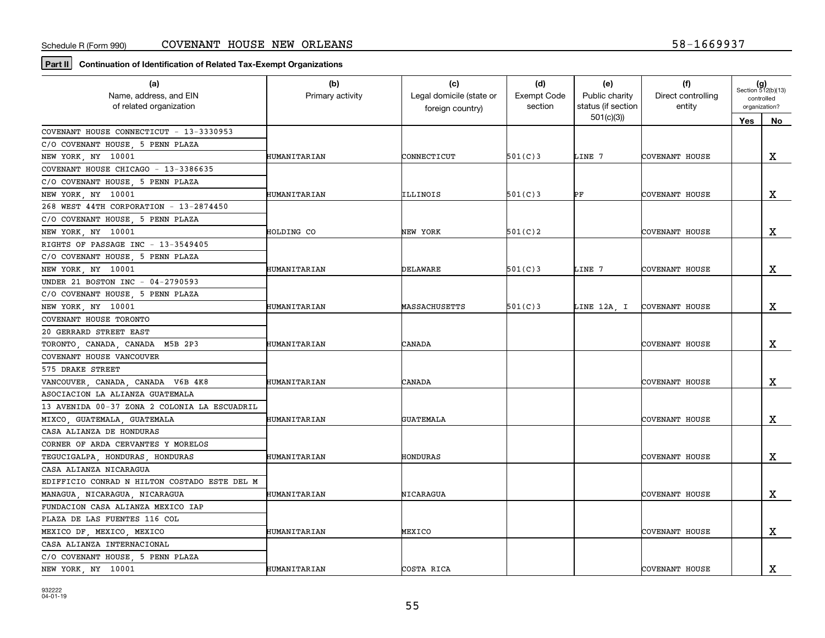**Part II Continuation of Identification of Related Tax-Exempt Organizations**

| (a)<br>Name, address, and EIN<br>of related organization | (b)<br>Primary activity | (c)<br>Legal domicile (state or<br>foreign country) | (d)<br><b>Exempt Code</b><br>section | (e)<br>Public charity<br>status (if section | (f)<br>Direct controlling<br>entity | $(g)$<br>Section 512(b)(13)<br>controlled<br>organization? |             |
|----------------------------------------------------------|-------------------------|-----------------------------------------------------|--------------------------------------|---------------------------------------------|-------------------------------------|------------------------------------------------------------|-------------|
|                                                          |                         |                                                     |                                      | 501(c)(3)                                   |                                     | Yes                                                        | No          |
| COVENANT HOUSE CONNECTICUT - 13-3330953                  |                         |                                                     |                                      |                                             |                                     |                                                            |             |
| C/O COVENANT HOUSE, 5 PENN PLAZA                         |                         |                                                     |                                      |                                             |                                     |                                                            |             |
| NEW YORK, NY 10001                                       | HUMANITARIAN            | CONNECTICUT                                         | 501(C)3                              | LINE 7                                      | COVENANT HOUSE                      |                                                            | $\mathbf X$ |
| COVENANT HOUSE CHICAGO - 13-3386635                      |                         |                                                     |                                      |                                             |                                     |                                                            |             |
| C/O COVENANT HOUSE, 5 PENN PLAZA                         |                         |                                                     |                                      |                                             |                                     |                                                            |             |
| NEW YORK, NY 10001                                       | HUMANITARIAN            | ILLINOIS                                            | 501(C)3                              | PF                                          | COVENANT HOUSE                      |                                                            | X           |
| 268 WEST 44TH CORPORATION - 13-2874450                   |                         |                                                     |                                      |                                             |                                     |                                                            |             |
| C/O COVENANT HOUSE, 5 PENN PLAZA                         |                         |                                                     |                                      |                                             |                                     |                                                            |             |
| NEW YORK, NY 10001                                       | HOLDING CO              | NEW YORK                                            | 501(C)2                              |                                             | COVENANT HOUSE                      |                                                            | X           |
| RIGHTS OF PASSAGE INC - 13-3549405                       |                         |                                                     |                                      |                                             |                                     |                                                            |             |
| C/O COVENANT HOUSE, 5 PENN PLAZA                         |                         |                                                     |                                      |                                             |                                     |                                                            |             |
| NEW YORK, NY 10001                                       | HUMANITARIAN            | DELAWARE                                            | 501(C)3                              | LINE 7                                      | COVENANT HOUSE                      |                                                            | x           |
| UNDER 21 BOSTON INC - 04-2790593                         |                         |                                                     |                                      |                                             |                                     |                                                            |             |
| C/O COVENANT HOUSE, 5 PENN PLAZA                         |                         |                                                     |                                      |                                             |                                     |                                                            |             |
| NEW YORK, NY 10001                                       | HUMANITARIAN            | MASSACHUSETTS                                       | 501(C)3                              |                                             | LINE 12A, I COVENANT HOUSE          |                                                            | х           |
| COVENANT HOUSE TORONTO                                   |                         |                                                     |                                      |                                             |                                     |                                                            |             |
| 20 GERRARD STREET EAST                                   |                         |                                                     |                                      |                                             |                                     |                                                            |             |
| TORONTO, CANADA, CANADA M5B 2P3                          | HUMANITARIAN            | CANADA                                              |                                      |                                             | COVENANT HOUSE                      |                                                            | X           |
| COVENANT HOUSE VANCOUVER                                 |                         |                                                     |                                      |                                             |                                     |                                                            |             |
| 575 DRAKE STREET                                         |                         |                                                     |                                      |                                             |                                     |                                                            |             |
| VANCOUVER, CANADA, CANADA V6B 4K8                        | HUMANITARIAN            | CANADA                                              |                                      |                                             | COVENANT HOUSE                      |                                                            | X           |
| ASOCIACION LA ALIANZA GUATEMALA                          |                         |                                                     |                                      |                                             |                                     |                                                            |             |
| 13 AVENIDA 00-37 ZONA 2 COLONIA LA ESCUADRIL             |                         |                                                     |                                      |                                             |                                     |                                                            |             |
| MIXCO, GUATEMALA, GUATEMALA                              | HUMANITARIAN            | <b>GUATEMALA</b>                                    |                                      |                                             | COVENANT HOUSE                      |                                                            | х           |
| CASA ALIANZA DE HONDURAS                                 |                         |                                                     |                                      |                                             |                                     |                                                            |             |
| CORNER OF ARDA CERVANTES Y MORELOS                       |                         |                                                     |                                      |                                             |                                     |                                                            |             |
| TEGUCIGALPA, HONDURAS, HONDURAS                          | HUMANITARIAN            | HONDURAS                                            |                                      |                                             | COVENANT HOUSE                      |                                                            | x           |
| CASA ALIANZA NICARAGUA                                   |                         |                                                     |                                      |                                             |                                     |                                                            |             |
| EDIFFICIO CONRAD N HILTON COSTADO ESTE DEL M             |                         |                                                     |                                      |                                             |                                     |                                                            |             |
| MANAGUA, NICARAGUA, NICARAGUA                            | HUMANITARIAN            | NICARAGUA                                           |                                      |                                             | COVENANT HOUSE                      |                                                            | $\mathbf X$ |
| FUNDACION CASA ALIANZA MEXICO IAP                        |                         |                                                     |                                      |                                             |                                     |                                                            |             |
| PLAZA DE LAS FUENTES 116 COL                             |                         |                                                     |                                      |                                             |                                     |                                                            |             |
| MEXICO DF, MEXICO, MEXICO                                | HUMANITARIAN            | MEXICO                                              |                                      |                                             | COVENANT HOUSE                      |                                                            | X           |
| CASA ALIANZA INTERNACIONAL                               |                         |                                                     |                                      |                                             |                                     |                                                            |             |
| C/O COVENANT HOUSE, 5 PENN PLAZA                         |                         |                                                     |                                      |                                             |                                     |                                                            |             |
| NEW YORK, NY 10001                                       | HUMANITARIAN            | COSTA RICA                                          |                                      |                                             | COVENANT HOUSE                      |                                                            | $\mathbf X$ |

932222 04-01-19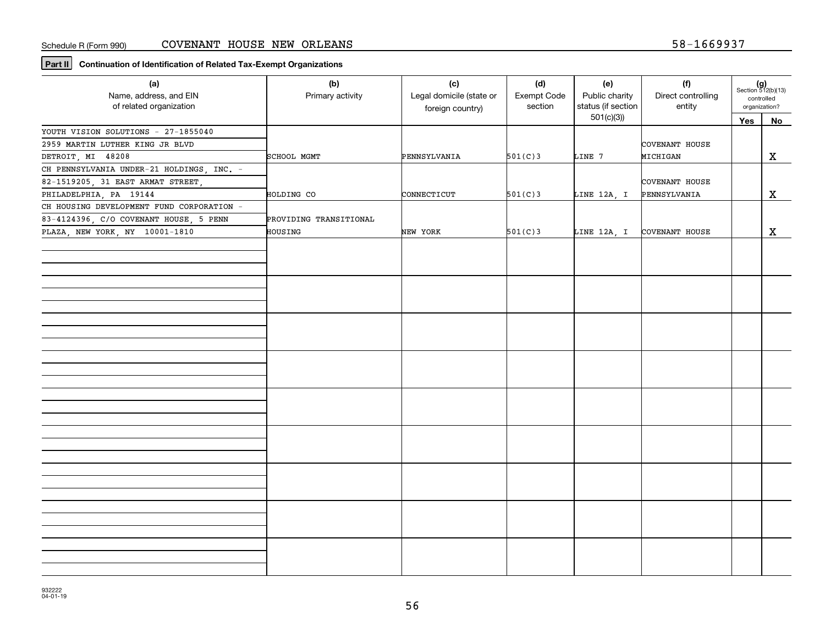**Part II Continuation of Identification of Related Tax-Exempt Organizations**

| (a)<br>Name, address, and EIN<br>of related organization | (b)<br>Primary activity | (c)<br>Legal domicile (state or<br>foreign country) | (d)<br>Exempt Code<br>section | (e)<br>Public charity<br>status (if section | (f)<br>Direct controlling<br>entity | $(g)$<br>Section 512(b)(13)<br>controlled<br>organization? |              |
|----------------------------------------------------------|-------------------------|-----------------------------------------------------|-------------------------------|---------------------------------------------|-------------------------------------|------------------------------------------------------------|--------------|
|                                                          |                         |                                                     |                               | 501(c)(3)                                   |                                     | Yes                                                        | <b>No</b>    |
| YOUTH VISION SOLUTIONS - 27-1855040                      |                         |                                                     |                               |                                             |                                     |                                                            |              |
| 2959 MARTIN LUTHER KING JR BLVD                          |                         |                                                     |                               |                                             | COVENANT HOUSE                      |                                                            |              |
| DETROIT, MI 48208                                        | SCHOOL MGMT             | PENNSYLVANIA                                        | 501(C)3                       | LINE 7                                      | MICHIGAN                            |                                                            | X            |
| CH PENNSYLVANIA UNDER-21 HOLDINGS, INC. -                |                         |                                                     |                               |                                             |                                     |                                                            |              |
| 82-1519205, 31 EAST ARMAT STREET,                        |                         |                                                     |                               |                                             | COVENANT HOUSE                      |                                                            |              |
| PHILADELPHIA, PA 19144                                   | HOLDING CO              | CONNECTICUT                                         | 501(C)3                       | LINE 12A, I                                 | PENNSYLVANIA                        |                                                            | X            |
| CH HOUSING DEVELOPMENT FUND CORPORATION -                |                         |                                                     |                               |                                             |                                     |                                                            |              |
| 83-4124396, C/O COVENANT HOUSE, 5 PENN                   | PROVIDING TRANSITIONAL  |                                                     |                               |                                             |                                     |                                                            |              |
| PLAZA, NEW YORK, NY 10001-1810                           | HOUSING                 | NEW YORK                                            | 501(C)3                       | LINE 12A, I                                 | COVENANT HOUSE                      |                                                            | $\mathbf{x}$ |
|                                                          |                         |                                                     |                               |                                             |                                     |                                                            |              |
|                                                          |                         |                                                     |                               |                                             |                                     |                                                            |              |
|                                                          |                         |                                                     |                               |                                             |                                     |                                                            |              |
|                                                          |                         |                                                     |                               |                                             |                                     |                                                            |              |
|                                                          |                         |                                                     |                               |                                             |                                     |                                                            |              |
|                                                          |                         |                                                     |                               |                                             |                                     |                                                            |              |
|                                                          |                         |                                                     |                               |                                             |                                     |                                                            |              |
|                                                          |                         |                                                     |                               |                                             |                                     |                                                            |              |
|                                                          |                         |                                                     |                               |                                             |                                     |                                                            |              |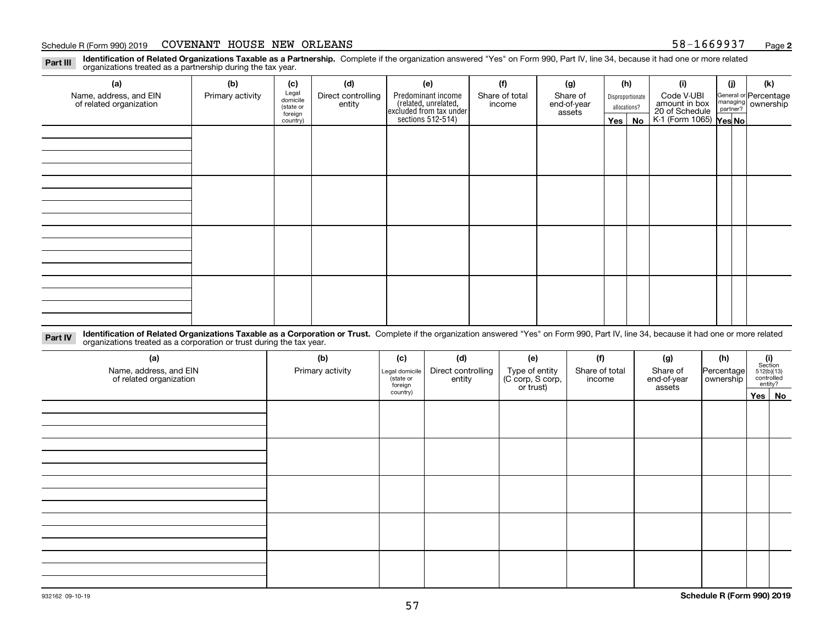#### Schedule R (Form 990) 2019 COVENANT HOUSE NEW ORLEANS 58-1669937 <sub>Page</sub>

**2**

**Identification of Related Organizations Taxable as a Partnership.** Complete if the organization answered "Yes" on Form 990, Part IV, line 34, because it had one or more related **Part III** organizations treated as a partnership during the tax year.

| (a)                                               | (b)              | (c)                  | (d)                          | (e)                                                                 | (f)                      | (g)                     |                  | (h)          | (i)                                                       | (i) | (k)                            |
|---------------------------------------------------|------------------|----------------------|------------------------------|---------------------------------------------------------------------|--------------------------|-------------------------|------------------|--------------|-----------------------------------------------------------|-----|--------------------------------|
| Name, address, and EIN<br>of related organization | Primary activity | Legal<br>domicile    | Direct controlling<br>entity | Predominant income                                                  | Share of total<br>income | Share of<br>end-of-year | Disproportionate |              | Code V-UBI                                                |     | General or Percentage          |
|                                                   |                  | (state or<br>foreign |                              |                                                                     |                          | assets                  |                  | allocations? |                                                           |     | managing<br>partner? Ownership |
|                                                   |                  | country)             |                              | related, unrelated,<br>excluded from tax under<br>sections 512-514) |                          |                         | Yes $ $          | No           | amount in box<br>20 of Schedule<br>K-1 (Form 1065) Yes No |     |                                |
|                                                   |                  |                      |                              |                                                                     |                          |                         |                  |              |                                                           |     |                                |
|                                                   |                  |                      |                              |                                                                     |                          |                         |                  |              |                                                           |     |                                |
|                                                   |                  |                      |                              |                                                                     |                          |                         |                  |              |                                                           |     |                                |
|                                                   |                  |                      |                              |                                                                     |                          |                         |                  |              |                                                           |     |                                |
|                                                   |                  |                      |                              |                                                                     |                          |                         |                  |              |                                                           |     |                                |
|                                                   |                  |                      |                              |                                                                     |                          |                         |                  |              |                                                           |     |                                |
|                                                   |                  |                      |                              |                                                                     |                          |                         |                  |              |                                                           |     |                                |
|                                                   |                  |                      |                              |                                                                     |                          |                         |                  |              |                                                           |     |                                |
|                                                   |                  |                      |                              |                                                                     |                          |                         |                  |              |                                                           |     |                                |
|                                                   |                  |                      |                              |                                                                     |                          |                         |                  |              |                                                           |     |                                |
|                                                   |                  |                      |                              |                                                                     |                          |                         |                  |              |                                                           |     |                                |
|                                                   |                  |                      |                              |                                                                     |                          |                         |                  |              |                                                           |     |                                |
|                                                   |                  |                      |                              |                                                                     |                          |                         |                  |              |                                                           |     |                                |
|                                                   |                  |                      |                              |                                                                     |                          |                         |                  |              |                                                           |     |                                |
|                                                   |                  |                      |                              |                                                                     |                          |                         |                  |              |                                                           |     |                                |
|                                                   |                  |                      |                              |                                                                     |                          |                         |                  |              |                                                           |     |                                |
|                                                   |                  |                      |                              |                                                                     |                          |                         |                  |              |                                                           |     |                                |

**Identification of Related Organizations Taxable as a Corporation or Trust.** Complete if the organization answered "Yes" on Form 990, Part IV, line 34, because it had one or more related **Part IV** organizations treated as a corporation or trust during the tax year.

| (a)<br>Name, address, and EIN<br>of related organization | (b)<br>Primary activity | (c)<br>Legal domicile<br>(state or<br>foreign | (d)<br>Direct controlling<br>entity | (e)<br>Type of entity<br>(C corp, S corp,<br>or trust) | (f)<br>Share of total<br>income | (g)<br>Share of<br>end-of-year<br>assets | (h)<br>Percentage<br>ownership | (i)<br>Section<br>512(b)(13)<br>controlled | entity? |
|----------------------------------------------------------|-------------------------|-----------------------------------------------|-------------------------------------|--------------------------------------------------------|---------------------------------|------------------------------------------|--------------------------------|--------------------------------------------|---------|
|                                                          |                         | country)                                      |                                     |                                                        |                                 |                                          |                                |                                            | Yes No  |
|                                                          |                         |                                               |                                     |                                                        |                                 |                                          |                                |                                            |         |
|                                                          |                         |                                               |                                     |                                                        |                                 |                                          |                                |                                            |         |
|                                                          |                         |                                               |                                     |                                                        |                                 |                                          |                                |                                            |         |
|                                                          |                         |                                               |                                     |                                                        |                                 |                                          |                                |                                            |         |
|                                                          |                         |                                               |                                     |                                                        |                                 |                                          |                                |                                            |         |
|                                                          |                         |                                               |                                     |                                                        |                                 |                                          |                                |                                            |         |
|                                                          |                         |                                               |                                     |                                                        |                                 |                                          |                                |                                            |         |
|                                                          |                         |                                               |                                     |                                                        |                                 |                                          |                                |                                            |         |
|                                                          |                         |                                               |                                     |                                                        |                                 |                                          |                                |                                            |         |
|                                                          |                         |                                               |                                     |                                                        |                                 |                                          |                                |                                            |         |
|                                                          |                         |                                               |                                     |                                                        |                                 |                                          |                                |                                            |         |
|                                                          |                         |                                               |                                     |                                                        |                                 |                                          |                                |                                            |         |
|                                                          |                         |                                               |                                     |                                                        |                                 |                                          |                                |                                            |         |
|                                                          |                         |                                               |                                     |                                                        |                                 |                                          |                                |                                            |         |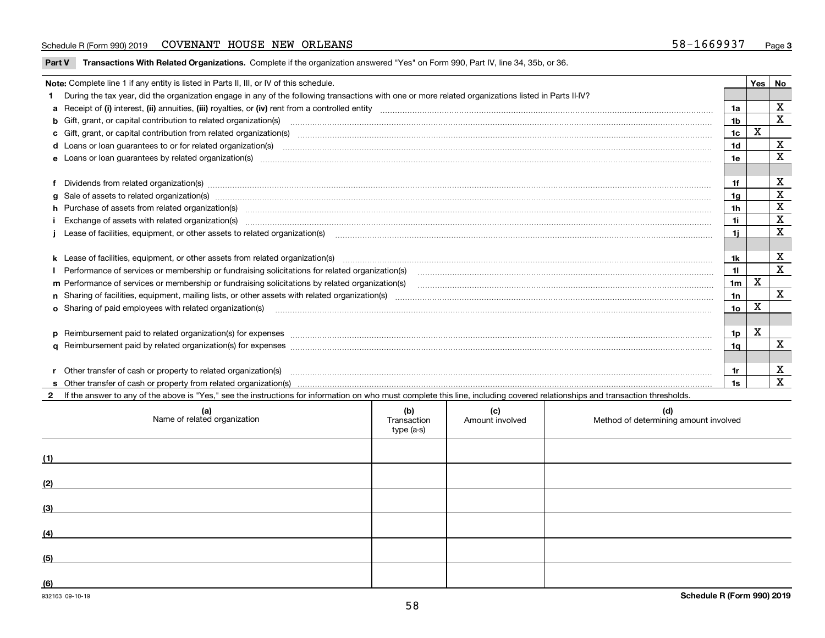#### Schedule R (Form 990) 2019 COVENANT HOUSE NEW ORLEANS 58-1669937 <sub>Page</sub>

**Part V** T**ransactions With Related Organizations.** Complete if the organization answered "Yes" on Form 990, Part IV, line 34, 35b, or 36.

| Note: Complete line 1 if any entity is listed in Parts II, III, or IV of this schedule.                                                                                                                                        |                 | Yes         | No           |
|--------------------------------------------------------------------------------------------------------------------------------------------------------------------------------------------------------------------------------|-----------------|-------------|--------------|
| During the tax year, did the organization engage in any of the following transactions with one or more related organizations listed in Parts II-IV?                                                                            |                 |             |              |
|                                                                                                                                                                                                                                | 1a              |             | X            |
| <b>b</b> Gift, grant, or capital contribution to related organization(s)                                                                                                                                                       | 1 <sub>b</sub>  |             | X            |
| c Gift, grant, or capital contribution from related organization(s) mature material contract contribution from related organization(s) matured contents of mature material contribution from related organization(s) material  | 1c              | $\mathbf X$ |              |
|                                                                                                                                                                                                                                | 1 <sub>d</sub>  |             | X            |
|                                                                                                                                                                                                                                | 1e              |             | X            |
|                                                                                                                                                                                                                                |                 |             |              |
| Dividends from related organization(s) manufactured and contract and contract or produced and contract and contract and contract and contract and contract and contract and contract and contract and contract and contract an | 1f              |             | х            |
| g Sale of assets to related organization(s) www.assettion.com/www.assettion.com/www.assettion.com/www.assettion.com/www.assettion.com/www.assettion.com/www.assettion.com/www.assettion.com/www.assettion.com/www.assettion.co | 1g              |             | X            |
| h Purchase of assets from related organization(s) manufactured content to content the content of the content of the content of the content of the content of the content of the content of the content of the content of the c | 1h              |             | X            |
|                                                                                                                                                                                                                                | 1i.             |             | $\mathbf x$  |
| Lease of facilities, equipment, or other assets to related organization(s) [11] manufactured content and the state of facilities, equipment, or other assets to related organization(s) [11] manufactured content and the stat | 1i.             |             | X            |
|                                                                                                                                                                                                                                |                 |             |              |
| k Lease of facilities, equipment, or other assets from related organization(s) manufaction content and content to the assets from related organization(s) manufaction content and content and content and content and content  | 1k              |             | х            |
|                                                                                                                                                                                                                                | 11              |             | $\mathbf X$  |
| m Performance of services or membership or fundraising solicitations by related organization(s)                                                                                                                                | 1 <sub>m</sub>  | X           |              |
|                                                                                                                                                                                                                                | 1n              |             | $\mathbf{x}$ |
| <b>o</b> Sharing of paid employees with related organization(s)                                                                                                                                                                | 10 <sub>o</sub> | X           |              |
|                                                                                                                                                                                                                                |                 |             |              |
|                                                                                                                                                                                                                                | 1p              | X           |              |
|                                                                                                                                                                                                                                | 1q              |             | $\mathbf X$  |
|                                                                                                                                                                                                                                |                 |             |              |
| Other transfer of cash or property to related organization(s)                                                                                                                                                                  | 1r              |             | X            |
|                                                                                                                                                                                                                                | 1s              |             | $\mathbf{x}$ |
| 2 If the answer to any of the above is "Yes," see the instructions for information on who must complete this line, including covered relationships and transaction thresholds.                                                 |                 |             |              |

| (a)<br>Name of related organization | (b)<br>Transaction<br>type (a-s) | (c)<br>Amount involved | (d)<br>Method of determining amount involved |
|-------------------------------------|----------------------------------|------------------------|----------------------------------------------|
| (1)                                 |                                  |                        |                                              |
| (2)                                 |                                  |                        |                                              |
| (3)                                 |                                  |                        |                                              |
| (4)                                 |                                  |                        |                                              |
| (5)                                 |                                  |                        |                                              |
| (6)                                 |                                  |                        |                                              |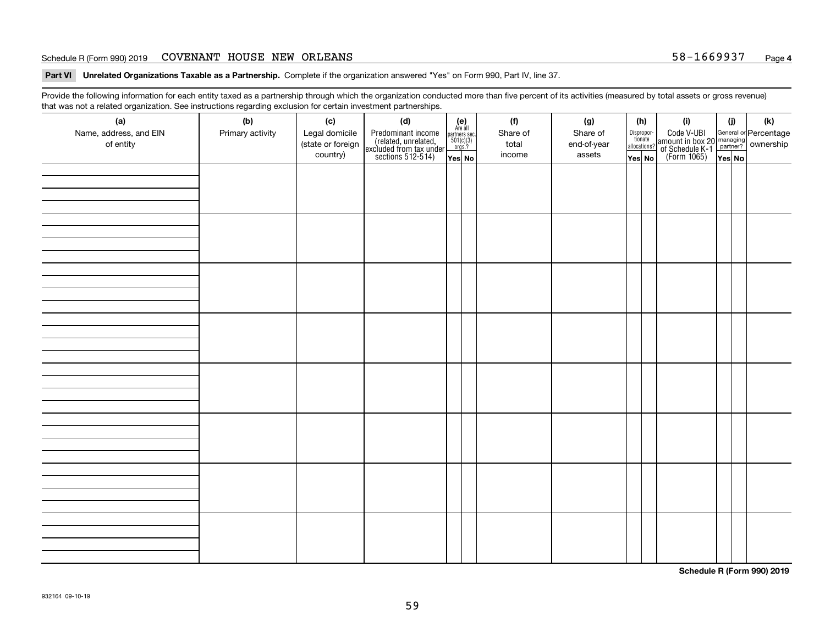#### Schedule R (Form 990) 2019 COVENANT HOUSE NEW ORLEANS 58-1669937 <sub>Page</sub>

**Part VI Unrelated Organizations Taxable as a Partnership. Complete if the organization answered "Yes" on Form 990, Part IV, line 37.** 

Provide the following information for each entity taxed as a partnership through which the organization conducted more than five percent of its activities (measured by total assets or gross revenue) that was not a related organization. See instructions regarding exclusion for certain investment partnerships.

| - - - - -<br>(a)<br>Name, address, and EIN<br>of entity | ----- <del>-</del> -------<br>(b)<br>Primary activity | (c)<br>Legal domicile<br>(state or foreign<br>country) | (d)<br>Predominant income<br>(related, unrelated,<br>excluded from tax under<br>sections 512-514) | (e)<br>Are all<br>partners sec.<br>$501(c)(3)$<br>orgs.?<br>Yes No | (f)<br>Share of<br>total<br>income | (g)<br>Share of<br>end-of-year<br>assets | allocations? | (h)<br>Dispropor-<br>tionate<br>Yes No | (i)<br>Code V-UBI<br>amount in box 20 managing<br>of Schedule K-1<br>(Form 1065)<br>$\overline{Yes}$ No | (i)<br>Yes No | (k) |
|---------------------------------------------------------|-------------------------------------------------------|--------------------------------------------------------|---------------------------------------------------------------------------------------------------|--------------------------------------------------------------------|------------------------------------|------------------------------------------|--------------|----------------------------------------|---------------------------------------------------------------------------------------------------------|---------------|-----|
|                                                         |                                                       |                                                        |                                                                                                   |                                                                    |                                    |                                          |              |                                        |                                                                                                         |               |     |
|                                                         |                                                       |                                                        |                                                                                                   |                                                                    |                                    |                                          |              |                                        |                                                                                                         |               |     |
|                                                         |                                                       |                                                        |                                                                                                   |                                                                    |                                    |                                          |              |                                        |                                                                                                         |               |     |
|                                                         |                                                       |                                                        |                                                                                                   |                                                                    |                                    |                                          |              |                                        |                                                                                                         |               |     |
|                                                         |                                                       |                                                        |                                                                                                   |                                                                    |                                    |                                          |              |                                        |                                                                                                         |               |     |
|                                                         |                                                       |                                                        |                                                                                                   |                                                                    |                                    |                                          |              |                                        |                                                                                                         |               |     |
|                                                         |                                                       |                                                        |                                                                                                   |                                                                    |                                    |                                          |              |                                        |                                                                                                         |               |     |
|                                                         |                                                       |                                                        |                                                                                                   |                                                                    |                                    |                                          |              |                                        |                                                                                                         |               |     |

**Schedule R (Form 990) 2019**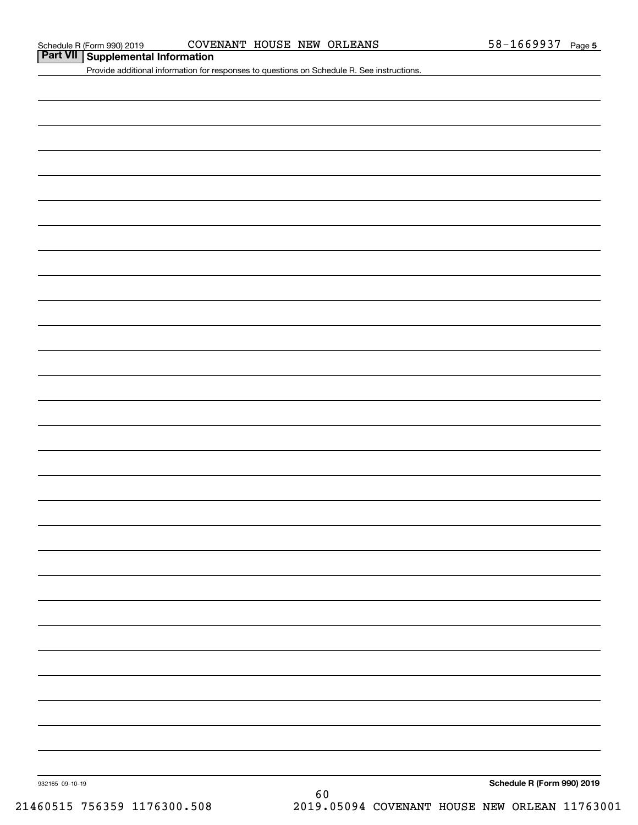### **Part VII Supplemental Information**

Provide additional information for responses to questions on Schedule R. See instructions.

932165 09-10-19